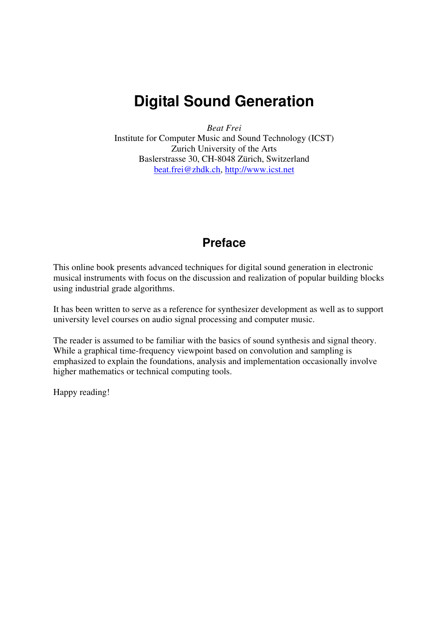# **Digital Sound Generation**

*Beat Frei* 

Institute for Computer Music and Sound Technology (ICST) Zurich University of the Arts Baslerstrasse 30, CH-8048 Zürich, Switzerland beat.frei@zhdk.ch, http://www.icst.net

# **Preface**

This online book presents advanced techniques for digital sound generation in electronic musical instruments with focus on the discussion and realization of popular building blocks using industrial grade algorithms.

It has been written to serve as a reference for synthesizer development as well as to support university level courses on audio signal processing and computer music.

The reader is assumed to be familiar with the basics of sound synthesis and signal theory. While a graphical time-frequency viewpoint based on convolution and sampling is emphasized to explain the foundations, analysis and implementation occasionally involve higher mathematics or technical computing tools.

Happy reading!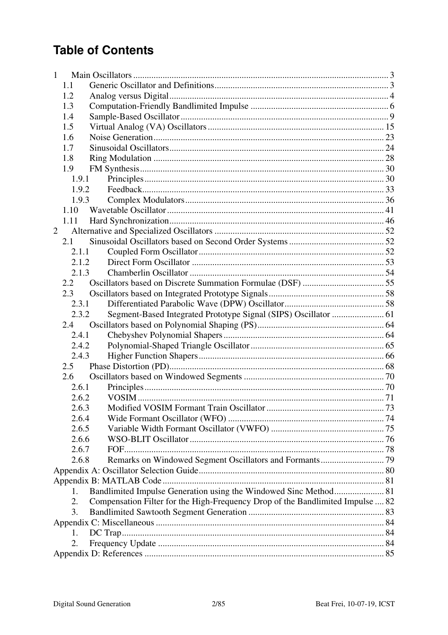# **Table of Contents**

| $\mathbf{1}$ |       |                                                                                |  |
|--------------|-------|--------------------------------------------------------------------------------|--|
|              | 1.1   |                                                                                |  |
|              | 1.2   |                                                                                |  |
|              | 1.3   |                                                                                |  |
|              | 1.4   |                                                                                |  |
|              | 1.5   |                                                                                |  |
|              | 1.6   |                                                                                |  |
|              | 1.7   |                                                                                |  |
|              | 1.8   |                                                                                |  |
|              | 1.9   |                                                                                |  |
|              | 1.9.1 |                                                                                |  |
|              | 1.9.2 |                                                                                |  |
|              | 1.9.3 |                                                                                |  |
|              | 1.10  |                                                                                |  |
|              | 1.11  |                                                                                |  |
| 2            |       |                                                                                |  |
|              | 2.1   |                                                                                |  |
|              | 2,1.1 |                                                                                |  |
|              | 2.1.2 |                                                                                |  |
|              | 2.1.3 |                                                                                |  |
|              | 2.2   |                                                                                |  |
|              | 2.3   |                                                                                |  |
|              | 2.3.1 |                                                                                |  |
|              | 2.3.2 | Segment-Based Integrated Prototype Signal (SIPS) Oscillator  61                |  |
|              | 2.4   |                                                                                |  |
|              | 2.4.1 |                                                                                |  |
|              | 2.4.2 |                                                                                |  |
|              | 2.4.3 |                                                                                |  |
|              | 2.5   |                                                                                |  |
|              | 2.6   |                                                                                |  |
|              | 2.6.1 |                                                                                |  |
|              | 2.6.2 |                                                                                |  |
|              | 2.6.3 |                                                                                |  |
|              | 2.6.4 |                                                                                |  |
|              | 2.6.5 |                                                                                |  |
|              | 2.6.6 |                                                                                |  |
|              | 2.6.7 |                                                                                |  |
|              | 2.6.8 |                                                                                |  |
|              |       |                                                                                |  |
|              |       |                                                                                |  |
|              | 1.    |                                                                                |  |
|              | 2.    | Compensation Filter for the High-Frequency Drop of the Bandlimited Impulse  82 |  |
|              | 3.    |                                                                                |  |
|              |       |                                                                                |  |
|              | 1.    |                                                                                |  |
|              | 2.    |                                                                                |  |
|              |       |                                                                                |  |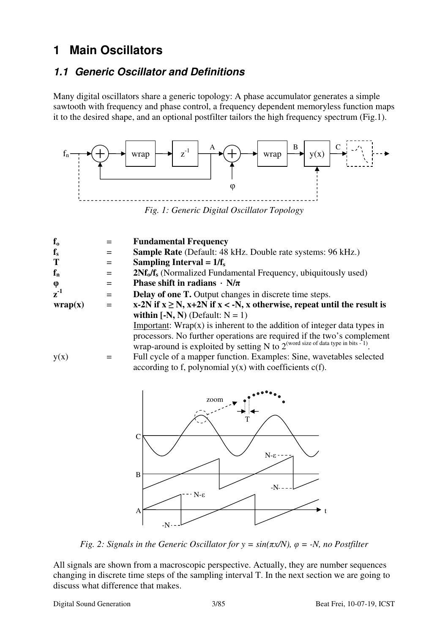# **1 Main Oscillators**

### **1.1 Generic Oscillator and Definitions**

Many digital oscillators share a generic topology: A phase accumulator generates a simple sawtooth with frequency and phase control, a frequency dependent memoryless function maps it to the desired shape, and an optional postfilter tailors the high frequency spectrum (Fig.1).



*Fig. 1: Generic Digital Oscillator Topology* 

| $f_{o}$                     | $=$ | <b>Fundamental Frequency</b>                                                                                                                                    |
|-----------------------------|-----|-----------------------------------------------------------------------------------------------------------------------------------------------------------------|
| $f_{s}$                     | $=$ | Sample Rate (Default: 48 kHz. Double rate systems: 96 kHz.)                                                                                                     |
| T                           | $=$ | Sampling Interval = $1/f_s$                                                                                                                                     |
| $f_n$                       | $=$ | 2Nf <sub>o</sub> /f <sub>s</sub> (Normalized Fundamental Frequency, ubiquitously used)                                                                          |
| φ                           | $=$ | Phase shift in radians $\cdot$ N/ $\pi$                                                                                                                         |
| $z^{\text{-}1}$             | $=$ | <b>Delay of one T.</b> Output changes in discrete time steps.                                                                                                   |
| $\mathbf{wrap}(\mathbf{x})$ | $=$ | x-2N if $x \ge N$ , x+2N if $x < -N$ , x otherwise, repeat until the result is                                                                                  |
|                             |     | within $[-N, N)$ (Default: $N = 1$ )                                                                                                                            |
|                             |     | Important: $Wrap(x)$ is inherent to the addition of integer data types in                                                                                       |
|                             |     | processors. No further operations are required if the two's complement<br>wrap-around is exploited by setting N to $2^{(word size of data type in bits - 1)}$ . |
| y(x)                        |     | Full cycle of a mapper function. Examples: Sine, wavetables selected                                                                                            |
|                             |     | according to f, polynomial $y(x)$ with coefficients $c(f)$ .                                                                                                    |
|                             |     |                                                                                                                                                                 |
|                             |     |                                                                                                                                                                 |



*Fig. 2: Signals in the Generic Oscillator for*  $y = sin(\pi x/N)$ *,*  $\varphi = -N$ *, no Postfilter* 

All signals are shown from a macroscopic perspective. Actually, they are number sequences changing in discrete time steps of the sampling interval T. In the next section we are going to discuss what difference that makes.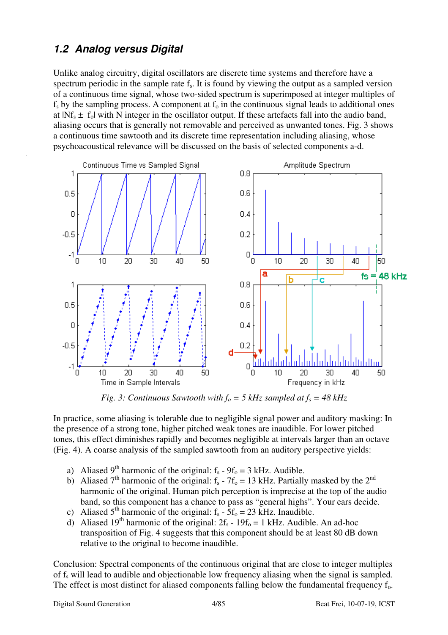# **1.2 Analog versus Digital**

Unlike analog circuitry, digital oscillators are discrete time systems and therefore have a spectrum periodic in the sample rate  $f_s$ . It is found by viewing the output as a sampled version of a continuous time signal, whose two-sided spectrum is superimposed at integer multiples of  $f<sub>s</sub>$  by the sampling process. A component at  $f<sub>o</sub>$  in the continuous signal leads to additional ones at  $|Nf_s \pm f_o|$  with N integer in the oscillator output. If these artefacts fall into the audio band, aliasing occurs that is generally not removable and perceived as unwanted tones. Fig. 3 shows a continuous time sawtooth and its discrete time representation including aliasing, whose psychoacoustical relevance will be discussed on the basis of selected components a-d.



*Fig. 3: Continuous Sawtooth with*  $f_0 = 5$  *kHz sampled at*  $f_s = 48$  *kHz* 

In practice, some aliasing is tolerable due to negligible signal power and auditory masking: In the presence of a strong tone, higher pitched weak tones are inaudible. For lower pitched tones, this effect diminishes rapidly and becomes negligible at intervals larger than an octave (Fig. 4). A coarse analysis of the sampled sawtooth from an auditory perspective yields:

- a) Aliased 9<sup>th</sup> harmonic of the original:  $f_s 9f_o = 3$  kHz. Audible.
- b) Aliased 7<sup>th</sup> harmonic of the original:  $f_s$  7 $f_0$  = 13 kHz. Partially masked by the 2<sup>nd</sup> harmonic of the original. Human pitch perception is imprecise at the top of the audio band, so this component has a chance to pass as "general highs". Your ears decide.
- c) Aliased 5<sup>th</sup> harmonic of the original:  $f_s 5f_0 = 23$  kHz. Inaudible.
- d) Aliased 19<sup>th</sup> harmonic of the original:  $2f_s 19f_0 = 1$  kHz. Audible. An ad-hoc transposition of Fig. 4 suggests that this component should be at least 80 dB down relative to the original to become inaudible.

Conclusion: Spectral components of the continuous original that are close to integer multiples of fs will lead to audible and objectionable low frequency aliasing when the signal is sampled. The effect is most distinct for aliased components falling below the fundamental frequency f<sub>o</sub>.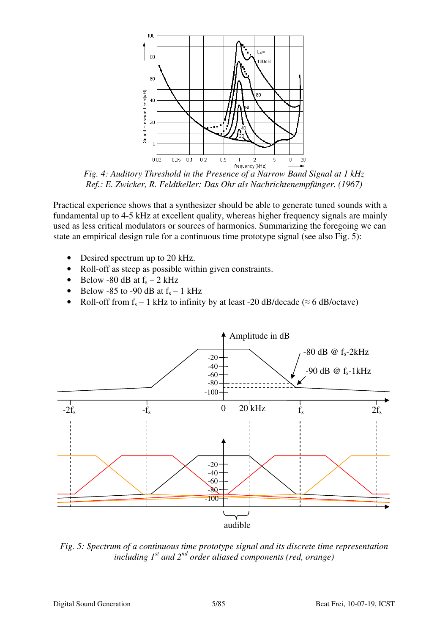

*Fig. 4: Auditory Threshold in the Presence of a Narrow Band Signal at 1 kHz Ref.: E. Zwicker, R. Feldtkeller: Das Ohr als Nachrichtenempfänger. (1967)* 

Practical experience shows that a synthesizer should be able to generate tuned sounds with a fundamental up to 4-5 kHz at excellent quality, whereas higher frequency signals are mainly used as less critical modulators or sources of harmonics. Summarizing the foregoing we can state an empirical design rule for a continuous time prototype signal (see also Fig. 5):

- Desired spectrum up to 20 kHz.
- Roll-off as steep as possible within given constraints.
- Below -80 dB at  $f_s 2$  kHz
- Below -85 to -90 dB at  $f_s 1$  kHz
- Roll-off from  $f_s 1$  kHz to infinity by at least -20 dB/decade ( $\approx 6$  dB/octave)



*Fig. 5: Spectrum of a continuous time prototype signal and its discrete time representation including 1st and 2nd order aliased components (red, orange)*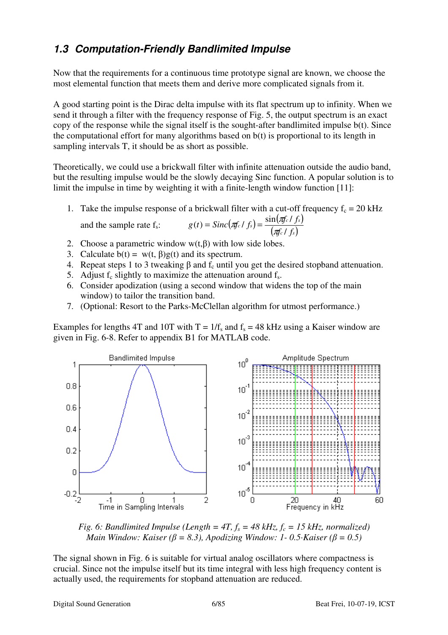## **1.3 Computation-Friendly Bandlimited Impulse**

Now that the requirements for a continuous time prototype signal are known, we choose the most elemental function that meets them and derive more complicated signals from it.

A good starting point is the Dirac delta impulse with its flat spectrum up to infinity. When we send it through a filter with the frequency response of Fig. 5, the output spectrum is an exact copy of the response while the signal itself is the sought-after bandlimited impulse b(t). Since the computational effort for many algorithms based on b(t) is proportional to its length in sampling intervals T, it should be as short as possible.

Theoretically, we could use a brickwall filter with infinite attenuation outside the audio band, but the resulting impulse would be the slowly decaying Sinc function. A popular solution is to limit the impulse in time by weighting it with a finite-length window function [11]:

- 1. Take the impulse response of a brickwall filter with a cut-off frequency  $f_c = 20$  kHz and the sample rate f<sub>s</sub>:  $g(t) = \text{Sinc}(\pi_c / f_s) = \frac{\sin(\pi_c / f_s)}{f_c / f_s}$  $\overline{ \left( \pi \int c \, f \, f_s \right) }$  $f_c$  *f*  $s$ **)** =  $\frac{\sin(\pi f_c)}{f_c}$  *f*  $s$ **)**  $g(t) = \text{Sinc}(\pi f_c / f_s) = \frac{\sin(\pi f_c / f_s)}{(f_c - f_s)^2}$ /  $s(t) = \textit{Sinc}(\pi_f c / f_s) = \frac{\sin(\pi_f c / f_s)}{(\pi_f c / f_s)}$  $= \textit{Sinc}(\pi f_c / f_s) = \frac{\textit{sin}(\pi f_c)}{f_c}$
- 2. Choose a parametric window  $w(t,\beta)$  with low side lobes.
- 3. Calculate  $b(t) = w(t, \beta)g(t)$  and its spectrum.
- 4. Repeat steps 1 to 3 tweaking  $\beta$  and  $f_c$  until you get the desired stopband attenuation.
- 5. Adjust  $f_c$  slightly to maximize the attenuation around  $f_s$ .
- 6. Consider apodization (using a second window that widens the top of the main window) to tailor the transition band.
- 7. (Optional: Resort to the Parks-McClellan algorithm for utmost performance.)

Examples for lengths 4T and 10T with  $T = 1/f_s$  and  $f_s = 48$  kHz using a Kaiser window are given in Fig. 6-8. Refer to appendix B1 for MATLAB code.



*Fig. 6: Bandlimited Impulse (Length = 4T,*  $f_s = 48$  *kHz,*  $f_c = 15$  *kHz, normalized) Main Window: Kaiser (* $\beta$  *= 8.3), Apodizing Window: 1-0.5 · Kaiser (* $\beta$  *= 0.5)* 

The signal shown in Fig. 6 is suitable for virtual analog oscillators where compactness is crucial. Since not the impulse itself but its time integral with less high frequency content is actually used, the requirements for stopband attenuation are reduced.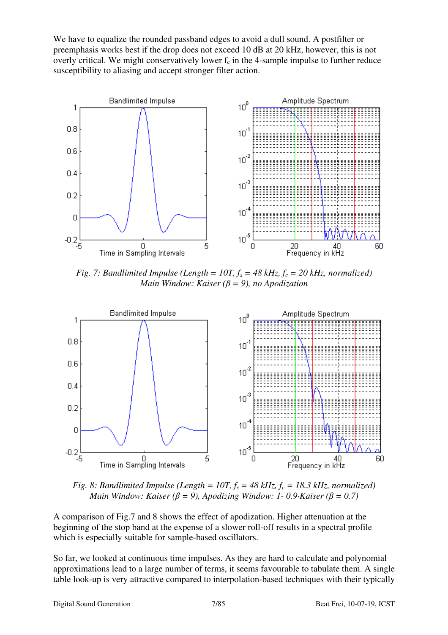We have to equalize the rounded passband edges to avoid a dull sound. A postfilter or preemphasis works best if the drop does not exceed 10 dB at 20 kHz, however, this is not overly critical. We might conservatively lower  $f_c$  in the 4-sample impulse to further reduce susceptibility to aliasing and accept stronger filter action.



*Fig. 7: Bandlimited Impulse (Length = 10T,*  $f_s = 48$  *kHz,*  $f_c = 20$  *kHz, normalized) Main Window: Kaiser (*β *= 9), no Apodization*



*Fig. 8: Bandlimited Impulse (Length = 10T,*  $f_s = 48$  *kHz,*  $f_c = 18.3$  *kHz, normalized) Main Window: Kaiser (* $\beta$  *= 9), Apodizing Window: 1-0.9 · Kaiser (* $\beta$  *= 0.7)* 

A comparison of Fig.7 and 8 shows the effect of apodization. Higher attenuation at the beginning of the stop band at the expense of a slower roll-off results in a spectral profile which is especially suitable for sample-based oscillators.

So far, we looked at continuous time impulses. As they are hard to calculate and polynomial approximations lead to a large number of terms, it seems favourable to tabulate them. A single table look-up is very attractive compared to interpolation-based techniques with their typically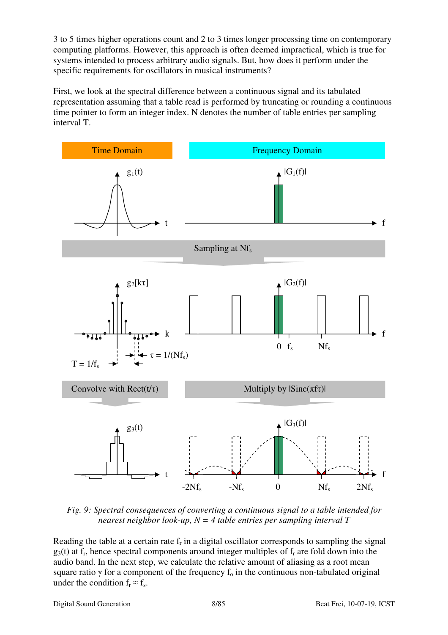3 to 5 times higher operations count and 2 to 3 times longer processing time on contemporary computing platforms. However, this approach is often deemed impractical, which is true for systems intended to process arbitrary audio signals. But, how does it perform under the specific requirements for oscillators in musical instruments?

First, we look at the spectral difference between a continuous signal and its tabulated representation assuming that a table read is performed by truncating or rounding a continuous time pointer to form an integer index. N denotes the number of table entries per sampling interval T.



*Fig. 9: Spectral consequences of converting a continuous signal to a table intended for nearest neighbor look-up, N = 4 table entries per sampling interval T* 

Reading the table at a certain rate f<sub>r</sub> in a digital oscillator corresponds to sampling the signal  $g_3(t)$  at f<sub>r</sub>, hence spectral components around integer multiples of f<sub>r</sub> are fold down into the audio band. In the next step, we calculate the relative amount of aliasing as a root mean square ratio  $\gamma$  for a component of the frequency f<sub>o</sub> in the continuous non-tabulated original under the condition  $f_r \approx f_s$ .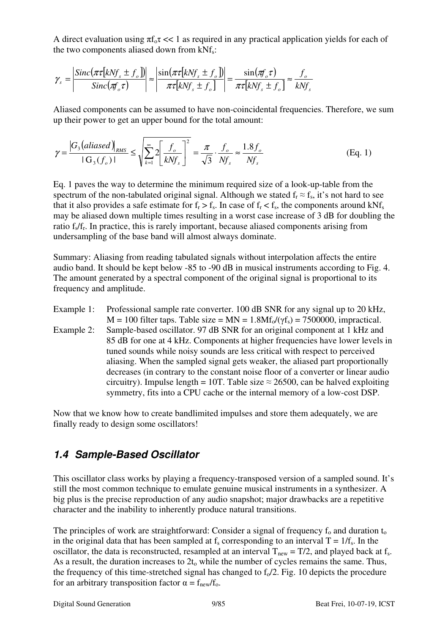A direct evaluation using  $\pi f_{0} t \ll 1$  as required in any practical application yields for each of the two components aliased down from  $kNf_s$ :

$$
\gamma_s = \left| \frac{\text{Sinc}(\pi \tau [k N f_s \pm f_o])}{\text{Sinc}(\pi_o \tau)} \right| \approx \left| \frac{\sin(\pi \tau [k N f_s \pm f_o])}{\pi \tau [k N f_s \pm f_o]} \right| = \frac{\sin(\pi f_o \tau)}{\pi \tau [k N f_s \pm f_o]} \approx \frac{f_o}{k N f_s}
$$

Aliased components can be assumed to have non-coincidental frequencies. Therefore, we sum up their power to get an upper bound for the total amount:

$$
\gamma = \frac{|G_3(aliased)|_{\text{RMS}}}{|G_3(f_o)|} \le \sqrt{\sum_{k=1}^{\infty} 2 \left[ \frac{f_o}{k N f_s} \right]^2} = \frac{\pi}{\sqrt{3}} \cdot \frac{f_o}{N f_s} \approx \frac{1.8 f_o}{N f_s}
$$
(Eq. 1)

Eq. 1 paves the way to determine the minimum required size of a look-up-table from the spectrum of the non-tabulated original signal. Although we stated  $f_r \approx f_s$ , it's not hard to see that it also provides a safe estimate for  $f_r > f_s$ . In case of  $f_r < f_s$ , the components around kNf<sub>s</sub> may be aliased down multiple times resulting in a worst case increase of 3 dB for doubling the ratio f<sub>s</sub>/f<sub>r</sub>. In practice, this is rarely important, because aliased components arising from undersampling of the base band will almost always dominate.

Summary: Aliasing from reading tabulated signals without interpolation affects the entire audio band. It should be kept below -85 to -90 dB in musical instruments according to Fig. 4. The amount generated by a spectral component of the original signal is proportional to its frequency and amplitude.

Example 1: Professional sample rate converter. 100 dB SNR for any signal up to 20 kHz,  $M = 100$  filter taps. Table size =  $MN = 1.8Mf_0/(\gamma f_s) = 7500000$ , impractical. Example 2: Sample-based oscillator. 97 dB SNR for an original component at 1 kHz and 85 dB for one at 4 kHz. Components at higher frequencies have lower levels in tuned sounds while noisy sounds are less critical with respect to perceived aliasing. When the sampled signal gets weaker, the aliased part proportionally decreases (in contrary to the constant noise floor of a converter or linear audio circuitry). Impulse length = 10T. Table size  $\approx$  26500, can be halved exploiting symmetry, fits into a CPU cache or the internal memory of a low-cost DSP.

Now that we know how to create bandlimited impulses and store them adequately, we are finally ready to design some oscillators!

#### **1.4 Sample-Based Oscillator**

This oscillator class works by playing a frequency-transposed version of a sampled sound. It's still the most common technique to emulate genuine musical instruments in a synthesizer. A big plus is the precise reproduction of any audio snapshot; major drawbacks are a repetitive character and the inability to inherently produce natural transitions.

The principles of work are straightforward: Consider a signal of frequency  $f_0$  and duration  $t_0$ in the original data that has been sampled at f<sub>s</sub> corresponding to an interval  $T = 1/f_s$ . In the oscillator, the data is reconstructed, resampled at an interval  $T_{new} = T/2$ , and played back at f<sub>s</sub>. As a result, the duration increases to  $2t_0$  while the number of cycles remains the same. Thus, the frequency of this time-stretched signal has changed to  $f<sub>o</sub>/2$ . Fig. 10 depicts the procedure for an arbitrary transposition factor  $\alpha = f_{\text{new}}/f_{\text{o}}$ .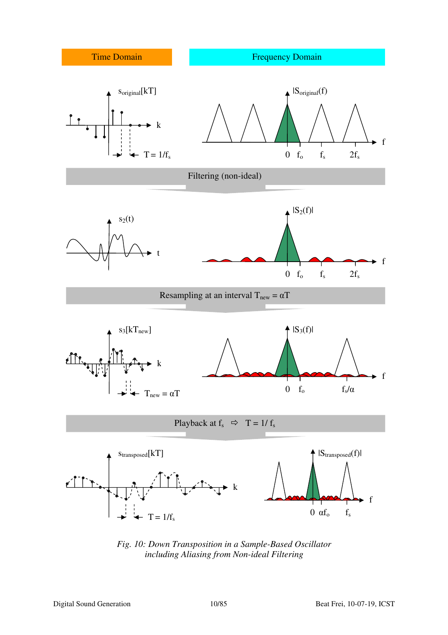

*Fig. 10: Down Transposition in a Sample-Based Oscillator including Aliasing from Non-ideal Filtering*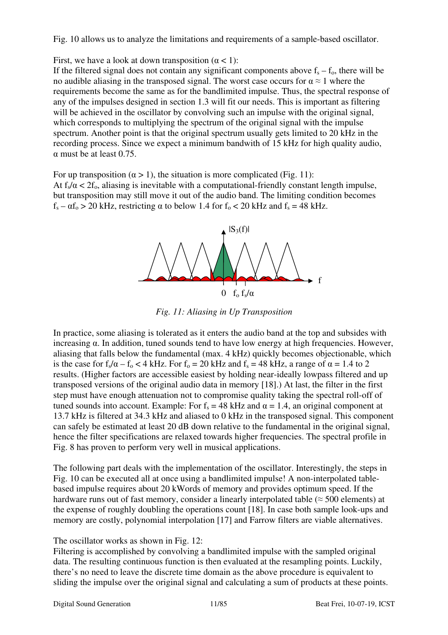Fig. 10 allows us to analyze the limitations and requirements of a sample-based oscillator.

First, we have a look at down transposition  $(\alpha < 1)$ :

If the filtered signal does not contain any significant components above  $f_s - f_o$ , there will be no audible aliasing in the transposed signal. The worst case occurs for  $\alpha \approx 1$  where the requirements become the same as for the bandlimited impulse. Thus, the spectral response of any of the impulses designed in section 1.3 will fit our needs. This is important as filtering will be achieved in the oscillator by convolving such an impulse with the original signal, which corresponds to multiplying the spectrum of the original signal with the impulse spectrum. Another point is that the original spectrum usually gets limited to 20 kHz in the recording process. Since we expect a minimum bandwith of 15 kHz for high quality audio,  $\alpha$  must be at least 0.75.

For up transposition ( $\alpha > 1$ ), the situation is more complicated (Fig. 11): At  $f_s/\alpha < 2f_o$ , aliasing is inevitable with a computational-friendly constant length impulse, but transposition may still move it out of the audio band. The limiting condition becomes  $f_s - \alpha f_0 > 20$  kHz, restricting  $\alpha$  to below 1.4 for  $f_0 < 20$  kHz and  $f_s = 48$  kHz.



*Fig. 11: Aliasing in Up Transposition*

In practice, some aliasing is tolerated as it enters the audio band at the top and subsides with increasing α. In addition, tuned sounds tend to have low energy at high frequencies. However, aliasing that falls below the fundamental (max. 4 kHz) quickly becomes objectionable, which is the case for  $f_s/\alpha - f_o < 4$  kHz. For  $f_o = 20$  kHz and  $f_s = 48$  kHz, a range of  $\alpha = 1.4$  to 2 results. (Higher factors are accessible easiest by holding near-ideally lowpass filtered and up transposed versions of the original audio data in memory [18].) At last, the filter in the first step must have enough attenuation not to compromise quality taking the spectral roll-off of tuned sounds into account. Example: For  $f_s = 48$  kHz and  $\alpha = 1.4$ , an original component at 13.7 kHz is filtered at 34.3 kHz and aliased to 0 kHz in the transposed signal. This component can safely be estimated at least 20 dB down relative to the fundamental in the original signal, hence the filter specifications are relaxed towards higher frequencies. The spectral profile in Fig. 8 has proven to perform very well in musical applications.

The following part deals with the implementation of the oscillator. Interestingly, the steps in Fig. 10 can be executed all at once using a bandlimited impulse! A non-interpolated tablebased impulse requires about 20 kWords of memory and provides optimum speed. If the hardware runs out of fast memory, consider a linearly interpolated table ( $\approx$  500 elements) at the expense of roughly doubling the operations count [18]. In case both sample look-ups and memory are costly, polynomial interpolation [17] and Farrow filters are viable alternatives.

The oscillator works as shown in Fig. 12:

Filtering is accomplished by convolving a bandlimited impulse with the sampled original data. The resulting continuous function is then evaluated at the resampling points. Luckily, there's no need to leave the discrete time domain as the above procedure is equivalent to sliding the impulse over the original signal and calculating a sum of products at these points.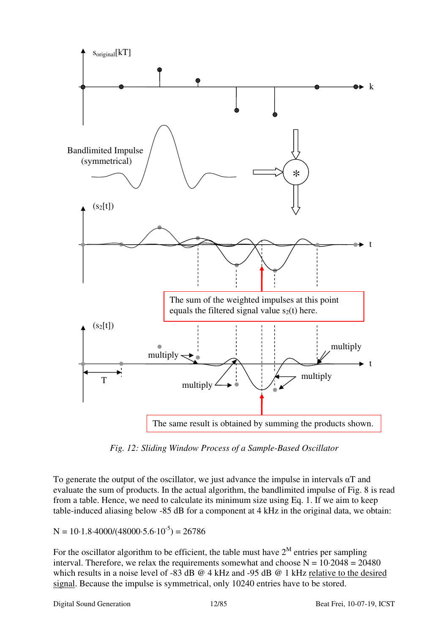

*Fig. 12: Sliding Window Process of a Sample-Based Oscillator*

To generate the output of the oscillator, we just advance the impulse in intervals  $\alpha$ T and evaluate the sum of products. In the actual algorithm, the bandlimited impulse of Fig. 8 is read from a table. Hence, we need to calculate its minimum size using Eq. 1. If we aim to keep table-induced aliasing below -85 dB for a component at 4 kHz in the original data, we obtain:

#### $N = 10 \cdot 1.8 \cdot 4000/(48000 \cdot 5.6 \cdot 10^{-5}) = 26786$

For the oscillator algorithm to be efficient, the table must have  $2^M$  entries per sampling interval. Therefore, we relax the requirements somewhat and choose  $N = 10.2048 = 20480$ which results in a noise level of -83 dB @ 4 kHz and -95 dB @ 1 kHz relative to the desired signal. Because the impulse is symmetrical, only 10240 entries have to be stored.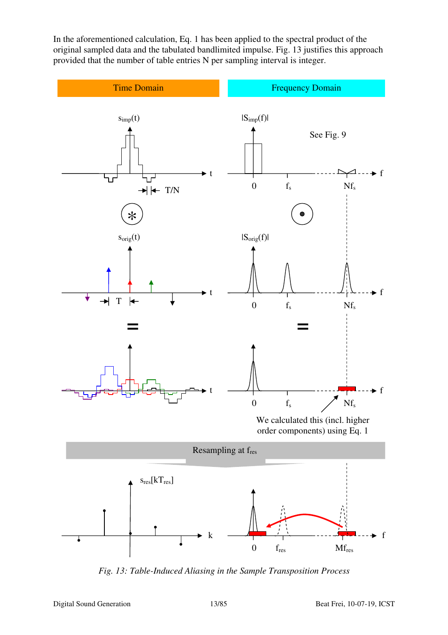In the aforementioned calculation, Eq. 1 has been applied to the spectral product of the original sampled data and the tabulated bandlimited impulse. Fig. 13 justifies this approach provided that the number of table entries N per sampling interval is integer.



*Fig. 13: Table-Induced Aliasing in the Sample Transposition Process*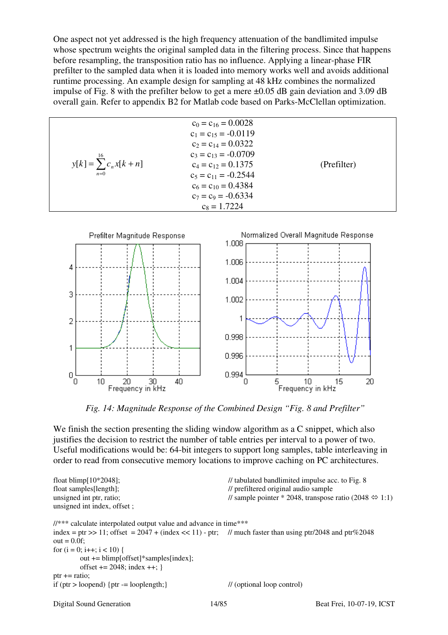One aspect not yet addressed is the high frequency attenuation of the bandlimited impulse whose spectrum weights the original sampled data in the filtering process. Since that happens before resampling, the transposition ratio has no influence. Applying a linear-phase FIR prefilter to the sampled data when it is loaded into memory works well and avoids additional runtime processing. An example design for sampling at 48 kHz combines the normalized impulse of Fig. 8 with the prefilter below to get a mere ±0.05 dB gain deviation and 3.09 dB overall gain. Refer to appendix B2 for Matlab code based on Parks-McClellan optimization.

|                                              | $c_0 = c_{16} = 0.0028$<br>$c_1 = c_{15} = -0.0119$<br>$c_2 = c_{14} = 0.0322$                                                      |             |
|----------------------------------------------|-------------------------------------------------------------------------------------------------------------------------------------|-------------|
| $y[k] = \sum_{n=0}^{16} c_n x[k+n]$<br>$n=0$ | $c_3 = c_{13} = -0.0709$<br>$c_4 = c_{12} = 0.1375$<br>$c_5 = c_{11} = -0.2544$<br>$c_6 = c_{10} = 0.4384$<br>$c_7 = c_9 = -0.6334$ | (Prefilter) |
|                                              | $c_8 = 1.7224$                                                                                                                      |             |



*Fig. 14: Magnitude Response of the Combined Design "Fig. 8 and Prefilter"*

We finish the section presenting the sliding window algorithm as a C snippet, which also justifies the decision to restrict the number of table entries per interval to a power of two. Useful modifications would be: 64-bit integers to support long samples, table interleaving in order to read from consecutive memory locations to improve caching on PC architectures.

```
float blimp[10*2048]; // tabulated bandlimited impulse acc. to Fig. 8
float samples[length]; // prefiltered original audio sample 
unsigned int ptr, ratio; \frac{1}{2048} // sample pointer * 2048, transpose ratio (2048 \Leftrightarrow 1:1)
unsigned int index, offset ; 
//*** calculate interpolated output value and advance in time*** 
index = ptr >> 11; offset = 2047 + (index \lt11) - ptr; // much faster than using ptr/2048 and ptr%2048
out = 0.0f;
for (i = 0; i++); i < 10 {
         out += blimp[offset]*samples[index]; 
       offset += 2048; index ++; }
ptr += ratio:if (ptr > loopend) {ptr = looplength;} // (optional loop control)
```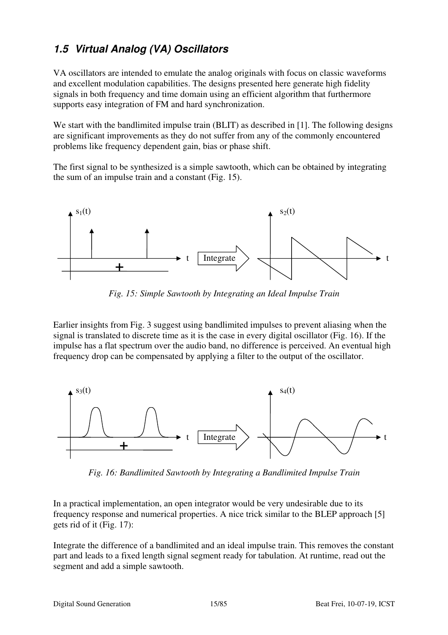# **1.5 Virtual Analog (VA) Oscillators**

VA oscillators are intended to emulate the analog originals with focus on classic waveforms and excellent modulation capabilities. The designs presented here generate high fidelity signals in both frequency and time domain using an efficient algorithm that furthermore supports easy integration of FM and hard synchronization.

We start with the bandlimited impulse train (BLIT) as described in [1]. The following designs are significant improvements as they do not suffer from any of the commonly encountered problems like frequency dependent gain, bias or phase shift.

The first signal to be synthesized is a simple sawtooth, which can be obtained by integrating the sum of an impulse train and a constant (Fig. 15).



*Fig. 15: Simple Sawtooth by Integrating an Ideal Impulse Train* 

Earlier insights from Fig. 3 suggest using bandlimited impulses to prevent aliasing when the signal is translated to discrete time as it is the case in every digital oscillator (Fig. 16). If the impulse has a flat spectrum over the audio band, no difference is perceived. An eventual high frequency drop can be compensated by applying a filter to the output of the oscillator.



*Fig. 16: Bandlimited Sawtooth by Integrating a Bandlimited Impulse Train*

In a practical implementation, an open integrator would be very undesirable due to its frequency response and numerical properties. A nice trick similar to the BLEP approach [5] gets rid of it (Fig. 17):

Integrate the difference of a bandlimited and an ideal impulse train. This removes the constant part and leads to a fixed length signal segment ready for tabulation. At runtime, read out the segment and add a simple sawtooth.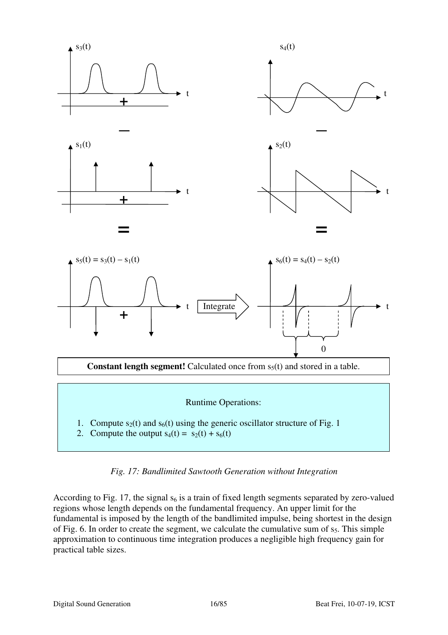

#### *Fig. 17: Bandlimited Sawtooth Generation without Integration*

According to Fig. 17, the signal  $s_6$  is a train of fixed length segments separated by zero-valued regions whose length depends on the fundamental frequency. An upper limit for the fundamental is imposed by the length of the bandlimited impulse, being shortest in the design of Fig. 6. In order to create the segment, we calculate the cumulative sum of  $s<sub>5</sub>$ . This simple approximation to continuous time integration produces a negligible high frequency gain for practical table sizes.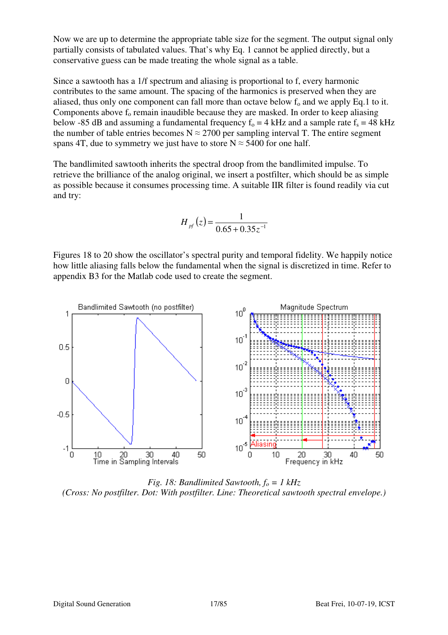Now we are up to determine the appropriate table size for the segment. The output signal only partially consists of tabulated values. That's why Eq. 1 cannot be applied directly, but a conservative guess can be made treating the whole signal as a table.

Since a sawtooth has a 1/f spectrum and aliasing is proportional to f, every harmonic contributes to the same amount. The spacing of the harmonics is preserved when they are aliased, thus only one component can fall more than octave below  $f_0$  and we apply Eq.1 to it. Components above  $f_0$  remain inaudible because they are masked. In order to keep aliasing below -85 dB and assuming a fundamental frequency  $f_0 = 4$  kHz and a sample rate  $f_s = 48$  kHz the number of table entries becomes  $N \approx 2700$  per sampling interval T. The entire segment spans 4T, due to symmetry we just have to store  $N \approx 5400$  for one half.

The bandlimited sawtooth inherits the spectral droop from the bandlimited impulse. To retrieve the brilliance of the analog original, we insert a postfilter, which should be as simple as possible because it consumes processing time. A suitable IIR filter is found readily via cut and try:

$$
H_{pf}(z) = \frac{1}{0.65 + 0.35z^{-1}}
$$

Figures 18 to 20 show the oscillator's spectral purity and temporal fidelity. We happily notice how little aliasing falls below the fundamental when the signal is discretized in time. Refer to appendix B3 for the Matlab code used to create the segment.



*Fig. 18: Bandlimited Sawtooth, fo = 1 kHz (Cross: No postfilter. Dot: With postfilter. Line: Theoretical sawtooth spectral envelope.)*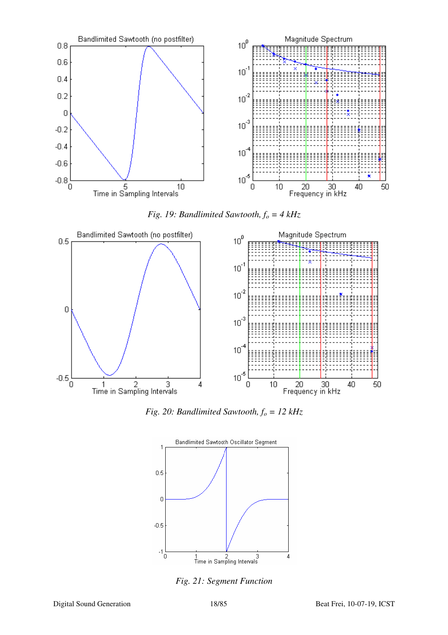

*Fig. 19: Bandlimited Sawtooth, fo = 4 kHz* 



*Fig. 20: Bandlimited Sawtooth, fo = 12 kHz* 



*Fig. 21: Segment Function*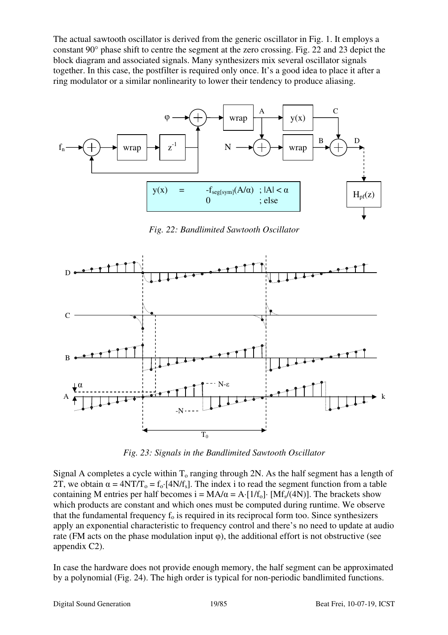The actual sawtooth oscillator is derived from the generic oscillator in Fig. 1. It employs a constant 90° phase shift to centre the segment at the zero crossing. Fig. 22 and 23 depict the block diagram and associated signals. Many synthesizers mix several oscillator signals together. In this case, the postfilter is required only once. It's a good idea to place it after a ring modulator or a similar nonlinearity to lower their tendency to produce aliasing.



*Fig. 22: Bandlimited Sawtooth Oscillator*



*Fig. 23: Signals in the Bandlimited Sawtooth Oscillator*

Signal A completes a cycle within  $T_0$  ranging through 2N. As the half segment has a length of 2T, we obtain  $\alpha = 4NT/T_0 = f_0$  [4N/f<sub>s</sub>]. The index i to read the segment function from a table containing M entries per half becomes  $i = MA/\alpha = A \cdot [1/f_0] \cdot [Mf_s/(4N)]$ . The brackets show which products are constant and which ones must be computed during runtime. We observe that the fundamental frequency  $f_0$  is required in its reciprocal form too. Since synthesizers apply an exponential characteristic to frequency control and there's no need to update at audio rate (FM acts on the phase modulation input  $\varphi$ ), the additional effort is not obstructive (see appendix C2).

In case the hardware does not provide enough memory, the half segment can be approximated by a polynomial (Fig. 24). The high order is typical for non-periodic bandlimited functions.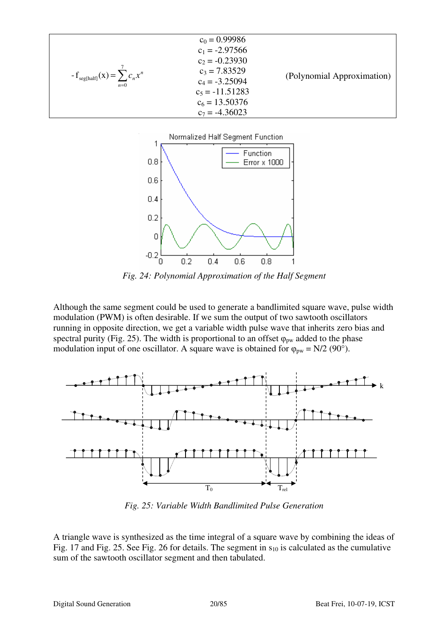| $-f_{\text{seg(half)}}(x) = \sum c_n x^n$<br>$n=0$ | $c_0 = 0.99986$<br>$c_1 = -2.97566$<br>$c_2 = -0.23930$<br>$c_3$ = 7.83529<br>$c_4 = -3.25094$<br>$c_5 = -11.51283$<br>$c_6 = 13.50376$ | (Polynomial Approximation) |
|----------------------------------------------------|-----------------------------------------------------------------------------------------------------------------------------------------|----------------------------|
|                                                    | $c_7 = -4.36023$                                                                                                                        |                            |



*Fig. 24: Polynomial Approximation of the Half Segment* 

Although the same segment could be used to generate a bandlimited square wave, pulse width modulation (PWM) is often desirable. If we sum the output of two sawtooth oscillators running in opposite direction, we get a variable width pulse wave that inherits zero bias and spectral purity (Fig. 25). The width is proportional to an offset  $\varphi_{pw}$  added to the phase modulation input of one oscillator. A square wave is obtained for  $\varphi_{pw} = N/2$  (90°).



*Fig. 25: Variable Width Bandlimited Pulse Generation*

A triangle wave is synthesized as the time integral of a square wave by combining the ideas of Fig. 17 and Fig. 25. See Fig. 26 for details. The segment in  $s_{10}$  is calculated as the cumulative sum of the sawtooth oscillator segment and then tabulated.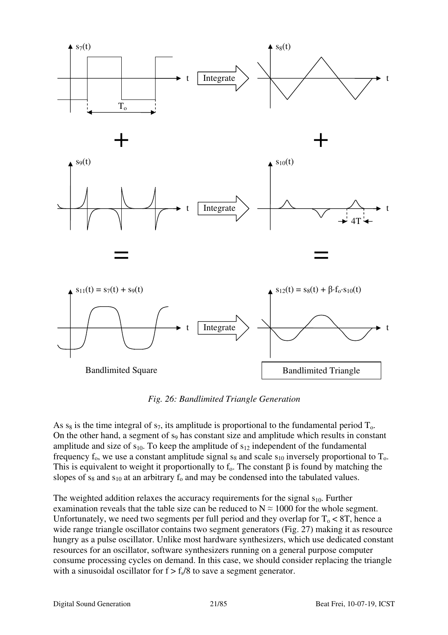

*Fig. 26: Bandlimited Triangle Generation*

As  $s_8$  is the time integral of  $s_7$ , its amplitude is proportional to the fundamental period  $T_0$ . On the other hand, a segment of  $s_9$  has constant size and amplitude which results in constant amplitude and size of  $s_{10}$ . To keep the amplitude of  $s_{12}$  independent of the fundamental frequency  $f_0$ , we use a constant amplitude signal  $s_8$  and scale  $s_{10}$  inversely proportional to  $T_0$ . This is equivalent to weight it proportionally to  $f_0$ . The constant  $\beta$  is found by matching the slopes of  $s_8$  and  $s_{10}$  at an arbitrary  $f_0$  and may be condensed into the tabulated values.

The weighted addition relaxes the accuracy requirements for the signal  $s<sub>10</sub>$ . Further examination reveals that the table size can be reduced to  $N \approx 1000$  for the whole segment. Unfortunately, we need two segments per full period and they overlap for  $T_0 < 8T$ , hence a wide range triangle oscillator contains two segment generators (Fig. 27) making it as resource hungry as a pulse oscillator. Unlike most hardware synthesizers, which use dedicated constant resources for an oscillator, software synthesizers running on a general purpose computer consume processing cycles on demand. In this case, we should consider replacing the triangle with a sinusoidal oscillator for  $f > f<sub>s</sub>/8$  to save a segment generator.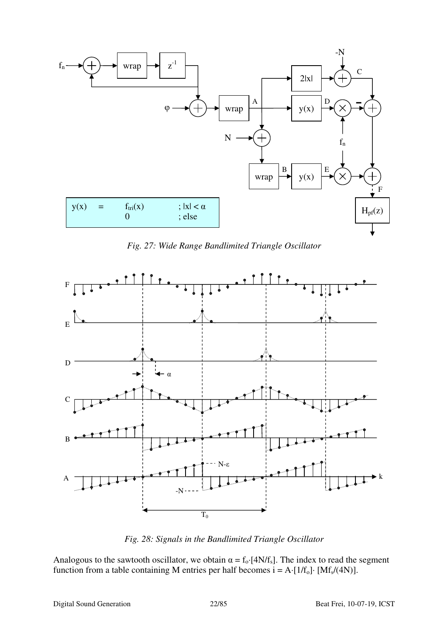

*Fig. 27: Wide Range Bandlimited Triangle Oscillator*



*Fig. 28: Signals in the Bandlimited Triangle Oscillator*

Analogous to the sawtooth oscillator, we obtain  $\alpha = f_0$ ·[4N/f<sub>s</sub>]. The index to read the segment function from a table containing M entries per half becomes  $i = A \cdot [1/f_0] \cdot [Mf_s/(4N)].$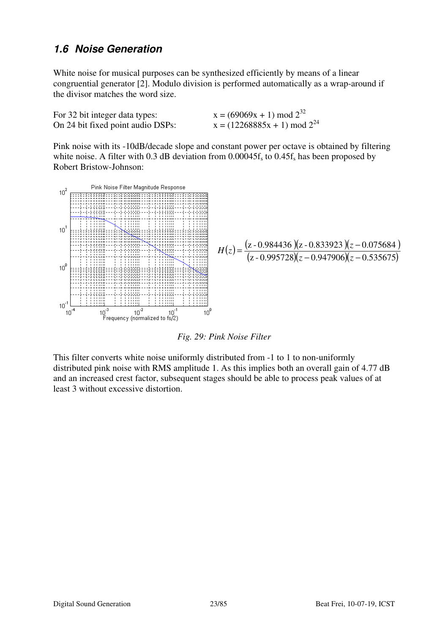#### **1.6 Noise Generation**

White noise for musical purposes can be synthesized efficiently by means of a linear congruential generator [2]. Modulo division is performed automatically as a wrap-around if the divisor matches the word size.

| For 32 bit integer data types:    | $x = (69069x + 1) \text{ mod } 2^{32}$    |
|-----------------------------------|-------------------------------------------|
| On 24 bit fixed point audio DSPs: | $x = (12268885x + 1) \text{ mod } 2^{24}$ |

Pink noise with its -10dB/decade slope and constant power per octave is obtained by filtering white noise. A filter with 0.3 dB deviation from  $0.00045f_s$  to  $0.45f_s$  has been proposed by Robert Bristow-Johnson:



*Fig. 29: Pink Noise Filter*

This filter converts white noise uniformly distributed from -1 to 1 to non-uniformly distributed pink noise with RMS amplitude 1. As this implies both an overall gain of 4.77 dB and an increased crest factor, subsequent stages should be able to process peak values of at least 3 without excessive distortion.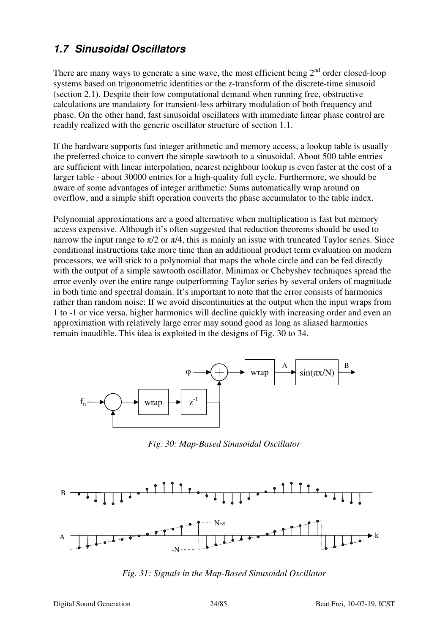## **1.7 Sinusoidal Oscillators**

There are many ways to generate a sine wave, the most efficient being  $2<sup>nd</sup>$  order closed-loop systems based on trigonometric identities or the z-transform of the discrete-time sinusoid (section 2.1). Despite their low computational demand when running free, obstructive calculations are mandatory for transient-less arbitrary modulation of both frequency and phase. On the other hand, fast sinusoidal oscillators with immediate linear phase control are readily realized with the generic oscillator structure of section 1.1.

If the hardware supports fast integer arithmetic and memory access, a lookup table is usually the preferred choice to convert the simple sawtooth to a sinusoidal. About 500 table entries are sufficient with linear interpolation, nearest neighbour lookup is even faster at the cost of a larger table - about 30000 entries for a high-quality full cycle. Furthermore, we should be aware of some advantages of integer arithmetic: Sums automatically wrap around on overflow, and a simple shift operation converts the phase accumulator to the table index.

Polynomial approximations are a good alternative when multiplication is fast but memory access expensive. Although it's often suggested that reduction theorems should be used to narrow the input range to  $\pi/2$  or  $\pi/4$ , this is mainly an issue with truncated Taylor series. Since conditional instructions take more time than an additional product term evaluation on modern processors, we will stick to a polynomial that maps the whole circle and can be fed directly with the output of a simple sawtooth oscillator. Minimax or Chebyshev techniques spread the error evenly over the entire range outperforming Taylor series by several orders of magnitude in both time and spectral domain. It's important to note that the error consists of harmonics rather than random noise: If we avoid discontinuities at the output when the input wraps from 1 to -1 or vice versa, higher harmonics will decline quickly with increasing order and even an approximation with relatively large error may sound good as long as aliased harmonics remain inaudible. This idea is exploited in the designs of Fig. 30 to 34.



*Fig. 30: Map-Based Sinusoidal Oscillator*



*Fig. 31: Signals in the Map-Based Sinusoidal Oscillator*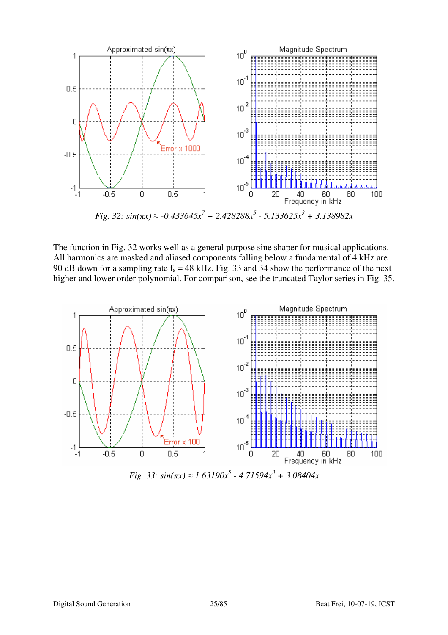

*Fig.* 32:  $sin(\pi x) \approx -0.433645x^7 + 2.428288x^5 - 5.133625x^3 + 3.138982x$ 

The function in Fig. 32 works well as a general purpose sine shaper for musical applications. All harmonics are masked and aliased components falling below a fundamental of 4 kHz are 90 dB down for a sampling rate  $f_s = 48$  kHz. Fig. 33 and 34 show the performance of the next higher and lower order polynomial. For comparison, see the truncated Taylor series in Fig. 35.



*Fig.* 33:  $sin(\pi x) \approx 1.63190x^5 - 4.71594x^3 + 3.08404x$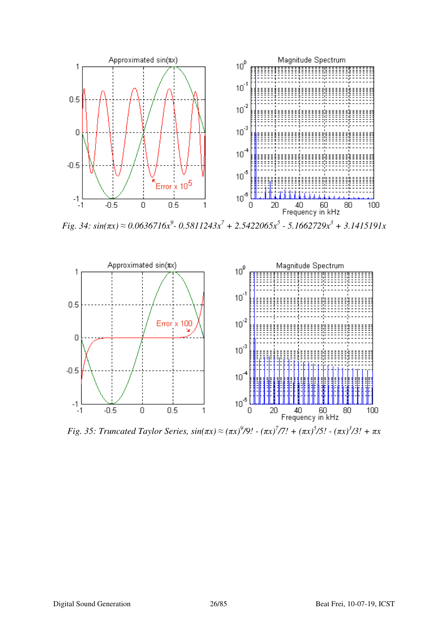

*Fig.* 34:  $sin(\pi x) \approx 0.0636716x^9$ -  $0.5811243x^7$  +  $2.5422065x^5$  -  $5.1662729x^3$  +  $3.1415191x$ 



*Fig.* 35: Truncated Taylor Series,  $sin(πx) ≈ (πx)^{9}/9! - (πx)^{7}/7! + (πx)^{5}/5! - (πx)^{3}/3! + πx$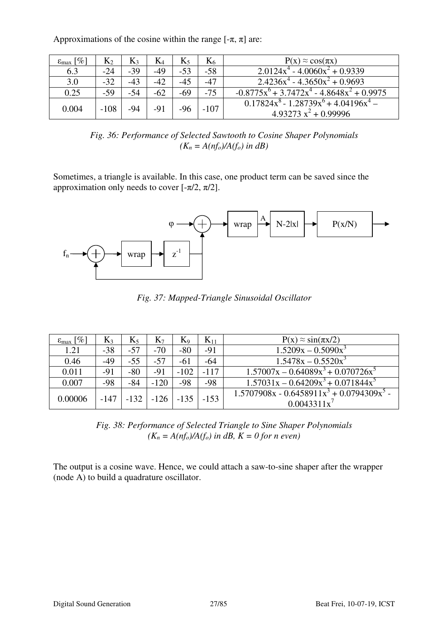Approximations of the cosine within the range  $[-\pi, \pi]$  are:

| $\epsilon_{\text{max}}$ [%] | $K_2$  | $K_3$ | $K_4$ |       | $K_6$  | $P(x) \approx cos(\pi x)$                                                 |
|-----------------------------|--------|-------|-------|-------|--------|---------------------------------------------------------------------------|
| 6.3                         | $-24$  | $-39$ | $-49$ | $-53$ | $-58$  | $2.0124x^{4} - 4.0060x^{2} + 0.9339$                                      |
| 3.0                         | $-32$  | $-43$ | $-42$ |       | $-47$  | $2.4236x^{4} - 4.3650x^{2} + 0.9693$                                      |
| 0.25                        | -59    | $-54$ | $-62$ | -69   | $-75$  | $-0.8775x^{6} + 3.7472x^{4} - 4.8648x^{2} + 0.9975$                       |
| 0.004                       | $-108$ | -94   | -91   |       | $-107$ | $0.17824x^{8} - 1.28739x^{6} + 4.04196x^{4} -$<br>$4.93273 x^2 + 0.99996$ |

*Fig. 36: Performance of Selected Sawtooth to Cosine Shaper Polynomials*   $(K_n = A(n f_o) / A(f_o)$  *in dB*)

Sometimes, a triangle is available. In this case, one product term can be saved since the approximation only needs to cover  $[-\pi/2, \pi/2]$ .



*Fig. 37: Mapped-Triangle Sinusoidal Oscillator* 

| $\epsilon_{\text{max}}$ [%] | $K_3$  | $K_5$  | $\mathrm{K}_7$ | $K_9$  | $K_{11}$ | $P(x) \approx \sin(\pi x/2)$                                 |
|-----------------------------|--------|--------|----------------|--------|----------|--------------------------------------------------------------|
| 1.21                        | $-38$  | $-57$  | $-70$          | $-80$  | $-91$    | $1.5209x - 0.5090x^3$                                        |
| 0.46                        | $-49$  | $-55$  | $-57$          | -61    | $-64$    | $1.5478x - 0.5520x^3$                                        |
| 0.011                       | $-91$  | $-80$  | $-91$          | $-102$ | $-117$   | $1.57007x - 0.64089x^3 + 0.070726x^5$                        |
| 0.007                       | $-98$  | $-84$  | $-120$         | $-98$  | $-98$    | $1.57031x - 0.64209x^{3} + 0.071844x^{5}$                    |
| 0.00006                     | $-147$ | $-132$ | $-126$         | $-135$ | $-153$   | $1.5707908x - 0.6458911x^3 + 0.0794309x^5$<br>$0.0043311x^7$ |

*Fig. 38: Performance of Selected Triangle to Sine Shaper Polynomials*   $(K_n = A(n f_o) / A(f_o)$  in dB,  $K = 0$  for n even)

The output is a cosine wave. Hence, we could attach a saw-to-sine shaper after the wrapper (node A) to build a quadrature oscillator.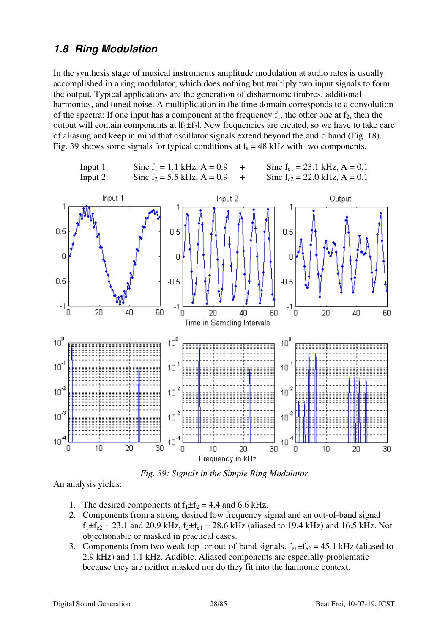#### **1.8 Ring Modulation**

In the synthesis stage of musical instruments amplitude modulation at audio rates is usually accomplished in a ring modulator, which does nothing but multiply two input signals to form the output. Typical applications are the generation of disharmonic timbres, additional harmonics, and tuned noise. A multiplication in the time domain corresponds to a convolution of the spectra: If one input has a component at the frequency  $f_1$ , the other one at  $f_2$ , then the output will contain components at  $|f_1 \pm f_2|$ . New frequencies are created, so we have to take care of aliasing and keep in mind that oscillator signals extend beyond the audio band (Fig. 18). Fig. 39 shows some signals for typical conditions at  $f_s = 48$  kHz with two components.



*Fig. 39: Signals in the Simple Ring Modulator*

An analysis yields:

- 1. The desired components at  $f_1 \pm f_2 = 4.4$  and 6.6 kHz.
- 2. Components from a strong desired low frequency signal and an out-of-band signal  $f_1 \pm f_{e2} = 23.1$  and 20.9 kHz,  $f_2 \pm f_{e1} = 28.6$  kHz (aliased to 19.4 kHz) and 16.5 kHz. Not objectionable or masked in practical cases.
- 3. Components from two weak top- or out-of-band signals.  $f_{e1} \pm f_{e2} = 45.1$  kHz (aliased to 2.9 kHz) and 1.1 kHz. Audible. Aliased components are especially problematic because they are neither masked nor do they fit into the harmonic context.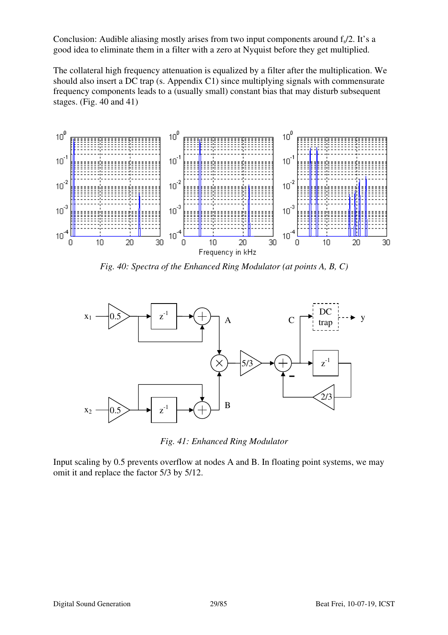Conclusion: Audible aliasing mostly arises from two input components around  $f<sub>s</sub>/2$ . It's a good idea to eliminate them in a filter with a zero at Nyquist before they get multiplied.

The collateral high frequency attenuation is equalized by a filter after the multiplication. We should also insert a DC trap (s. Appendix C1) since multiplying signals with commensurate frequency components leads to a (usually small) constant bias that may disturb subsequent stages. (Fig. 40 and 41)



*Fig. 40: Spectra of the Enhanced Ring Modulator (at points A, B, C)*



*Fig. 41: Enhanced Ring Modulator*

Input scaling by 0.5 prevents overflow at nodes A and B. In floating point systems, we may omit it and replace the factor 5/3 by 5/12.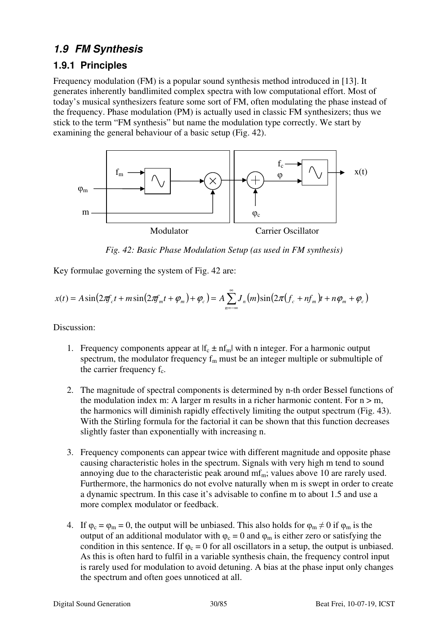## **1.9 FM Synthesis**

#### **1.9.1 Principles**

Frequency modulation (FM) is a popular sound synthesis method introduced in [13]. It generates inherently bandlimited complex spectra with low computational effort. Most of today's musical synthesizers feature some sort of FM, often modulating the phase instead of the frequency. Phase modulation (PM) is actually used in classic FM synthesizers; thus we stick to the term "FM synthesis" but name the modulation type correctly. We start by examining the general behaviour of a basic setup (Fig. 42).



*Fig. 42: Basic Phase Modulation Setup (as used in FM synthesis)*

Key formulae governing the system of Fig. 42 are:

$$
x(t) = A\sin\left(2\pi f_c t + m\sin\left(2\pi f_m t + \varphi_m\right) + \varphi_c\right) = A\sum_{n=-\infty}^{\infty} J_n(m)\sin\left(2\pi (f_c + nf_m)t + n\varphi_m + \varphi_c\right)
$$

Discussion:

- 1. Frequency components appear at  $|f_c \pm nf_m|$  with n integer. For a harmonic output spectrum, the modulator frequency  $f_m$  must be an integer multiple or submultiple of the carrier frequency  $f_c$ .
- 2. The magnitude of spectral components is determined by n-th order Bessel functions of the modulation index m: A larger m results in a richer harmonic content. For  $n > m$ , the harmonics will diminish rapidly effectively limiting the output spectrum (Fig. 43). With the Stirling formula for the factorial it can be shown that this function decreases slightly faster than exponentially with increasing n.
- 3. Frequency components can appear twice with different magnitude and opposite phase causing characteristic holes in the spectrum. Signals with very high m tend to sound annoying due to the characteristic peak around  $mf_m$ ; values above 10 are rarely used. Furthermore, the harmonics do not evolve naturally when m is swept in order to create a dynamic spectrum. In this case it's advisable to confine m to about 1.5 and use a more complex modulator or feedback.
- 4. If  $\varphi_c = \varphi_m = 0$ , the output will be unbiased. This also holds for  $\varphi_m \neq 0$  if  $\varphi_m$  is the output of an additional modulator with  $φ<sub>c</sub> = 0$  and  $φ<sub>m</sub>$  is either zero or satisfying the condition in this sentence. If  $\varphi_c = 0$  for all oscillators in a setup, the output is unbiased. As this is often hard to fulfil in a variable synthesis chain, the frequency control input is rarely used for modulation to avoid detuning. A bias at the phase input only changes the spectrum and often goes unnoticed at all.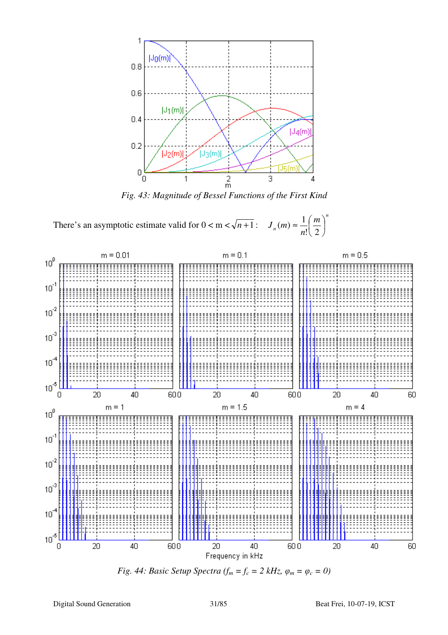

*Fig. 43: Magnitude of Bessel Functions of the First Kind* 

There's an asymptotic estimate valid for  $0 < m < \sqrt{n+1}$ : *n n m n*  $J_n(m) \approx -\frac{1}{2} \left| \frac{m}{2} \right|$ J  $\left(\frac{m}{2}\right)$  $\setminus$ ſ ≈  $\mathbf{!}\setminus 2$  $(m) \approx \frac{1}{\epsilon} \left( \frac{m}{2} \right)^n$ 



*Fig. 44: Basic Setup Spectra (f<sub><i>m*</sub> =  $f_c$  = 2 kHz,  $\varphi_m$  =  $\varphi_c$  = 0)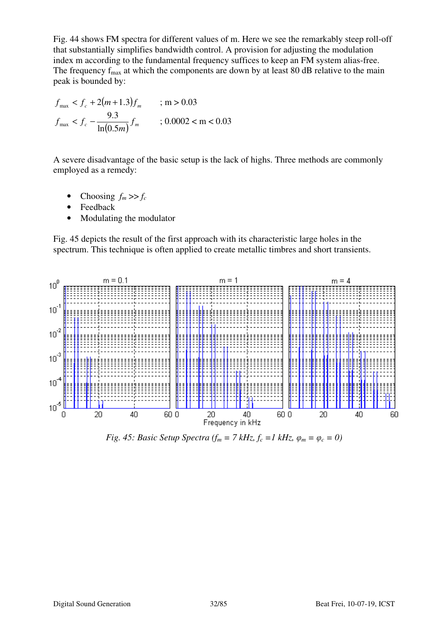Fig. 44 shows FM spectra for different values of m. Here we see the remarkably steep roll-off that substantially simplifies bandwidth control. A provision for adjusting the modulation index m according to the fundamental frequency suffices to keep an FM system alias-free. The frequency  $f_{\text{max}}$  at which the components are down by at least 80 dB relative to the main peak is bounded by:

$$
f_{\max} < f_c + 2(m+1.3)f_m \qquad ; \, \text{m} > 0.03
$$
\n
$$
f_{\max} < f_c - \frac{9.3}{\ln(0.5m)} f_m \qquad ; \, 0.0002 < \text{m} < 0.03
$$

A severe disadvantage of the basic setup is the lack of highs. Three methods are commonly employed as a remedy:

- Choosing  $f_m \gg f_c$
- **Feedback**
- Modulating the modulator

Fig. 45 depicts the result of the first approach with its characteristic large holes in the spectrum. This technique is often applied to create metallic timbres and short transients.



*Fig. 45: Basic Setup Spectra (f<sub><i>m*</sub> = 7 kHz,  $f_c$  = 1 kHz,  $\varphi_m$  =  $\varphi_c$  = 0)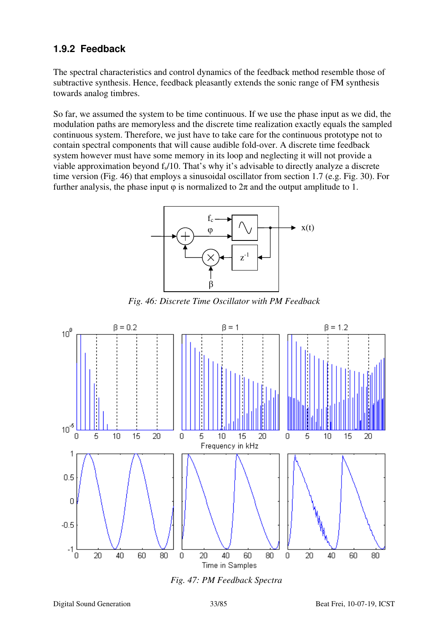#### **1.9.2 Feedback**

The spectral characteristics and control dynamics of the feedback method resemble those of subtractive synthesis. Hence, feedback pleasantly extends the sonic range of FM synthesis towards analog timbres.

So far, we assumed the system to be time continuous. If we use the phase input as we did, the modulation paths are memoryless and the discrete time realization exactly equals the sampled continuous system. Therefore, we just have to take care for the continuous prototype not to contain spectral components that will cause audible fold-over. A discrete time feedback system however must have some memory in its loop and neglecting it will not provide a viable approximation beyond  $f<sub>s</sub>/10$ . That's why it's advisable to directly analyze a discrete time version (Fig. 46) that employs a sinusoidal oscillator from section 1.7 (e.g. Fig. 30). For further analysis, the phase input  $\varphi$  is normalized to  $2\pi$  and the output amplitude to 1.



*Fig. 46: Discrete Time Oscillator with PM Feedback*



*Fig. 47: PM Feedback Spectra*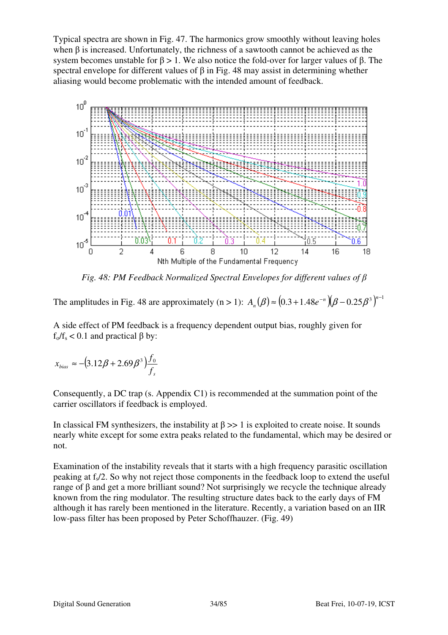Typical spectra are shown in Fig. 47. The harmonics grow smoothly without leaving holes when  $\beta$  is increased. Unfortunately, the richness of a sawtooth cannot be achieved as the system becomes unstable for  $β > 1$ . We also notice the fold-over for larger values of  $β$ . The spectral envelope for different values of  $\beta$  in Fig. 48 may assist in determining whether aliasing would become problematic with the intended amount of feedback.



*Fig. 48: PM Feedback Normalized Spectral Envelopes for different values of* β

The amplitudes in Fig. 48 are approximately (n > 1):  $A_n(\beta) \approx (0.3 + 1.48e^{-n})(\beta - 0.25\beta^3)^{n-1}$ 

A side effect of PM feedback is a frequency dependent output bias, roughly given for  $f_0/f_s < 0.1$  and practical  $\beta$  by:

 $(3.12\beta + 2.69\beta^3)$  $\delta_{bias}$  **c**  $(3.12p + 2.09p)$   $\int_{S}$  $x_{bias} \approx -(3.12\beta + 2.69\beta^3)\frac{f_0}{f}$ 

Consequently, a DC trap (s. Appendix C1) is recommended at the summation point of the carrier oscillators if feedback is employed.

In classical FM synthesizers, the instability at  $\beta \gg 1$  is exploited to create noise. It sounds nearly white except for some extra peaks related to the fundamental, which may be desired or not.

Examination of the instability reveals that it starts with a high frequency parasitic oscillation peaking at  $f_s/2$ . So why not reject those components in the feedback loop to extend the useful range of β and get a more brilliant sound? Not surprisingly we recycle the technique already known from the ring modulator. The resulting structure dates back to the early days of FM although it has rarely been mentioned in the literature. Recently, a variation based on an IIR low-pass filter has been proposed by Peter Schoffhauzer. (Fig. 49)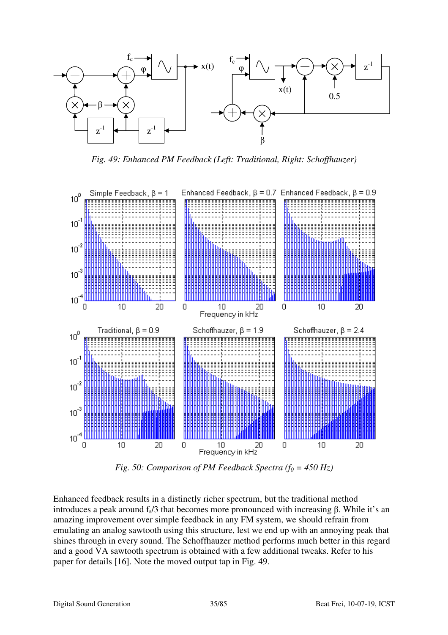

*Fig. 49: Enhanced PM Feedback (Left: Traditional, Right: Schoffhauzer)* 



*Fig. 50: Comparison of PM Feedback Spectra (f<sub>0</sub> = 450 Hz)* 

Enhanced feedback results in a distinctly richer spectrum, but the traditional method introduces a peak around  $f_s/3$  that becomes more pronounced with increasing β. While it's an amazing improvement over simple feedback in any FM system, we should refrain from emulating an analog sawtooth using this structure, lest we end up with an annoying peak that shines through in every sound. The Schoffhauzer method performs much better in this regard and a good VA sawtooth spectrum is obtained with a few additional tweaks. Refer to his paper for details [16]. Note the moved output tap in Fig. 49.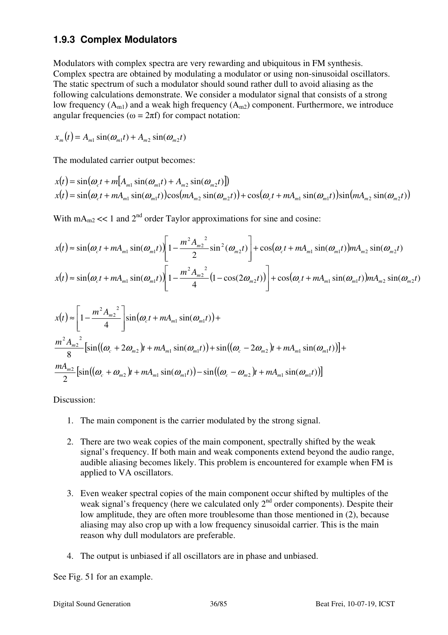#### **1.9.3 Complex Modulators**

Modulators with complex spectra are very rewarding and ubiquitous in FM synthesis. Complex spectra are obtained by modulating a modulator or using non-sinusoidal oscillators. The static spectrum of such a modulator should sound rather dull to avoid aliasing as the following calculations demonstrate. We consider a modulator signal that consists of a strong low frequency  $(A_{m1})$  and a weak high frequency  $(A_{m2})$  component. Furthermore, we introduce angular frequencies ( $\omega = 2\pi f$ ) for compact notation:

$$
x_m(t) = A_{m1} \sin(\omega_{m1}t) + A_{m2} \sin(\omega_{m2}t)
$$

The modulated carrier output becomes:

$$
x(t) = \sin(\omega_c t + m[A_{m1} \sin(\omega_{m1} t) + A_{m2} \sin(\omega_{m2} t)])
$$
  
 
$$
x(t) = \sin(\omega_c t + mA_{m1} \sin(\omega_{m1} t))\cos(mA_{m2} \sin(\omega_{m2} t)) + \cos(\omega_c t + mA_{m1} \sin(\omega_{m1} t))\sin(mA_{m2} \sin(\omega_{m2} t))
$$

With  $mA_{m2} \ll 1$  and  $2^{nd}$  order Taylor approximations for sine and cosine:

$$
x(t) \approx \sin(\omega_c t + mA_{m1} \sin(\omega_{m1} t)) \left[ 1 - \frac{m^2 A_{m2}^2}{2} \sin^2(\omega_{m2} t) \right] + \cos(\omega_c t + mA_{m1} \sin(\omega_{m1} t)) mA_{m2} \sin(\omega_{m2} t)
$$
  

$$
x(t) \approx \sin(\omega_c t + mA_{m1} \sin(\omega_{m1} t)) \left[ 1 - \frac{m^2 A_{m2}^2}{4} (1 - \cos(2\omega_{m2} t)) \right] + \cos(\omega_c t + mA_{m1} \sin(\omega_{m1} t)) mA_{m2} \sin(\omega_{m2} t)
$$

$$
x(t) \approx \left[1 - \frac{m^2 A_{m2}^2}{4}\right] \sin(\omega_c t + m A_{m1} \sin(\omega_{m1} t)) +
$$
  
\n
$$
\frac{m^2 A_{m2}^2}{8} \left[ \sin((\omega_c + 2\omega_{m2})t + m A_{m1} \sin(\omega_{m1} t)) + \sin((\omega_c - 2\omega_{m2})t + m A_{m1} \sin(\omega_{m1} t)) \right] +
$$
  
\n
$$
\frac{m A_{m2}}{2} \left[ \sin((\omega_c + \omega_{m2})t + m A_{m1} \sin(\omega_{m1} t)) - \sin((\omega_c - \omega_{m2})t + m A_{m1} \sin(\omega_{m1} t)) \right]
$$

Discussion:

- 1. The main component is the carrier modulated by the strong signal.
- 2. There are two weak copies of the main component, spectrally shifted by the weak signal's frequency. If both main and weak components extend beyond the audio range, audible aliasing becomes likely. This problem is encountered for example when FM is applied to VA oscillators.
- 3. Even weaker spectral copies of the main component occur shifted by multiples of the weak signal's frequency (here we calculated only  $2<sup>nd</sup>$  order components). Despite their low amplitude, they are often more troublesome than those mentioned in (2), because aliasing may also crop up with a low frequency sinusoidal carrier. This is the main reason why dull modulators are preferable.
- 4. The output is unbiased if all oscillators are in phase and unbiased.

See Fig. 51 for an example.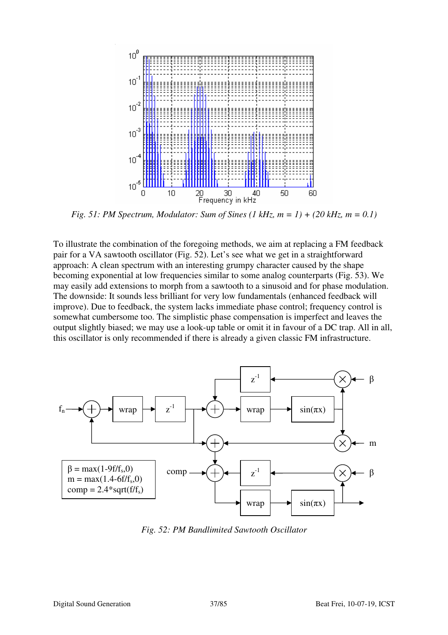

*Fig. 51: PM Spectrum, Modulator: Sum of Sines (1 kHz, m = 1) + (20 kHz, m = 0.1)* 

To illustrate the combination of the foregoing methods, we aim at replacing a FM feedback pair for a VA sawtooth oscillator (Fig. 52). Let's see what we get in a straightforward approach: A clean spectrum with an interesting grumpy character caused by the shape becoming exponential at low frequencies similar to some analog counterparts (Fig. 53). We may easily add extensions to morph from a sawtooth to a sinusoid and for phase modulation. The downside: It sounds less brilliant for very low fundamentals (enhanced feedback will improve). Due to feedback, the system lacks immediate phase control; frequency control is somewhat cumbersome too. The simplistic phase compensation is imperfect and leaves the output slightly biased; we may use a look-up table or omit it in favour of a DC trap. All in all, this oscillator is only recommended if there is already a given classic FM infrastructure.



*Fig. 52: PM Bandlimited Sawtooth Oscillator*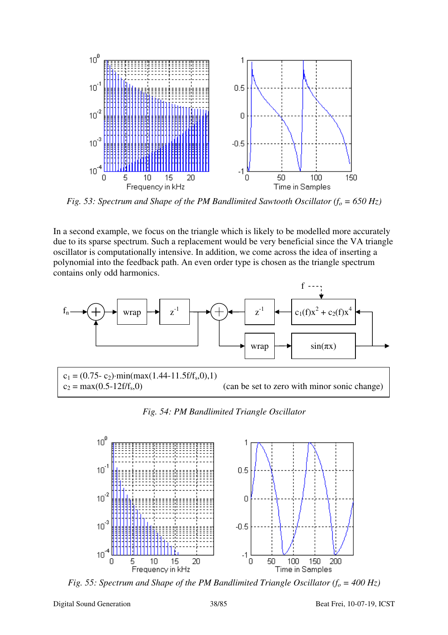

*Fig. 53: Spectrum and Shape of the PM Bandlimited Sawtooth Oscillator*  $(f_0 = 650 \text{ Hz})$ 

In a second example, we focus on the triangle which is likely to be modelled more accurately due to its sparse spectrum. Such a replacement would be very beneficial since the VA triangle oscillator is computationally intensive. In addition, we come across the idea of inserting a polynomial into the feedback path. An even order type is chosen as the triangle spectrum contains only odd harmonics.



*Fig. 54: PM Bandlimited Triangle Oscillator* 



*Fig. 55: Spectrum and Shape of the PM Bandlimited Triangle Oscillator*  $(f_0 = 400 \text{ Hz})$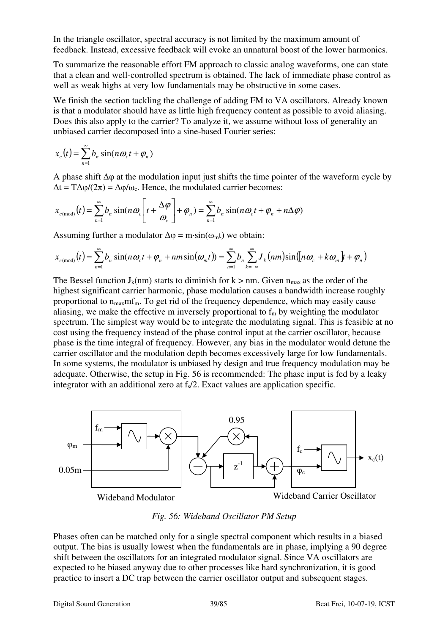In the triangle oscillator, spectral accuracy is not limited by the maximum amount of feedback. Instead, excessive feedback will evoke an unnatural boost of the lower harmonics.

To summarize the reasonable effort FM approach to classic analog waveforms, one can state that a clean and well-controlled spectrum is obtained. The lack of immediate phase control as well as weak highs at very low fundamentals may be obstructive in some cases.

We finish the section tackling the challenge of adding FM to VA oscillators. Already known is that a modulator should have as little high frequency content as possible to avoid aliasing. Does this also apply to the carrier? To analyze it, we assume without loss of generality an unbiased carrier decomposed into a sine-based Fourier series:

$$
x_c(t) = \sum_{n=1}^{\infty} b_n \sin(n\omega_c t + \varphi_n)
$$

A phase shift  $\Delta \varphi$  at the modulation input just shifts the time pointer of the waveform cycle by  $\Delta t = T \Delta \varphi / (2\pi) = \Delta \varphi / \omega_c$ . Hence, the modulated carrier becomes:

$$
x_{c(\text{mod})}(t) = \sum_{n=1}^{\infty} b_n \sin(n\omega_c \left[ t + \frac{\Delta \varphi}{\omega_c} \right] + \varphi_n) = \sum_{n=1}^{\infty} b_n \sin(n\omega_c t + \varphi_n + n\Delta \varphi)
$$

Assuming further a modulator  $\Delta \omega = m \cdot \sin(\omega_m t)$  we obtain:

$$
x_{c(\text{mod})}(t) = \sum_{n=1}^{\infty} b_n \sin(n\omega_c t + \varphi_n + nm \sin(\omega_m t)) = \sum_{n=1}^{\infty} b_n \sum_{k=-\infty}^{\infty} J_k(nm) \sin((n\omega_c + k\omega_m)t + \varphi_n)
$$

The Bessel function  $J_k(nm)$  starts to diminish for  $k > nm$ . Given  $n<sub>max</sub>$  as the order of the highest significant carrier harmonic, phase modulation causes a bandwidth increase roughly proportional to  $n_{max}m f_m$ . To get rid of the frequency dependence, which may easily cause aliasing, we make the effective m inversely proportional to  $f_m$  by weighting the modulator spectrum. The simplest way would be to integrate the modulating signal. This is feasible at no cost using the frequency instead of the phase control input at the carrier oscillator, because phase is the time integral of frequency. However, any bias in the modulator would detune the carrier oscillator and the modulation depth becomes excessively large for low fundamentals. In some systems, the modulator is unbiased by design and true frequency modulation may be adequate. Otherwise, the setup in Fig. 56 is recommended: The phase input is fed by a leaky integrator with an additional zero at  $f_{\ell}/2$ . Exact values are application specific.



*Fig. 56: Wideband Oscillator PM Setup*

Phases often can be matched only for a single spectral component which results in a biased output. The bias is usually lowest when the fundamentals are in phase, implying a 90 degree shift between the oscillators for an integrated modulator signal. Since VA oscillators are expected to be biased anyway due to other processes like hard synchronization, it is good practice to insert a DC trap between the carrier oscillator output and subsequent stages.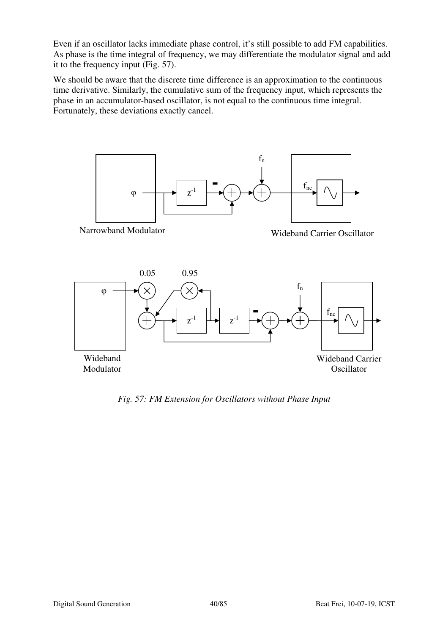Even if an oscillator lacks immediate phase control, it's still possible to add FM capabilities. As phase is the time integral of frequency, we may differentiate the modulator signal and add it to the frequency input (Fig. 57).

We should be aware that the discrete time difference is an approximation to the continuous time derivative. Similarly, the cumulative sum of the frequency input, which represents the phase in an accumulator-based oscillator, is not equal to the continuous time integral. Fortunately, these deviations exactly cancel.



*Fig. 57: FM Extension for Oscillators without Phase Input*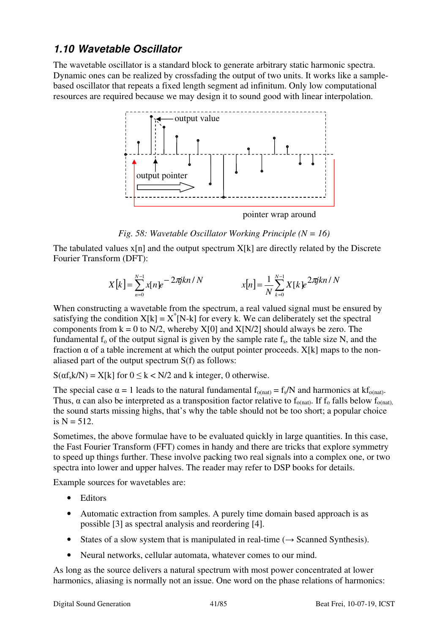# **1.10 Wavetable Oscillator**

The wavetable oscillator is a standard block to generate arbitrary static harmonic spectra. Dynamic ones can be realized by crossfading the output of two units. It works like a samplebased oscillator that repeats a fixed length segment ad infinitum. Only low computational resources are required because we may design it to sound good with linear interpolation.



#### *Fig. 58: Wavetable Oscillator Working Principle (N = 16)*

The tabulated values  $x[n]$  and the output spectrum  $X[k]$  are directly related by the Discrete Fourier Transform (DFT):

$$
X[k] = \sum_{n=0}^{N-1} x[n]e^{-2\pi jkn/N}
$$
 
$$
x[n] = \frac{1}{N} \sum_{k=0}^{N-1} X[k]e^{2\pi jkn/N}
$$

When constructing a wavetable from the spectrum, a real valued signal must be ensured by satisfying the condition  $X[k] = X^*[N-k]$  for every k. We can deliberately set the spectral components from  $k = 0$  to N/2, whereby X[0] and X[N/2] should always be zero. The fundamental  $f_0$  of the output signal is given by the sample rate  $f_s$ , the table size N, and the fraction  $\alpha$  of a table increment at which the output pointer proceeds. X[k] maps to the nonaliased part of the output spectrum S(f) as follows:

 $S(\alpha f_s k/N) = X[k]$  for  $0 \le k < N/2$  and k integer, 0 otherwise.

The special case  $\alpha = 1$  leads to the natural fundamental  $f_{o(nat)} = f_s/N$  and harmonics at  $kf_{o(nat)}$ . Thus,  $\alpha$  can also be interpreted as a transposition factor relative to f<sub>o(nat)</sub>. If f<sub>o</sub> falls below f<sub>o(nat)</sub>, the sound starts missing highs, that's why the table should not be too short; a popular choice is  $N = 512$ .

Sometimes, the above formulae have to be evaluated quickly in large quantities. In this case, the Fast Fourier Transform (FFT) comes in handy and there are tricks that explore symmetry to speed up things further. These involve packing two real signals into a complex one, or two spectra into lower and upper halves. The reader may refer to DSP books for details.

Example sources for wavetables are:

- Editors
- Automatic extraction from samples. A purely time domain based approach is as possible [3] as spectral analysis and reordering [4].
- States of a slow system that is manipulated in real-time  $(\rightarrow$  Scanned Synthesis).
- Neural networks, cellular automata, whatever comes to our mind.

As long as the source delivers a natural spectrum with most power concentrated at lower harmonics, aliasing is normally not an issue. One word on the phase relations of harmonics: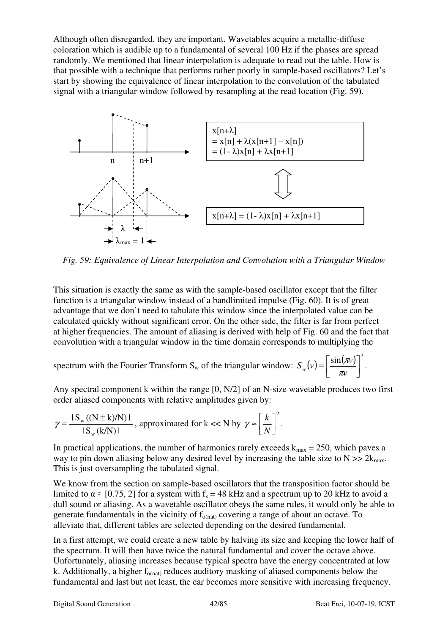Although often disregarded, they are important. Wavetables acquire a metallic-diffuse coloration which is audible up to a fundamental of several 100 Hz if the phases are spread randomly. We mentioned that linear interpolation is adequate to read out the table. How is that possible with a technique that performs rather poorly in sample-based oscillators? Let's start by showing the equivalence of linear interpolation to the convolution of the tabulated signal with a triangular window followed by resampling at the read location (Fig. 59).



*Fig. 59: Equivalence of Linear Interpolation and Convolution with a Triangular Window*

This situation is exactly the same as with the sample-based oscillator except that the filter function is a triangular window instead of a bandlimited impulse (Fig. 60). It is of great advantage that we don't need to tabulate this window since the interpolated value can be calculated quickly without significant error. On the other side, the filter is far from perfect at higher frequencies. The amount of aliasing is derived with help of Fig. 60 and the fact that convolution with a triangular window in the time domain corresponds to multiplying the

spectrum with the Fourier Transform S<sub>w</sub> of the triangular window:  $S_w(v) = \left[\frac{\sin(w)}{2}\right]^2$  $\overline{\phantom{a}}$ 1  $\overline{\phantom{a}}$ Г = *v*  $S_w(v) = \frac{\sin(\pi v)}{\pi v}$  $\frac{\pi v}{\cdot}$ .

Any spectral component k within the range [0, N/2] of an N-size wavetable produces two first order aliased components with relative amplitudes given by:

$$
\gamma = \frac{|S_{w}((N \pm k)/N)|}{|S_{w}(k/N)|}, \text{ approximated for } k << N \text{ by } \gamma \approx \left[\frac{k}{N}\right]^{2}.
$$

In practical applications, the number of harmonics rarely exceeds  $k_{max} = 250$ , which paves a way to pin down aliasing below any desired level by increasing the table size to  $N \gg 2k_{\text{max}}$ . This is just oversampling the tabulated signal.

We know from the section on sample-based oscillators that the transposition factor should be limited to  $\alpha \approx [0.75, 2]$  for a system with f<sub>s</sub> = 48 kHz and a spectrum up to 20 kHz to avoid a dull sound or aliasing. As a wavetable oscillator obeys the same rules, it would only be able to generate fundamentals in the vicinity of  $f_{\text{o(nat)}}$  covering a range of about an octave. To alleviate that, different tables are selected depending on the desired fundamental.

In a first attempt, we could create a new table by halving its size and keeping the lower half of the spectrum. It will then have twice the natural fundamental and cover the octave above. Unfortunately, aliasing increases because typical spectra have the energy concentrated at low k. Additionally, a higher  $f_{o(nat)}$  reduces auditory masking of aliased components below the fundamental and last but not least, the ear becomes more sensitive with increasing frequency.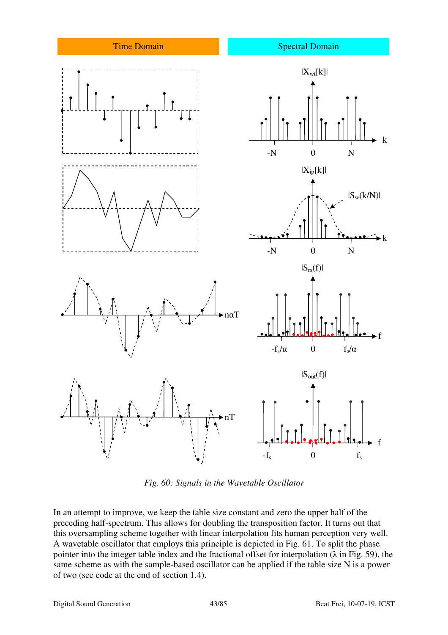

*Fig. 60: Signals in the Wavetable Oscillator*

In an attempt to improve, we keep the table size constant and zero the upper half of the preceding half-spectrum. This allows for doubling the transposition factor. It turns out that this oversampling scheme together with linear interpolation fits human perception very well. A wavetable oscillator that employs this principle is depicted in Fig. 61. To split the phase pointer into the integer table index and the fractional offset for interpolation ( $\lambda$  in Fig. 59), the same scheme as with the sample-based oscillator can be applied if the table size N is a power of two (see code at the end of section 1.4).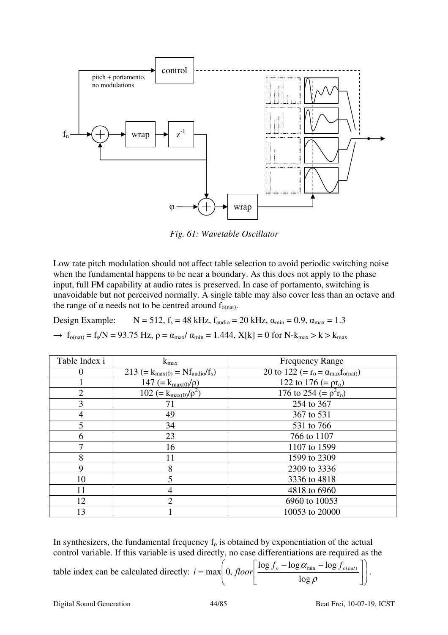

*Fig. 61: Wavetable Oscillator*

Low rate pitch modulation should not affect table selection to avoid periodic switching noise when the fundamental happens to be near a boundary. As this does not apply to the phase input, full FM capability at audio rates is preserved. In case of portamento, switching is unavoidable but not perceived normally. A single table may also cover less than an octave and the range of  $\alpha$  needs not to be centred around  $f_{o(nat)}$ .

Design Example:  $N = 512$ ,  $f_s = 48$  kHz,  $f_{\text{audio}} = 20$  kHz,  $\alpha_{\text{min}} = 0.9$ ,  $\alpha_{\text{max}} = 1.3$ 

 $\rightarrow f_{o(nat)} = f_s/N = 93.75$  Hz,  $ρ = α_{max}/ α_{min} = 1.444$ ,  $X[k] = 0$  for N- $k_{max} > k > k_{max}$ 

| Table Index i  | $k_{max}$                             | <b>Frequency Range</b>                         |
|----------------|---------------------------------------|------------------------------------------------|
|                | $213 (= k_{max(0)} = Nf_{audio}/f_s)$ | 20 to 122 (= $r_o = \alpha_{max} f_{o(nat)}$ ) |
|                | 147 (= $k_{max(0)}/\rho$ )            | 122 to 176 ( $= \rho r_0$ )                    |
| $\overline{2}$ | 102 (= $k_{max(0)}/\rho^2$ )          | 176 to 254 (= $\rho^2 r_o$ )                   |
| 3              | 71                                    | 254 to 367                                     |
| $\overline{4}$ | 49                                    | 367 to 531                                     |
| 5              | 34                                    | 531 to 766                                     |
| 6              | 23                                    | 766 to 1107                                    |
| 7              | 16                                    | 1107 to 1599                                   |
| 8              | 11                                    | 1599 to 2309                                   |
| 9              | 8                                     | 2309 to 3336                                   |
| 10             | 5                                     | 3336 to 4818                                   |
| 11             | 4                                     | 4818 to 6960                                   |
| 12             | $\overline{2}$                        | 6960 to 10053                                  |
| 13             |                                       | 10053 to 20000                                 |

In synthesizers, the fundamental frequency  $f_0$  is obtained by exponentiation of the actual control variable. If this variable is used directly, no case differentiations are required as the

table index can be calculated directly: 
$$
i = max \left( 0, floor \left[ \frac{\log f_o - \log \alpha_{min} - \log f_{o(nat)}}{\log \rho} \right] \right).
$$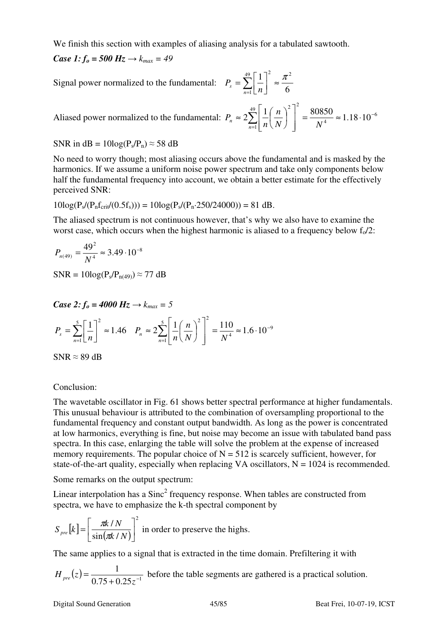We finish this section with examples of aliasing analysis for a tabulated sawtooth.

*Case 1:*  $f_0 = 500 \text{ Hz} \rightarrow k_{max} = 49$ 

Signal power normalized to the fundamental:  $P_s = \sum_{i=1}^{n} P_i$  $\sum_{n=1}^{\infty} \left\lfloor \frac{n}{n} \right\rfloor$   $\approx$ 1 L Γ = 49 1 <sup>2</sup>  $\pi^2$ 6 1 *n*  $\sum_{n=1}^s \lfloor n \rfloor$  $P_{s} = \sum_{n=1}^{\infty} \left| \frac{1}{n} \right| \approx \frac{\pi}{2}$ 

Aliased power normalized to the fundamental: 
$$
P_n \approx 2 \sum_{n=1}^{49} \left[ \frac{1}{n} \left( \frac{n}{N} \right)^2 \right]^2 = \frac{80850}{N^4} \approx 1.18 \cdot 10^{-6}
$$

SNR in  $dB = 10\log(P_s/P_n) \approx 58$  dB

No need to worry though; most aliasing occurs above the fundamental and is masked by the harmonics. If we assume a uniform noise power spectrum and take only components below half the fundamental frequency into account, we obtain a better estimate for the effectively perceived SNR:

$$
10\log(P_s/(P_n f_{crit}/(0.5f_s))) = 10\log(P_s/(P_n \cdot 250/24000)) = 81 dB.
$$

The aliased spectrum is not continuous however, that's why we also have to examine the worst case, which occurs when the highest harmonic is aliased to a frequency below  $f_0/2$ :

$$
P_{n(49)} = \frac{49^2}{N^4} \approx 3.49 \cdot 10^{-8}
$$

 $SNR = 10\log(P_s/P_{n(49)}) \approx 77 \text{ dB}$ 

*Case 2:*  $f_0 = 4000 \text{ Hz} \rightarrow k_{max} = 5$ 

$$
P_s = \sum_{n=1}^{5} \left[ \frac{1}{n} \right]^2 \approx 1.46 \quad P_n \approx 2 \sum_{n=1}^{5} \left[ \frac{1}{n} \left( \frac{n}{N} \right)^2 \right]^2 = \frac{110}{N^4} \approx 1.6 \cdot 10^{-9}
$$

 $SNR \approx 89$  dB

#### Conclusion:

The wavetable oscillator in Fig. 61 shows better spectral performance at higher fundamentals. This unusual behaviour is attributed to the combination of oversampling proportional to the fundamental frequency and constant output bandwidth. As long as the power is concentrated at low harmonics, everything is fine, but noise may become an issue with tabulated band pass spectra. In this case, enlarging the table will solve the problem at the expense of increased memory requirements. The popular choice of  $N = 512$  is scarcely sufficient, however, for state-of-the-art quality, especially when replacing VA oscillators,  $N = 1024$  is recommended.

Some remarks on the output spectrum:

Linear interpolation has a  $Sinc^2$  frequency response. When tables are constructed from spectra, we have to emphasize the k-th spectral component by

$$
S_{pre}[k] = \left[\frac{\pi k / N}{\sin(\pi k / N)}\right]^2
$$
 in order to preserve the hights.

The same applies to a signal that is extracted in the time domain. Prefiltering it with

 $(z) = \frac{1}{0.75 + 0.25z^{-1}}$ 1  $+0.25z^{-}$ =  $H_{pre}(z) = \frac{1}{0.75 + 0.25z^{-1}}$  before the table segments are gathered is a practical solution.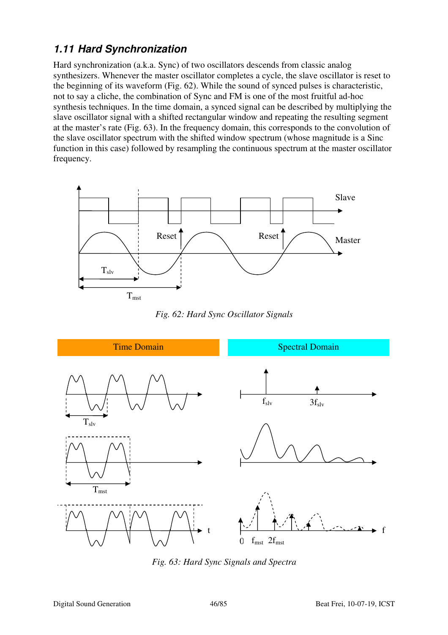# **1.11 Hard Synchronization**

Hard synchronization (a.k.a. Sync) of two oscillators descends from classic analog synthesizers. Whenever the master oscillator completes a cycle, the slave oscillator is reset to the beginning of its waveform (Fig. 62). While the sound of synced pulses is characteristic, not to say a cliche, the combination of Sync and FM is one of the most fruitful ad-hoc synthesis techniques. In the time domain, a synced signal can be described by multiplying the slave oscillator signal with a shifted rectangular window and repeating the resulting segment at the master's rate (Fig. 63). In the frequency domain, this corresponds to the convolution of the slave oscillator spectrum with the shifted window spectrum (whose magnitude is a Sinc function in this case) followed by resampling the continuous spectrum at the master oscillator frequency.



*Fig. 62: Hard Sync Oscillator Signals* 



*Fig. 63: Hard Sync Signals and Spectra*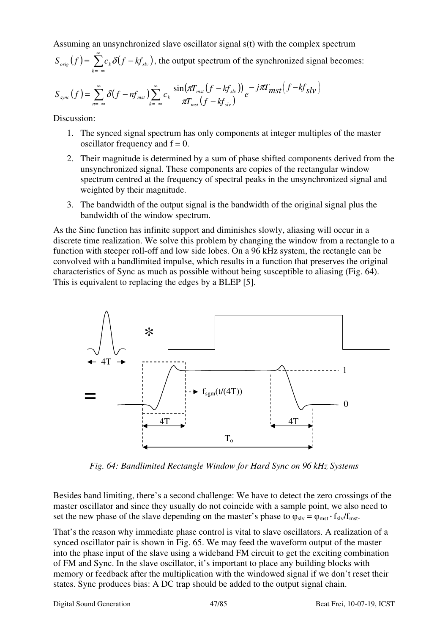Assuming an unsynchronized slave oscillator signal s(t) with the complex spectrum

$$
S_{\text{orig}}(f) = \sum_{k=-\infty}^{\infty} c_k \delta(f - kf_{\text{sky}}),
$$
 the output spectrum of the synchronized signal becomes:

$$
S_{sync}(f) = \sum_{n=-\infty}^{\infty} \delta(f - nf_{mst}) \sum_{k=-\infty}^{\infty} c_k \frac{\sin(\pi T_{mst}(f - kf_{slv}))}{\pi T_{mst}(f - kf_{slv})} e^{-j\pi T_{mst}(f - kf_{slv})}
$$

Discussion:

- 1. The synced signal spectrum has only components at integer multiples of the master oscillator frequency and  $f = 0$ .
- 2. Their magnitude is determined by a sum of phase shifted components derived from the unsynchronized signal. These components are copies of the rectangular window spectrum centred at the frequency of spectral peaks in the unsynchronized signal and weighted by their magnitude.
- 3. The bandwidth of the output signal is the bandwidth of the original signal plus the bandwidth of the window spectrum.

As the Sinc function has infinite support and diminishes slowly, aliasing will occur in a discrete time realization. We solve this problem by changing the window from a rectangle to a function with steeper roll-off and low side lobes. On a 96 kHz system, the rectangle can be convolved with a bandlimited impulse, which results in a function that preserves the original characteristics of Sync as much as possible without being susceptible to aliasing (Fig. 64). This is equivalent to replacing the edges by a BLEP [5].



*Fig. 64: Bandlimited Rectangle Window for Hard Sync on 96 kHz Systems* 

Besides band limiting, there's a second challenge: We have to detect the zero crossings of the master oscillator and since they usually do not coincide with a sample point, we also need to set the new phase of the slave depending on the master's phase to  $\varphi_{\rm slv} = \varphi_{\rm msf} \cdot f_{\rm slv}/f_{\rm msf}$ .

That's the reason why immediate phase control is vital to slave oscillators. A realization of a synced oscillator pair is shown in Fig. 65. We may feed the waveform output of the master into the phase input of the slave using a wideband FM circuit to get the exciting combination of FM and Sync. In the slave oscillator, it's important to place any building blocks with memory or feedback after the multiplication with the windowed signal if we don't reset their states. Sync produces bias: A DC trap should be added to the output signal chain.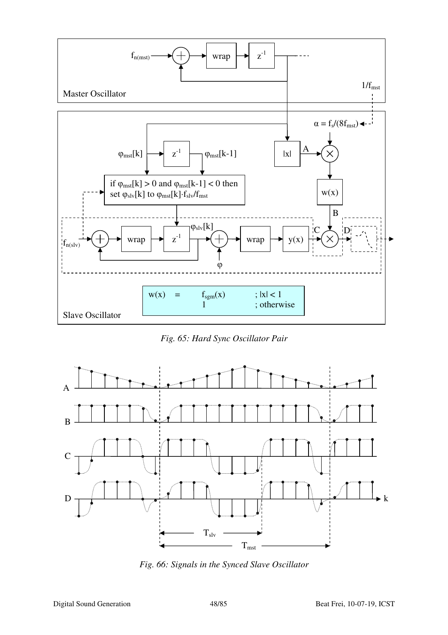

*Fig. 65: Hard Sync Oscillator Pair* 



*Fig. 66: Signals in the Synced Slave Oscillator*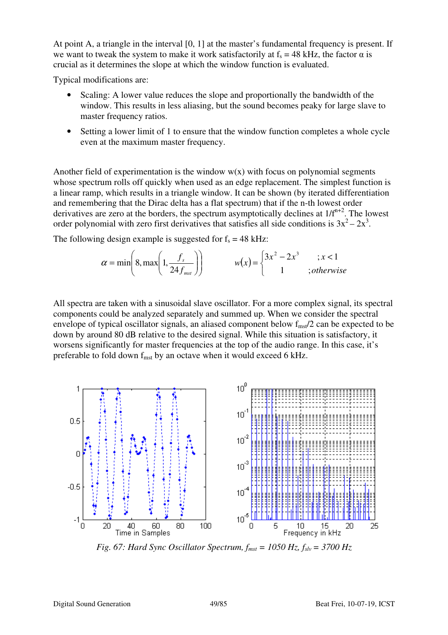At point A, a triangle in the interval [0, 1] at the master's fundamental frequency is present. If we want to tweak the system to make it work satisfactorily at  $f_s = 48$  kHz, the factor  $\alpha$  is crucial as it determines the slope at which the window function is evaluated.

Typical modifications are:

- Scaling: A lower value reduces the slope and proportionally the bandwidth of the window. This results in less aliasing, but the sound becomes peaky for large slave to master frequency ratios.
- Setting a lower limit of 1 to ensure that the window function completes a whole cycle even at the maximum master frequency.

Another field of experimentation is the window  $w(x)$  with focus on polynomial segments whose spectrum rolls off quickly when used as an edge replacement. The simplest function is a linear ramp, which results in a triangle window. It can be shown (by iterated differentiation and remembering that the Dirac delta has a flat spectrum) that if the n-th lowest order derivatives are zero at the borders, the spectrum asymptotically declines at  $1/f^{n+2}$ . The lowest order polynomial with zero first derivatives that satisfies all side conditions is  $3x^2 - 2x^3$ .

The following design example is suggested for  $f_s = 48$  kHz:

$$
\alpha = \min\left(8, \max\left(1, \frac{f_s}{24 f_{\text{mst}}}\right)\right) \qquad \qquad w(x) = \begin{cases} 3x^2 - 2x^3 & \text{if } x < 1 \\ 1 & \text{; otherwise} \end{cases}
$$

All spectra are taken with a sinusoidal slave oscillator. For a more complex signal, its spectral components could be analyzed separately and summed up. When we consider the spectral envelope of typical oscillator signals, an aliased component below  $f_{mst}/2$  can be expected to be down by around 80 dB relative to the desired signal. While this situation is satisfactory, it worsens significantly for master frequencies at the top of the audio range. In this case, it's preferable to fold down  $f_{\text{mst}}$  by an octave when it would exceed 6 kHz.



*Fig. 67: Hard Sync Oscillator Spectrum,*  $f_{mst} = 1050$  *Hz,*  $f_{slv} = 3700$  *Hz*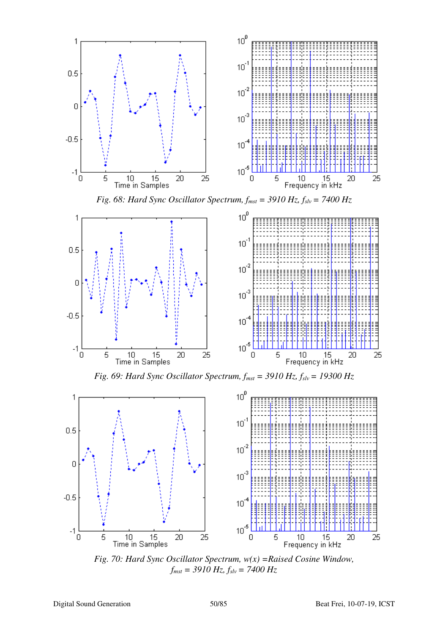

*Fig. 70: Hard Sync Oscillator Spectrum, w(x) =Raised Cosine Window, fmst = 3910 Hz, fslv = 7400 Hz*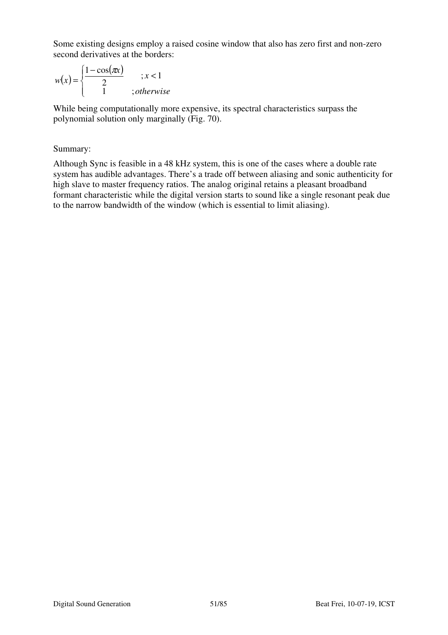Some existing designs employ a raised cosine window that also has zero first and non-zero second derivatives at the borders:

$$
w(x) = \begin{cases} \frac{1 - \cos(\pi x)}{2} & \text{if } x < 1 \\ 1 & \text{if } x \text{ is } x \end{cases}
$$

While being computationally more expensive, its spectral characteristics surpass the polynomial solution only marginally (Fig. 70).

#### Summary:

Although Sync is feasible in a 48 kHz system, this is one of the cases where a double rate system has audible advantages. There's a trade off between aliasing and sonic authenticity for high slave to master frequency ratios. The analog original retains a pleasant broadband formant characteristic while the digital version starts to sound like a single resonant peak due to the narrow bandwidth of the window (which is essential to limit aliasing).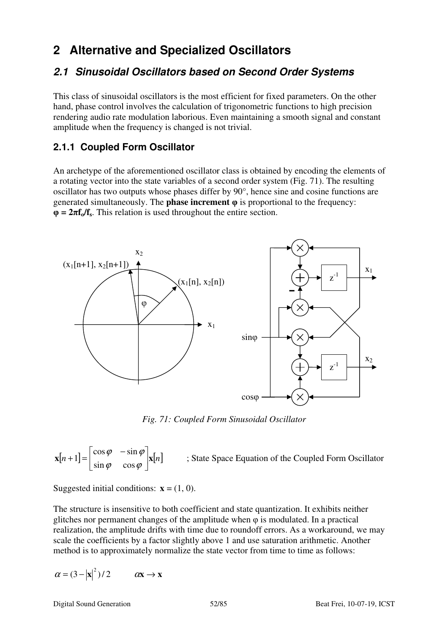# **2 Alternative and Specialized Oscillators**

# **2.1 Sinusoidal Oscillators based on Second Order Systems**

This class of sinusoidal oscillators is the most efficient for fixed parameters. On the other hand, phase control involves the calculation of trigonometric functions to high precision rendering audio rate modulation laborious. Even maintaining a smooth signal and constant amplitude when the frequency is changed is not trivial.

## **2.1.1 Coupled Form Oscillator**

An archetype of the aforementioned oscillator class is obtained by encoding the elements of a rotating vector into the state variables of a second order system (Fig. 71). The resulting oscillator has two outputs whose phases differ by 90°, hence sine and cosine functions are generated simultaneously. The **phase increment** φ is proportional to the frequency:  $\Phi = 2\pi f_o/f_s$ . This relation is used throughout the entire section.



*Fig. 71: Coupled Form Sinusoidal Oscillator* 

 $\mathbf{x}[n+1] = \begin{vmatrix} \cos \varphi & -\sin \varphi \\ \sin \varphi & \cos \varphi \end{vmatrix} \mathbf{x}[n]$  $\overline{\phantom{a}}$ ┐  $\mathsf{L}$ L  $\lceil \cos \varphi \rceil +1 =$  $\varphi$  cos  $\varphi$  $\varphi$  – sin  $\varphi$  $\sin \varphi$  cos  $\cos \varphi$  -sin 1 ; State Space Equation of the Coupled Form Oscillator

Suggested initial conditions:  $\mathbf{x} = (1, 0)$ .

The structure is insensitive to both coefficient and state quantization. It exhibits neither glitches nor permanent changes of the amplitude when  $\varphi$  is modulated. In a practical realization, the amplitude drifts with time due to roundoff errors. As a workaround, we may scale the coefficients by a factor slightly above 1 and use saturation arithmetic. Another method is to approximately normalize the state vector from time to time as follows:

$$
\alpha = (3 - |\mathbf{x}|^2)/2 \qquad \alpha \mathbf{x} \to \mathbf{x}
$$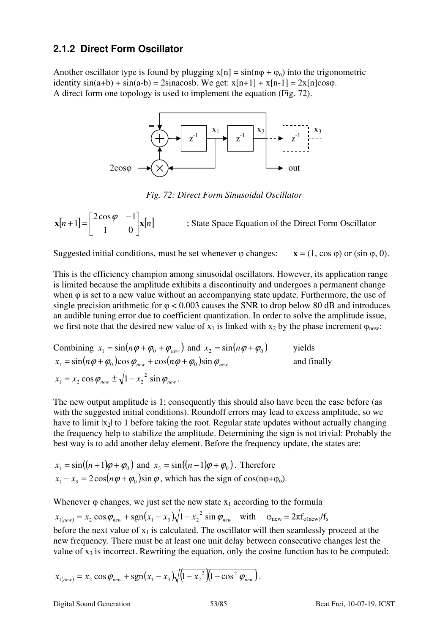#### **2.1.2 Direct Form Oscillator**

Another oscillator type is found by plugging  $x[n] = sin(n\varphi + \varphi_0)$  into the trigonometric identity  $sin(a+b) + sin(a-b) = 2sinacosb$ . We get:  $x[n+1] + x[n-1] = 2x[n]cos\varphi$ . A direct form one topology is used to implement the equation (Fig. 72).



*Fig. 72: Direct Form Sinusoidal Oscillator* 

 $\mathbf{x}[n+1] = \begin{vmatrix} 2\cos\varphi & -1 \\ 1 & 0 \end{vmatrix} \mathbf{x}[n]$ 」 1  $\mathsf{L}$ L  $\lceil 2\cos\varphi \rceil +1 =$ 1 0  $2\cos\varphi$  -1  $1 = \left| \frac{2 \cos \varphi}{4} \right|$ ; State Space Equation of the Direct Form Oscillator

Suggested initial conditions, must be set whenever  $\varphi$  changes:  $\mathbf{x} = (1, \cos \varphi)$  or  $(\sin \varphi, 0)$ .

This is the efficiency champion among sinusoidal oscillators. However, its application range is limited because the amplitude exhibits a discontinuity and undergoes a permanent change when φ is set to a new value without an accompanying state update. Furthermore, the use of single precision arithmetic for  $\varphi$  < 0.003 causes the SNR to drop below 80 dB and introduces an audible tuning error due to coefficient quantization. In order to solve the amplitude issue, we first note that the desired new value of  $x_1$  is linked with  $x_2$  by the phase increment  $\varphi_{\text{new}}$ .

Combining 
$$
x_1 = \sin(n\varphi + \varphi_0 + \varphi_{new})
$$
 and  $x_2 = \sin(n\varphi + \varphi_0)$  yields  
\n $x_1 = \sin(n\varphi + \varphi_0)\cos\varphi_{new} + \cos(n\varphi + \varphi_0)\sin\varphi_{new}$  and finally  
\n $x_1 = x_2 \cos\varphi_{new} \pm \sqrt{1 - x_2^2} \sin\varphi_{new}$ .

The new output amplitude is 1; consequently this should also have been the case before (as with the suggested initial conditions). Roundoff errors may lead to excess amplitude, so we have to limit  $|x_2|$  to 1 before taking the root. Regular state updates without actually changing the frequency help to stabilize the amplitude. Determining the sign is not trivial: Probably the best way is to add another delay element. Before the frequency update, the states are:

$$
x_1 = \sin((n+1)\varphi + \varphi_0) \text{ and } x_3 = \sin((n-1)\varphi + \varphi_0).
$$
 Therefore  

$$
x_1 - x_3 = 2\cos(n\varphi + \varphi_0)\sin\varphi, \text{ which has the sign of } \cos(n\varphi + \varphi_0).
$$

Whenever  $\varphi$  changes, we just set the new state  $x_1$  according to the formula

 $x_{1(new)} = x_2 \cos \varphi_{new} + \text{sgn}(x_1 - x_3)\sqrt{1 - x_2^2} \sin \varphi_{new}$  with  $\varphi_{new} = 2\pi f_{o(new)}/f_s$ before the next value of  $x_1$  is calculated. The oscillator will then seamlessly proceed at the new frequency. There must be at least one unit delay between consecutive changes lest the value of  $x_3$  is incorrect. Rewriting the equation, only the cosine function has to be computed:

$$
x_{1(new)} = x_2 \cos \varphi_{new} + \text{sgn}(x_1 - x_3) \sqrt{(1 - {x_2}^2)(1 - \cos^2 \varphi_{new})}.
$$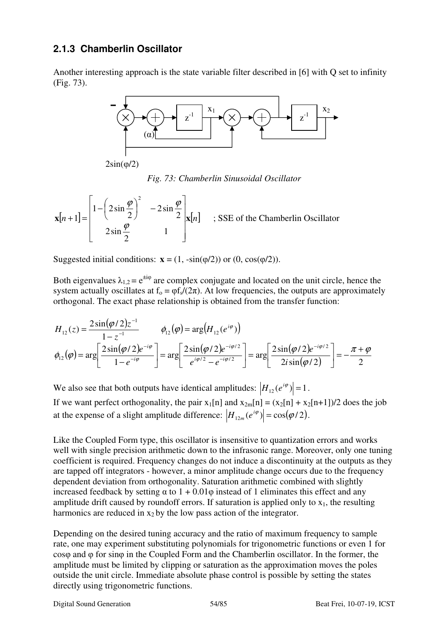## **2.1.3 Chamberlin Oscillator**

Another interesting approach is the state variable filter described in [6] with Q set to infinity (Fig. 73).



2sin(φ/2)

*Fig. 73: Chamberlin Sinusoidal Oscillator* 

$$
\mathbf{x}[n+1] = \begin{bmatrix} 1 - \left(2\sin\frac{\varphi}{2}\right)^2 & -2\sin\frac{\varphi}{2} \\ 2\sin\frac{\varphi}{2} & 1 \end{bmatrix} \mathbf{x}[n] \quad ; \text{SSE of the Chamberlin Oscillator}
$$

Suggested initial conditions:  $\mathbf{x} = (1, -\sin(\phi/2))$  or  $(0, \cos(\phi/2))$ .

Both eigenvalues  $\lambda_{1,2} = e^{\pm i\varphi}$  are complex conjugate and located on the unit circle, hence the system actually oscillates at  $f_0 = \varphi f_s/(2\pi)$ . At low frequencies, the outputs are approximately orthogonal. The exact phase relationship is obtained from the transfer function:

$$
H_{12}(z) = \frac{2\sin(\varphi/2)z^{-1}}{1-z^{-1}} \qquad \phi_{12}(\varphi) = \arg\left(H_{12}(e^{i\varphi})\right)
$$

$$
\phi_{12}(\varphi) = \arg\left[\frac{2\sin(\varphi/2)e^{-i\varphi}}{1-e^{-i\varphi}}\right] = \arg\left[\frac{2\sin(\varphi/2)e^{-i\varphi/2}}{e^{i\varphi/2}-e^{-i\varphi/2}}\right] = \arg\left[\frac{2\sin(\varphi/2)e^{-i\varphi/2}}{2i\sin(\varphi/2)}\right] = -\frac{\pi+\varphi}{2}
$$

We also see that both outputs have identical amplitudes:  $|H_{12}(e^{i\varphi})| = 1$ . If we want perfect orthogonality, the pair  $x_1[n]$  and  $x_{2m}[n] = (x_2[n] + x_2[n+1])/2$  does the job at the expense of a slight amplitude difference:  $|H_{12m}(e^{i\varphi})| = \cos(\varphi/2)$ .

Like the Coupled Form type, this oscillator is insensitive to quantization errors and works well with single precision arithmetic down to the infrasonic range. Moreover, only one tuning coefficient is required. Frequency changes do not induce a discontinuity at the outputs as they are tapped off integrators - however, a minor amplitude change occurs due to the frequency dependent deviation from orthogonality. Saturation arithmetic combined with slightly increased feedback by setting  $\alpha$  to  $1 + 0.01\varphi$  instead of 1 eliminates this effect and any amplitude drift caused by roundoff errors. If saturation is applied only to  $x_1$ , the resulting harmonics are reduced in  $x_2$  by the low pass action of the integrator.

Depending on the desired tuning accuracy and the ratio of maximum frequency to sample rate, one may experiment substituting polynomials for trigonometric functions or even 1 for cosφ and φ for sinφ in the Coupled Form and the Chamberlin oscillator. In the former, the amplitude must be limited by clipping or saturation as the approximation moves the poles outside the unit circle. Immediate absolute phase control is possible by setting the states directly using trigonometric functions.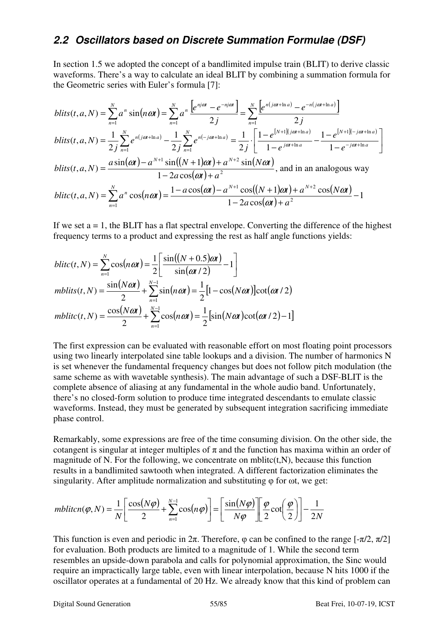# **2.2 Oscillators based on Discrete Summation Formulae (DSF)**

In section 1.5 we adopted the concept of a bandlimited impulse train (BLIT) to derive classic waveforms. There's a way to calculate an ideal BLIT by combining a summation formula for the Geometric series with Euler's formula [7]:

$$
blits(t, a, N) = \sum_{n=1}^{N} a^n \sin(n\omega t) = \sum_{n=1}^{N} a^n \frac{\left[e^{nj\omega t} - e^{-nj\omega t}\right]}{2j} = \sum_{n=1}^{N} \frac{\left[e^{n(j\omega t + \ln a)} - e^{-n(j\omega t + \ln a)}\right]}{2j}
$$
  
\n
$$
blits(t, a, N) = \frac{1}{2j} \sum_{n=1}^{N} e^{n(j\omega t + \ln a)} - \frac{1}{2j} \sum_{n=1}^{N} e^{n(-j\omega t + \ln a)} = \frac{1}{2j} \cdot \left[\frac{1 - e^{\left[N+1\right]\left(j\omega t + \ln a\right)}}{1 - e^{-j\omega t + \ln a}} - \frac{1 - e^{\left[N+1\right]\left(-j\omega t + \ln a\right]}}{1 - e^{-j\omega t + \ln a}}\right]
$$
  
\n
$$
blits(t, a, N) = \frac{a \sin(\omega t) - a^{N+1} \sin((N+1)\omega t) + a^{N+2} \sin(N\omega t)}{1 - 2a \cos(\omega t) + a^2}, \text{ and in an analogous way}
$$
  
\n
$$
blitc(t, a, N) = \sum_{n=1}^{N} a^n \cos(n\omega t) = \frac{1 - a \cos(\omega t) - a^{N+1} \cos((N+1)\omega t) + a^{N+2} \cos(N\omega t)}{1 - 2a \cos(\omega t) + a^2} - 1
$$

If we set  $a = 1$ , the BLIT has a flat spectral envelope. Converting the difference of the highest frequency terms to a product and expressing the rest as half angle functions yields:

$$
blic(t, N) = \sum_{n=1}^{N} \cos(n\omega t) = \frac{1}{2} \left[ \frac{\sin((N+0.5)\omega t)}{\sin(\omega t/2)} - 1 \right]
$$
  

$$
mblits(t, N) = \frac{\sin(N\omega t)}{2} + \sum_{n=1}^{N-1} \sin(n\omega t) = \frac{1}{2} [1 - \cos(N\omega t)] \cot(\omega t/2)
$$
  

$$
mblict(t, N) = \frac{\cos(N\omega t)}{2} + \sum_{n=1}^{N-1} \cos(n\omega t) = \frac{1}{2} [\sin(N\omega t) \cot(\omega t/2) - 1]
$$

The first expression can be evaluated with reasonable effort on most floating point processors using two linearly interpolated sine table lookups and a division. The number of harmonics N is set whenever the fundamental frequency changes but does not follow pitch modulation (the same scheme as with wavetable synthesis). The main advantage of such a DSF-BLIT is the complete absence of aliasing at any fundamental in the whole audio band. Unfortunately, there's no closed-form solution to produce time integrated descendants to emulate classic waveforms. Instead, they must be generated by subsequent integration sacrificing immediate phase control.

Remarkably, some expressions are free of the time consuming division. On the other side, the cotangent is singular at integer multiples of  $\pi$  and the function has maxima within an order of magnitude of N. For the following, we concentrate on mblitc $(t, N)$ , because this function results in a bandlimited sawtooth when integrated. A different factorization eliminates the singularity. After amplitude normalization and substituting  $\varphi$  for  $\omega t$ , we get:

$$
mbliton(\varphi, N) = \frac{1}{N} \left[ \frac{\cos(N\varphi)}{2} + \sum_{n=1}^{N-1} \cos(n\varphi) \right] = \left[ \frac{\sin(N\varphi)}{N\varphi} \right] \left[ \frac{\varphi}{2} \cot\left(\frac{\varphi}{2}\right) \right] - \frac{1}{2N}
$$

This function is even and periodic in  $2\pi$ . Therefore,  $\varphi$  can be confined to the range  $[-\pi/2, \pi/2]$ for evaluation. Both products are limited to a magnitude of 1. While the second term resembles an upside-down parabola and calls for polynomial approximation, the Sinc would require an impractically large table, even with linear interpolation, because N hits 1000 if the oscillator operates at a fundamental of 20 Hz. We already know that this kind of problem can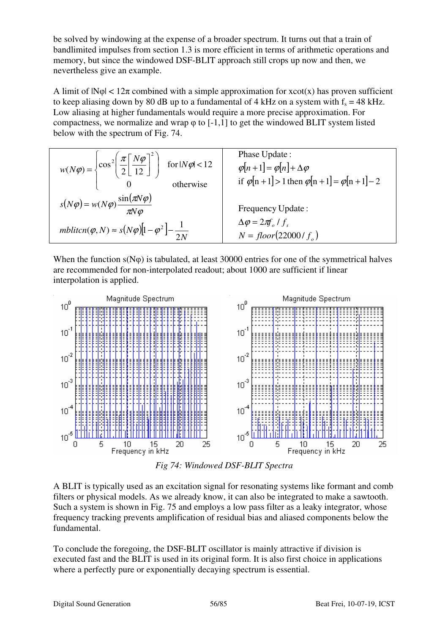be solved by windowing at the expense of a broader spectrum. It turns out that a train of bandlimited impulses from section 1.3 is more efficient in terms of arithmetic operations and memory, but since the windowed DSF-BLIT approach still crops up now and then, we nevertheless give an example.

A limit of  $|\mathcal{N}\varphi| < 12\pi$  combined with a simple approximation for xcot(x) has proven sufficient to keep aliasing down by 80 dB up to a fundamental of 4 kHz on a system with  $f_s = 48$  kHz. Low aliasing at higher fundamentals would require a more precise approximation. For compactness, we normalize and wrap  $\varphi$  to [-1,1] to get the windowed BLIT system listed below with the spectrum of Fig. 74.

| $w(N\varphi) = \left\{ \cos^2 \left( \frac{\pi}{2} \left[ \frac{N\varphi}{12} \right]^2 \right) \text{ for }  N\varphi  < 12 \right\}$<br>otherwise | Phase Update:<br>$\varphi[n+1] = \varphi[n] + \Delta \varphi$<br>if $\varphi[n+1] > 1$ then $\varphi[n+1] = \varphi[n+1] - 2$ |
|-----------------------------------------------------------------------------------------------------------------------------------------------------|-------------------------------------------------------------------------------------------------------------------------------|
| $s(N\varphi) = w(N\varphi) \frac{\sin(\pi N\varphi)}{\pi N\varphi}$                                                                                 | Frequency Update:                                                                                                             |
| $mblicn(\varphi, N) \approx s(N\varphi)[1-\varphi^2]-\frac{1}{2N}$                                                                                  | $\Delta \varphi = 2\pi f_o / f_s$<br>$N = floor(22000/f_{o})$                                                                 |

When the function  $s(N\varphi)$  is tabulated, at least 30000 entries for one of the symmetrical halves are recommended for non-interpolated readout; about 1000 are sufficient if linear interpolation is applied.



*Fig 74: Windowed DSF-BLIT Spectra* 

A BLIT is typically used as an excitation signal for resonating systems like formant and comb filters or physical models. As we already know, it can also be integrated to make a sawtooth. Such a system is shown in Fig. 75 and employs a low pass filter as a leaky integrator, whose frequency tracking prevents amplification of residual bias and aliased components below the fundamental.

To conclude the foregoing, the DSF-BLIT oscillator is mainly attractive if division is executed fast and the BLIT is used in its original form. It is also first choice in applications where a perfectly pure or exponentially decaying spectrum is essential.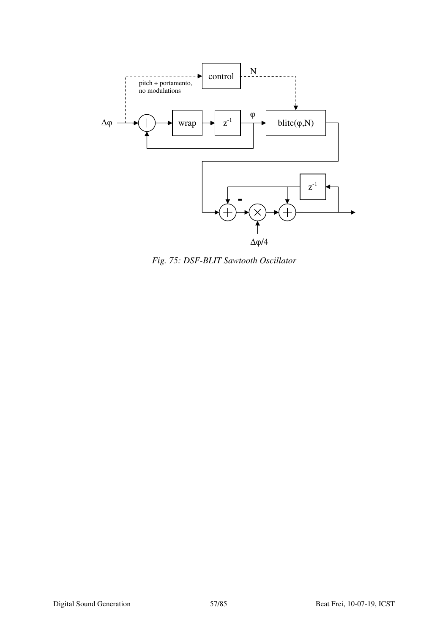

*Fig. 75: DSF-BLIT Sawtooth Oscillator*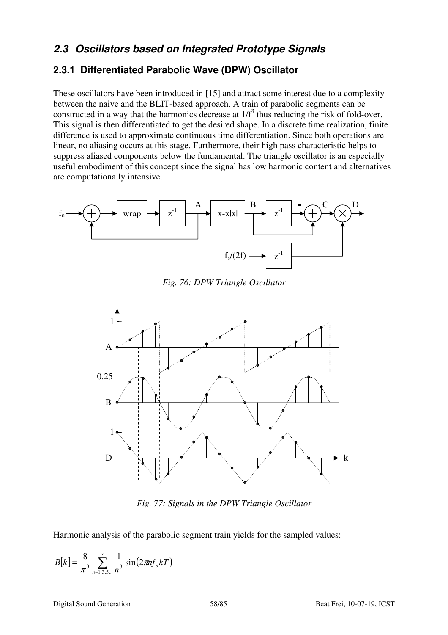# **2.3 Oscillators based on Integrated Prototype Signals**

## **2.3.1 Differentiated Parabolic Wave (DPW) Oscillator**

These oscillators have been introduced in [15] and attract some interest due to a complexity between the naive and the BLIT-based approach. A train of parabolic segments can be constructed in a way that the harmonics decrease at  $1/f<sup>3</sup>$  thus reducing the risk of fold-over. This signal is then differentiated to get the desired shape. In a discrete time realization, finite difference is used to approximate continuous time differentiation. Since both operations are linear, no aliasing occurs at this stage. Furthermore, their high pass characteristic helps to suppress aliased components below the fundamental. The triangle oscillator is an especially useful embodiment of this concept since the signal has low harmonic content and alternatives are computationally intensive.



*Fig. 76: DPW Triangle Oscillator* 



*Fig. 77: Signals in the DPW Triangle Oscillator* 

Harmonic analysis of the parabolic segment train yields for the sampled values:

$$
B[k] = \frac{8}{\pi^3} \sum_{n=1,3,5,..}^{\infty} \frac{1}{n^3} \sin(2\pi n f_o kT)
$$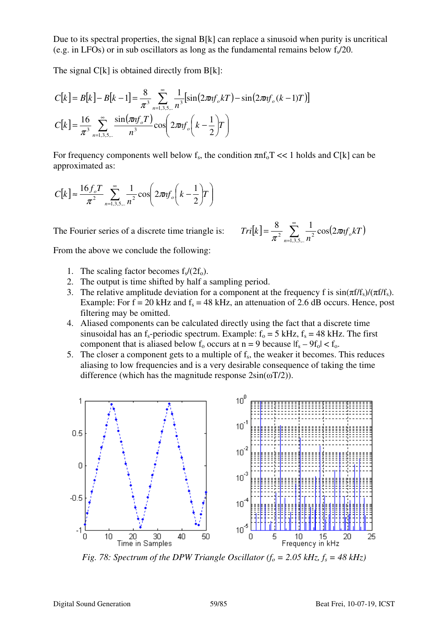Due to its spectral properties, the signal B[k] can replace a sinusoid when purity is uncritical (e.g. in LFOs) or in sub oscillators as long as the fundamental remains below  $f_s/20$ .

The signal  $C[k]$  is obtained directly from  $B[k]$ :

$$
C[k] = B[k] - B[k-1] = \frac{8}{\pi^3} \sum_{n=1,3,5,\dots}^{\infty} \frac{1}{n^3} [\sin(2\pi n f_o kT) - \sin(2\pi n f_o (k-1)T)]
$$
  

$$
C[k] = \frac{16}{\pi^3} \sum_{n=1,3,5,\dots}^{\infty} \frac{\sin(\pi n f_o T)}{n^3} \cos\left(2\pi n f_o \left(k - \frac{1}{2}\right)T\right)
$$

For frequency components well below  $f_s$ , the condition  $\pi n f_0 T \ll 1$  holds and C[k] can be approximated as:

$$
C[k] \approx \frac{16 f_o T}{\pi^2} \sum_{n=1,3,5,...}^{\infty} \frac{1}{n^2} \cos \left( 2 \pi n f_o \left( k - \frac{1}{2} \right) T \right)
$$

The Fourier series of a discrete time triangle is:

$$
Tri[k] = \frac{8}{\pi^2} \sum_{n=1,3,5,..}^{\infty} \frac{1}{n^2} \cos(2\pi n f_o kT)
$$

From the above we conclude the following:

- 1. The scaling factor becomes  $f_s/(2f_o)$ .
- 2. The output is time shifted by half a sampling period.
- 3. The relative amplitude deviation for a component at the frequency f is  $sin(\pi f/f_s)/(\pi f/f_s)$ . Example: For  $f = 20$  kHz and  $f_s = 48$  kHz, an attenuation of 2.6 dB occurs. Hence, post filtering may be omitted.
- 4. Aliased components can be calculated directly using the fact that a discrete time sinusoidal has an f<sub>s</sub>-periodic spectrum. Example:  $f_0 = 5$  kHz,  $f_s = 48$  kHz. The first component that is aliased below  $f_0$  occurs at  $n = 9$  because  $|f_s - 9f_0| < f_0$ .
- 5. The closer a component gets to a multiple of  $f_s$ , the weaker it becomes. This reduces aliasing to low frequencies and is a very desirable consequence of taking the time difference (which has the magnitude response  $2\sin(\omega T/2)$ ).



*Fig. 78: Spectrum of the DPW Triangle Oscillator (* $f<sub>o</sub> = 2.05$  *kHz,*  $f<sub>s</sub> = 48$  *kHz)*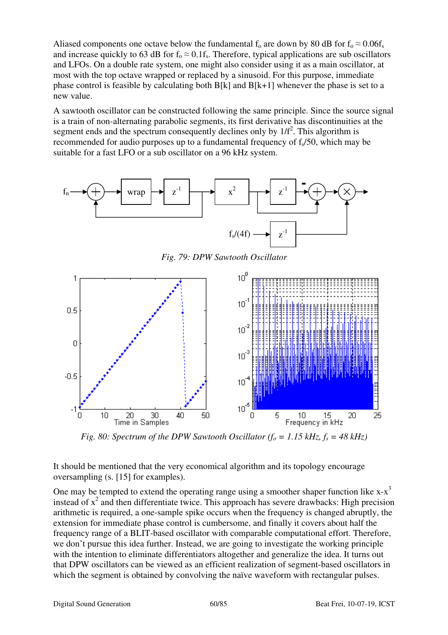Aliased components one octave below the fundamental  $f_0$  are down by 80 dB for  $f_0 \approx 0.06f_s$ and increase quickly to 63 dB for  $f_0 \approx 0.1f_s$ . Therefore, typical applications are sub oscillators and LFOs. On a double rate system, one might also consider using it as a main oscillator, at most with the top octave wrapped or replaced by a sinusoid. For this purpose, immediate phase control is feasible by calculating both  $B[k]$  and  $B[k+1]$  whenever the phase is set to a new value.

A sawtooth oscillator can be constructed following the same principle. Since the source signal is a train of non-alternating parabolic segments, its first derivative has discontinuities at the segment ends and the spectrum consequently declines only by  $1/f<sup>2</sup>$ . This algorithm is recommended for audio purposes up to a fundamental frequency of  $f<sub>s</sub>/50$ , which may be suitable for a fast LFO or a sub oscillator on a 96 kHz system.



*Fig. 79: DPW Sawtooth Oscillator* 



*Fig. 80: Spectrum of the DPW Sawtooth Oscillator (* $f_o = 1.15$  *kHz,*  $f_s = 48$  *kHz)* 

It should be mentioned that the very economical algorithm and its topology encourage oversampling (s. [15] for examples).

One may be tempted to extend the operating range using a smoother shaper function like  $x-x^3$ instead of  $x^2$  and then differentiate twice. This approach has severe drawbacks: High precision arithmetic is required, a one-sample spike occurs when the frequency is changed abruptly, the extension for immediate phase control is cumbersome, and finally it covers about half the frequency range of a BLIT-based oscillator with comparable computational effort. Therefore, we don't pursue this idea further. Instead, we are going to investigate the working principle with the intention to eliminate differentiators altogether and generalize the idea. It turns out that DPW oscillators can be viewed as an efficient realization of segment-based oscillators in which the segment is obtained by convolving the naïve waveform with rectangular pulses.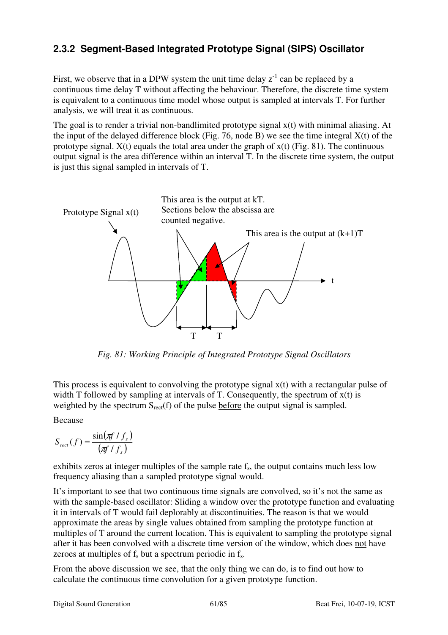# **2.3.2 Segment-Based Integrated Prototype Signal (SIPS) Oscillator**

First, we observe that in a DPW system the unit time delay  $z^{-1}$  can be replaced by a continuous time delay T without affecting the behaviour. Therefore, the discrete time system is equivalent to a continuous time model whose output is sampled at intervals T. For further analysis, we will treat it as continuous.

The goal is to render a trivial non-bandlimited prototype signal x(t) with minimal aliasing. At the input of the delayed difference block (Fig. 76, node B) we see the time integral  $X(t)$  of the prototype signal.  $X(t)$  equals the total area under the graph of  $x(t)$  (Fig. 81). The continuous output signal is the area difference within an interval T. In the discrete time system, the output is just this signal sampled in intervals of T.



*Fig. 81: Working Principle of Integrated Prototype Signal Oscillators*

This process is equivalent to convolving the prototype signal x(t) with a rectangular pulse of width T followed by sampling at intervals of T. Consequently, the spectrum of  $x(t)$  is weighted by the spectrum  $S_{rect}(f)$  of the pulse before the output signal is sampled.

Because

$$
S_{rect}(f) = \frac{\sin(\pi f/f_s)}{(\pi f/f_s)}
$$

exhibits zeros at integer multiples of the sample rate  $f_s$ , the output contains much less low frequency aliasing than a sampled prototype signal would.

It's important to see that two continuous time signals are convolved, so it's not the same as with the sample-based oscillator: Sliding a window over the prototype function and evaluating it in intervals of T would fail deplorably at discontinuities. The reason is that we would approximate the areas by single values obtained from sampling the prototype function at multiples of T around the current location. This is equivalent to sampling the prototype signal after it has been convolved with a discrete time version of the window, which does not have zeroes at multiples of  $f_s$  but a spectrum periodic in  $f_s$ .

From the above discussion we see, that the only thing we can do, is to find out how to calculate the continuous time convolution for a given prototype function.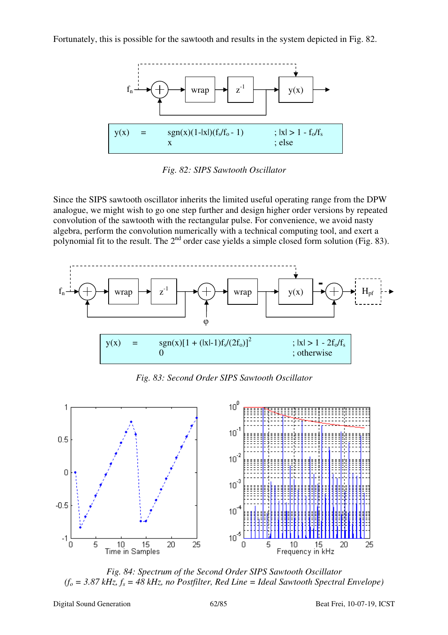Fortunately, this is possible for the sawtooth and results in the system depicted in Fig. 82.



*Fig. 82: SIPS Sawtooth Oscillator* 

Since the SIPS sawtooth oscillator inherits the limited useful operating range from the DPW analogue, we might wish to go one step further and design higher order versions by repeated convolution of the sawtooth with the rectangular pulse. For convenience, we avoid nasty algebra, perform the convolution numerically with a technical computing tool, and exert a polynomial fit to the result. The  $2<sup>nd</sup>$  order case yields a simple closed form solution (Fig. 83).



*Fig. 83: Second Order SIPS Sawtooth Oscillator* 



*Fig. 84: Spectrum of the Second Order SIPS Sawtooth Oscillator*   $(f<sub>o</sub> = 3.87 kHz, f<sub>s</sub> = 48 kHz, no Postfilter, Red Line = Ideal Sawtooth Spectral Envelope)$ 

Digital Sound Generation 62/85 Beat Frei, 10-07-19, ICST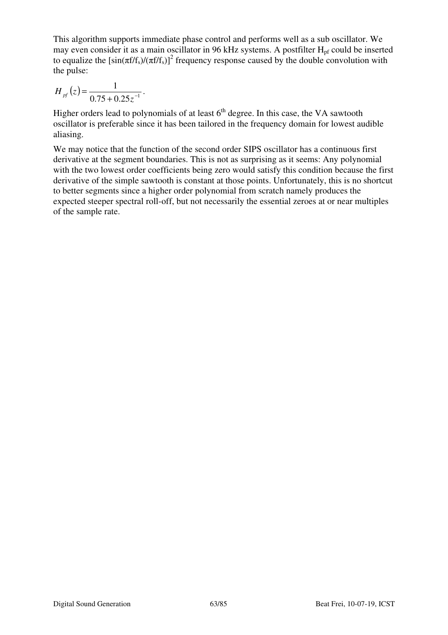This algorithm supports immediate phase control and performs well as a sub oscillator. We may even consider it as a main oscillator in 96 kHz systems. A postfilter  $H_{pf}$  could be inserted to equalize the  $\left[\sin(\pi f/f_s)/(\pi f/f_s)\right]^2$  frequency response caused by the double convolution with the pulse:

$$
H_{\text{pf}}(z) = \frac{1}{0.75 + 0.25z^{-1}}.
$$

Higher orders lead to polynomials of at least  $6<sup>th</sup>$  degree. In this case, the VA sawtooth oscillator is preferable since it has been tailored in the frequency domain for lowest audible aliasing.

We may notice that the function of the second order SIPS oscillator has a continuous first derivative at the segment boundaries. This is not as surprising as it seems: Any polynomial with the two lowest order coefficients being zero would satisfy this condition because the first derivative of the simple sawtooth is constant at those points. Unfortunately, this is no shortcut to better segments since a higher order polynomial from scratch namely produces the expected steeper spectral roll-off, but not necessarily the essential zeroes at or near multiples of the sample rate.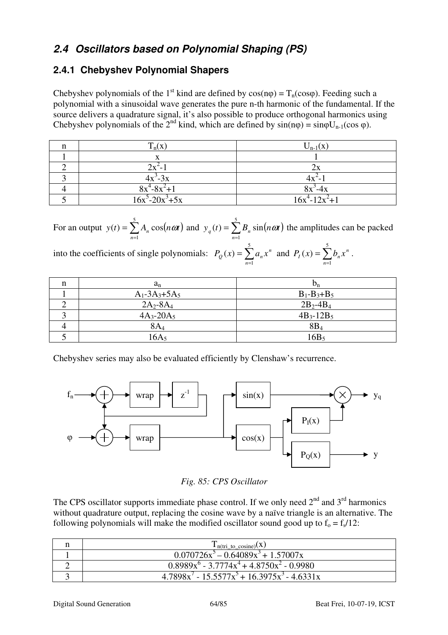# **2.4 Oscillators based on Polynomial Shaping (PS)**

# **2.4.1 Chebyshev Polynomial Shapers**

Chebyshev polynomials of the 1<sup>st</sup> kind are defined by  $cos(np) = T_n(cos\varphi)$ . Feeding such a polynomial with a sinusoidal wave generates the pure n-th harmonic of the fundamental. If the source delivers a quadrature signal, it's also possible to produce orthogonal harmonics using Chebyshev polynomials of the  $2^{nd}$  kind, which are defined by  $sin(np) = sin\varphi U_{n-1}(cos \varphi)$ .

| n | $T_n(x)$             | $U_{n-1}(x)$        |
|---|----------------------|---------------------|
|   |                      |                     |
|   | $2x^2 -$             | 2х                  |
|   | $4x^3-3x$            | $4x^2-$             |
|   | $8x^4 - 8x^2 + 1$    | $8x^3-4x$           |
|   | $16x^5 - 20x^3 + 5x$ | $16x^4 - 12x^2 + 1$ |

For an output  $y(t) = \sum_{n=1}^{\infty} A_n \cos(n\omega t)$ = = 5 1  $(t) = \sum A_n \cos$ *n*  $y(t) = \sum_{n=1}^{\infty} A_n \cos(n\omega t)$  and  $y_q(t) = \sum_{n=1}^{\infty} B_n \sin(n\omega t)$ = = 5 1  $(t) = \sum B_n \sin$ *n*  $y_q(t) = \sum B_n \sin(n\omega t)$  the amplitudes can be packed

into the coefficients of single polynomials:  $P_Q(x) = \sum_{n=1}^{\infty}$ = = 5 1  $\left( x\right)$ *n*  $P_Q(x) = \sum_{n=1}^{\infty} a_n x^n$  and  $P_I(x) = \sum_{n=1}^{\infty} a_n x^n$ = = 5 1  $\left( x\right)$ *n*  $P_{I}(x) = \sum b_{n} x^{n}$ .

| n | $a_n$               | $D_n$             |
|---|---------------------|-------------------|
|   | $A_1 - 3A_3 + 5A_5$ | $B_1 - B_3 + B_5$ |
|   | $2A_2 - 8A_4$       | $2B_2 - 4B_4$     |
|   | $4A_3 - 20A_5$      | $4B_3 - 12B_5$    |
|   | 8A <sub>4</sub>     | $8B_4$            |
|   | $16A_5$             | 16B <sub>5</sub>  |

Chebyshev series may also be evaluated efficiently by Clenshaw's recurrence.



*Fig. 85: CPS Oscillator*

The CPS oscillator supports immediate phase control. If we only need  $2<sup>nd</sup>$  and  $3<sup>rd</sup>$  harmonics without quadrature output, replacing the cosine wave by a naïve triangle is an alternative. The following polynomials will make the modified oscillator sound good up to  $f_0 = f_s/12$ :

| $T_{n(tri_to_cosine)}(x)$                             |
|-------------------------------------------------------|
| $0.070726x^3 - 0.64089x^3 + 1.57007x$                 |
| $0.8989x^{6} - 3.7774x^{4} + 4.8750x^{2} - 0.9980$    |
| $4.7898x^{7} - 15.5577x^{5} + 16.3975x^{3} - 4.6331x$ |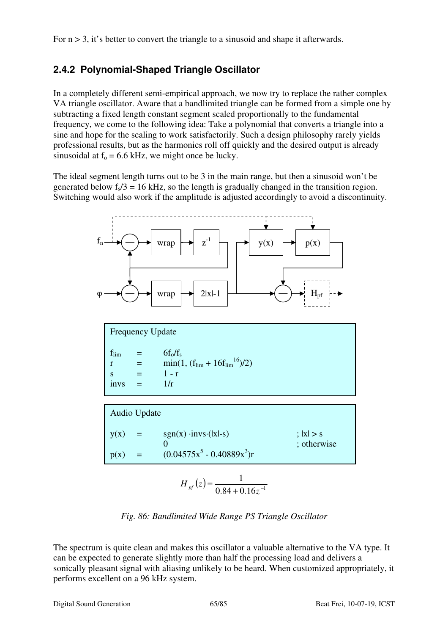For  $n > 3$ , it's better to convert the triangle to a sinusoid and shape it afterwards.

# **2.4.2 Polynomial-Shaped Triangle Oscillator**

In a completely different semi-empirical approach, we now try to replace the rather complex VA triangle oscillator. Aware that a bandlimited triangle can be formed from a simple one by subtracting a fixed length constant segment scaled proportionally to the fundamental frequency, we come to the following idea: Take a polynomial that converts a triangle into a sine and hope for the scaling to work satisfactorily. Such a design philosophy rarely yields professional results, but as the harmonics roll off quickly and the desired output is already sinusoidal at  $f_0 = 6.6$  kHz, we might once be lucky.

The ideal segment length turns out to be 3 in the main range, but then a sinusoid won't be generated below  $f_s/3 = 16$  kHz, so the length is gradually changed in the transition region. Switching would also work if the amplitude is adjusted accordingly to avoid a discontinuity.



$$
H_{\text{pf}}(z) = \frac{1}{0.84 + 0.16z^{-1}}
$$

*Fig. 86: Bandlimited Wide Range PS Triangle Oscillator*

The spectrum is quite clean and makes this oscillator a valuable alternative to the VA type. It can be expected to generate slightly more than half the processing load and delivers a sonically pleasant signal with aliasing unlikely to be heard. When customized appropriately, it performs excellent on a 96 kHz system.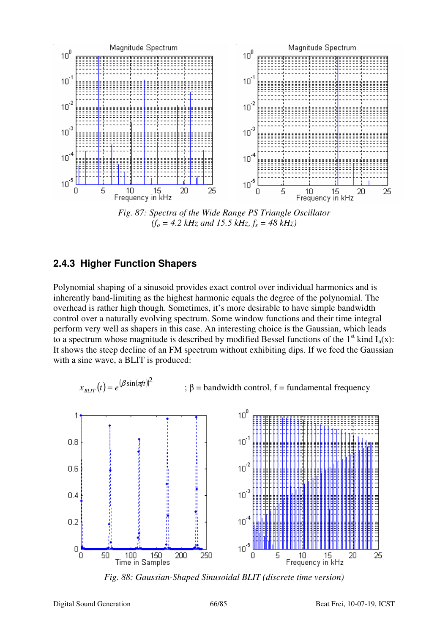

*Fig. 87: Spectra of the Wide Range PS Triangle Oscillator*   $(f<sub>o</sub> = 4.2 kHz$  and 15.5 kHz,  $f<sub>s</sub> = 48 kHz$ )

#### **2.4.3 Higher Function Shapers**

Polynomial shaping of a sinusoid provides exact control over individual harmonics and is inherently band-limiting as the highest harmonic equals the degree of the polynomial. The overhead is rather high though. Sometimes, it's more desirable to have simple bandwidth control over a naturally evolving spectrum. Some window functions and their time integral perform very well as shapers in this case. An interesting choice is the Gaussian, which leads to a spectrum whose magnitude is described by modified Bessel functions of the 1<sup>st</sup> kind  $I_n(x)$ : It shows the steep decline of an FM spectrum without exhibiting dips. If we feed the Gaussian with a sine wave, a BLIT is produced:

$$
x_{BLIT}(t) = e^{(\beta \sin(\pi t))^2}
$$
 ;  $\beta$  = bandwidth control, f = fundamental frequency



*Fig. 88: Gaussian-Shaped Sinusoidal BLIT (discrete time version)*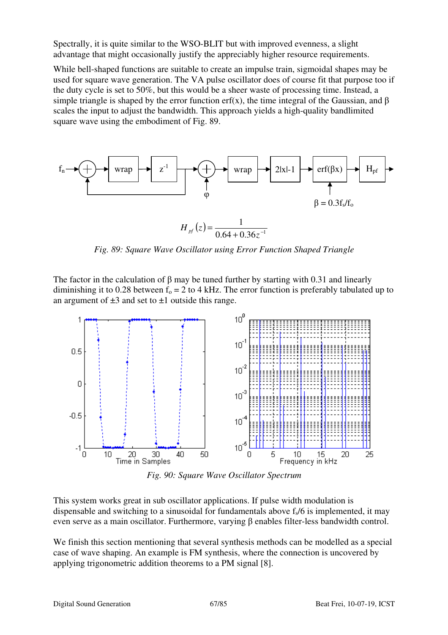Spectrally, it is quite similar to the WSO-BLIT but with improved evenness, a slight advantage that might occasionally justify the appreciably higher resource requirements.

While bell-shaped functions are suitable to create an impulse train, sigmoidal shapes may be used for square wave generation. The VA pulse oscillator does of course fit that purpose too if the duty cycle is set to 50%, but this would be a sheer waste of processing time. Instead, a simple triangle is shaped by the error function erf(x), the time integral of the Gaussian, and  $\beta$ scales the input to adjust the bandwidth. This approach yields a high-quality bandlimited square wave using the embodiment of Fig. 89.



*Fig. 89: Square Wave Oscillator using Error Function Shaped Triangle* 

The factor in the calculation of β may be tuned further by starting with 0.31 and linearly diminishing it to 0.28 between  $f_0 = 2$  to 4 kHz. The error function is preferably tabulated up to an argument of  $\pm 3$  and set to  $\pm 1$  outside this range.



*Fig. 90: Square Wave Oscillator Spectrum* 

This system works great in sub oscillator applications. If pulse width modulation is dispensable and switching to a sinusoidal for fundamentals above  $f<sub>s</sub>/6$  is implemented, it may even serve as a main oscillator. Furthermore, varying β enables filter-less bandwidth control.

We finish this section mentioning that several synthesis methods can be modelled as a special case of wave shaping. An example is FM synthesis, where the connection is uncovered by applying trigonometric addition theorems to a PM signal [8].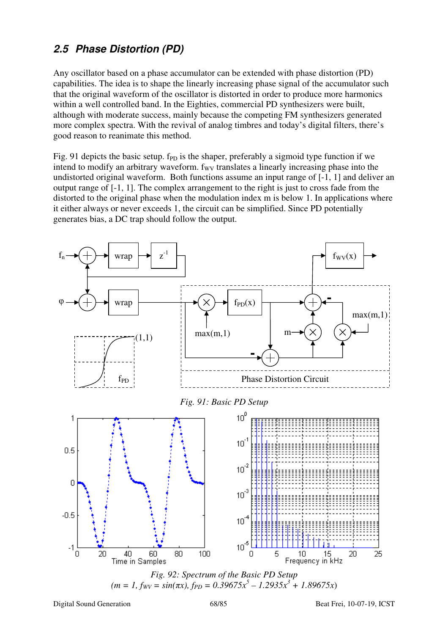# **2.5 Phase Distortion (PD)**

Any oscillator based on a phase accumulator can be extended with phase distortion (PD) capabilities. The idea is to shape the linearly increasing phase signal of the accumulator such that the original waveform of the oscillator is distorted in order to produce more harmonics within a well controlled band. In the Eighties, commercial PD synthesizers were built, although with moderate success, mainly because the competing FM synthesizers generated more complex spectra. With the revival of analog timbres and today's digital filters, there's good reason to reanimate this method.

Fig. 91 depicts the basic setup.  $f_{PD}$  is the shaper, preferably a sigmoid type function if we intend to modify an arbitrary waveform.  $f_{\rm WV}$  translates a linearly increasing phase into the undistorted original waveform. Both functions assume an input range of [-1, 1] and deliver an output range of [-1, 1]. The complex arrangement to the right is just to cross fade from the distorted to the original phase when the modulation index m is below 1. In applications where it either always or never exceeds 1, the circuit can be simplified. Since PD potentially generates bias, a DC trap should follow the output.



*Fig. 92: Spectrum of the Basic PD Setup*   $(m = 1, f_{WV} = \sin(\pi x), f_{PD} = 0.39675x^5 - 1.2935x^3 + 1.89675x$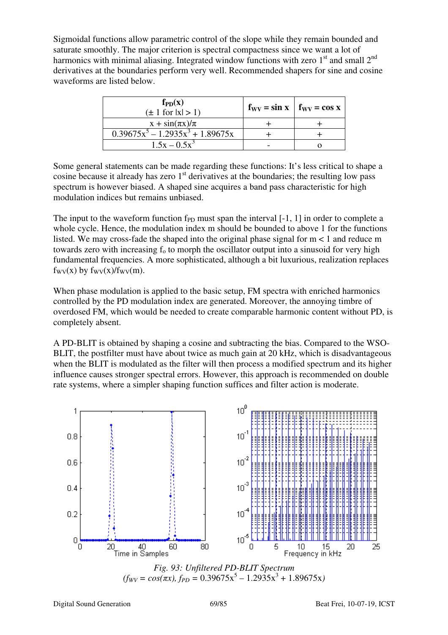Sigmoidal functions allow parametric control of the slope while they remain bounded and saturate smoothly. The major criterion is spectral compactness since we want a lot of harmonics with minimal aliasing. Integrated window functions with zero  $1<sup>st</sup>$  and small  $2<sup>nd</sup>$ derivatives at the boundaries perform very well. Recommended shapers for sine and cosine waveforms are listed below.

| $f_{PD}(x)$<br>$(\pm 1$ for $ x  > 1$ ) | $f_{\rm WV} = \sin x$   $f_{\rm WV} = \cos x$ |  |
|-----------------------------------------|-----------------------------------------------|--|
| $x + \sin(\pi x)/\pi$                   |                                               |  |
| $0.39675x^5 - 1.2935x^3 + 1.89675x$     |                                               |  |
| $1.5x - 0.5x^3$                         |                                               |  |

Some general statements can be made regarding these functions: It's less critical to shape a cosine because it already has zero  $1<sup>st</sup>$  derivatives at the boundaries; the resulting low pass spectrum is however biased. A shaped sine acquires a band pass characteristic for high modulation indices but remains unbiased.

The input to the waveform function  $f_{\text{PD}}$  must span the interval [-1, 1] in order to complete a whole cycle. Hence, the modulation index m should be bounded to above 1 for the functions listed. We may cross-fade the shaped into the original phase signal for  $m < 1$  and reduce m towards zero with increasing  $f_0$  to morph the oscillator output into a sinusoid for very high fundamental frequencies. A more sophisticated, although a bit luxurious, realization replaces  $f_{\text{WV}}(x)$  by  $f_{\text{WV}}(x)/f_{\text{WV}}(m)$ .

When phase modulation is applied to the basic setup, FM spectra with enriched harmonics controlled by the PD modulation index are generated. Moreover, the annoying timbre of overdosed FM, which would be needed to create comparable harmonic content without PD, is completely absent.

A PD-BLIT is obtained by shaping a cosine and subtracting the bias. Compared to the WSO-BLIT, the postfilter must have about twice as much gain at 20 kHz, which is disadvantageous when the BLIT is modulated as the filter will then process a modified spectrum and its higher influence causes stronger spectral errors. However, this approach is recommended on double rate systems, where a simpler shaping function suffices and filter action is moderate.

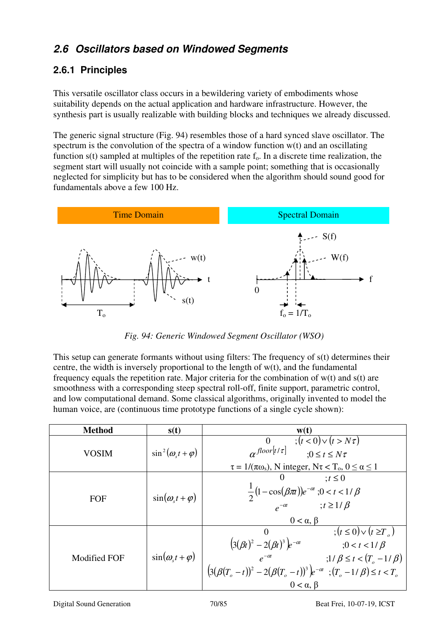# **2.6 Oscillators based on Windowed Segments**

# **2.6.1 Principles**

This versatile oscillator class occurs in a bewildering variety of embodiments whose suitability depends on the actual application and hardware infrastructure. However, the synthesis part is usually realizable with building blocks and techniques we already discussed.

The generic signal structure (Fig. 94) resembles those of a hard synced slave oscillator. The spectrum is the convolution of the spectra of a window function w(t) and an oscillating function  $s(t)$  sampled at multiples of the repetition rate  $f_0$ . In a discrete time realization, the segment start will usually not coincide with a sample point; something that is occasionally neglected for simplicity but has to be considered when the algorithm should sound good for fundamentals above a few 100 Hz.



*Fig. 94: Generic Windowed Segment Oscillator (WSO)* 

This setup can generate formants without using filters: The frequency of s(t) determines their centre, the width is inversely proportional to the length of w(t), and the fundamental frequency equals the repetition rate. Major criteria for the combination of  $w(t)$  and  $s(t)$  are smoothness with a corresponding steep spectral roll-off, finite support, parametric control, and low computational demand. Some classical algorithms, originally invented to model the human voice, are (continuous time prototype functions of a single cycle shown):

| <b>Method</b>       | s(t)                          | $\mathbf{w}(\mathbf{t})$                                                                                                                                                                                                                                                                                                                                                                   |
|---------------------|-------------------------------|--------------------------------------------------------------------------------------------------------------------------------------------------------------------------------------------------------------------------------------------------------------------------------------------------------------------------------------------------------------------------------------------|
| <b>VOSIM</b>        | $\sin^2(\omega_{s}t+\varphi)$ | $\tau(t<0) \vee (t > N\tau)$<br>$\overline{0}$<br>$\alpha^{floor[t/\tau]}$<br>$:0\leq t\leq N\tau$<br>$\tau = 1/(\pi \omega_s)$ , N integer, N $\tau < T_o$ , $0 \le \alpha \le 1$                                                                                                                                                                                                         |
| FOF                 | $\sin(\omega_{s}t+\varphi)$   | $\therefore t \leq 0$<br>$\theta$<br>$\frac{1}{2}(1-\cos(\beta \pi))e^{-\alpha t}; 0 < t < 1/\beta$<br>$e^{-\alpha t}; t \ge 1/\beta$<br>$0 < \alpha, \beta$                                                                                                                                                                                                                               |
| <b>Modified FOF</b> | $\sin(\omega_{s}t+\varphi)$   | $(t \leq 0) \vee (t \geq T_{c})$<br>$\Omega$<br>$(3(\beta t)^{2} - 2(\beta t)^{3})e^{-\alpha t}$<br>$;0 < t < 1/\beta$<br>$e^{-\alpha t}$<br>$(3(\beta(T_o-t))^2 - 2(\beta(T_o-t))^3)e^{-\alpha t}$<br>$(3(\beta(T_o-t))^2 - 2(\beta(T_o-t))^3)e^{-\alpha t}$<br>$(3(\beta(T_o-t))^3 - 2(\beta(T_o-t))^3)e^{-\alpha t}$<br>;1/ $\beta \le t < (T_{o} - 1/\beta)$<br>$0 < \alpha$ , $\beta$ |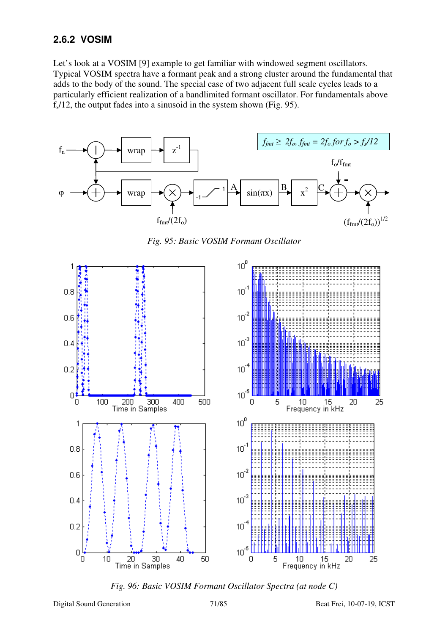## **2.6.2 VOSIM**

Let's look at a VOSIM [9] example to get familiar with windowed segment oscillators. Typical VOSIM spectra have a formant peak and a strong cluster around the fundamental that adds to the body of the sound. The special case of two adjacent full scale cycles leads to a particularly efficient realization of a bandlimited formant oscillator. For fundamentals above fs/12, the output fades into a sinusoid in the system shown (Fig. 95).



*Fig. 95: Basic VOSIM Formant Oscillator* 



*Fig. 96: Basic VOSIM Formant Oscillator Spectra (at node C)*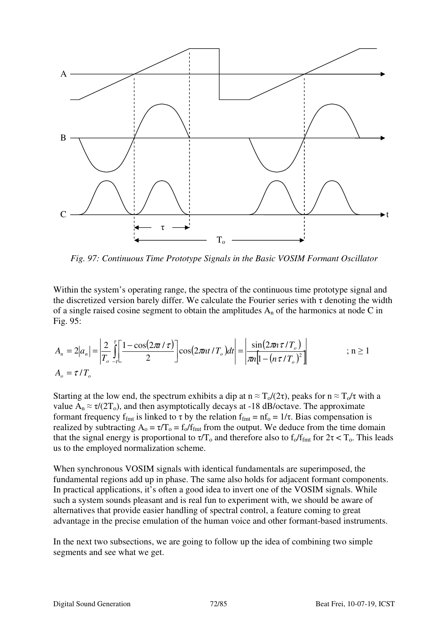

*Fig. 97: Continuous Time Prototype Signals in the Basic VOSIM Formant Oscillator* 

Within the system's operating range, the spectra of the continuous time prototype signal and the discretized version barely differ. We calculate the Fourier series with  $\tau$  denoting the width of a single raised cosine segment to obtain the amplitudes  $A_n$  of the harmonics at node C in Fig. 95:

$$
A_n = 2|a_n| = \left|\frac{2}{T_o}\int_{-\tau_c}^{\tau} \left[\frac{1-\cos(2\pi t/\tau)}{2}\right] \cos(2\pi nt/T_o)dt\right| = \left|\frac{\sin(2\pi n\tau/T_o)}{\pi n[1-(n\tau/T_o)^2]}\right| \qquad ; n \ge 1
$$
  

$$
A_o = \tau/T_o
$$

Starting at the low end, the spectrum exhibits a dip at  $n \approx T_0/(2\tau)$ , peaks for  $n \approx T_0/\tau$  with a value  $A_n \approx \tau/(2T_0)$ , and then asymptotically decays at -18 dB/octave. The approximate formant frequency f<sub>fmt</sub> is linked to  $\tau$  by the relation f<sub>fmt</sub> = nf<sub>o</sub> = 1/ $\tau$ . Bias compensation is realized by subtracting  $A_0 = \tau/T_0 = f_0/f_{\text{fmt}}$  from the output. We deduce from the time domain that the signal energy is proportional to  $\tau/T_0$  and therefore also to  $f_0/f_{\text{fmt}}$  for  $2\tau < T_0$ . This leads us to the employed normalization scheme.

When synchronous VOSIM signals with identical fundamentals are superimposed, the fundamental regions add up in phase. The same also holds for adjacent formant components. In practical applications, it's often a good idea to invert one of the VOSIM signals. While such a system sounds pleasant and is real fun to experiment with, we should be aware of alternatives that provide easier handling of spectral control, a feature coming to great advantage in the precise emulation of the human voice and other formant-based instruments.

In the next two subsections, we are going to follow up the idea of combining two simple segments and see what we get.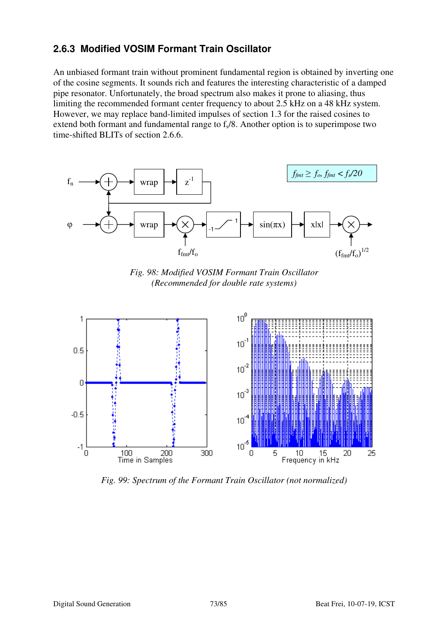### **2.6.3 Modified VOSIM Formant Train Oscillator**

An unbiased formant train without prominent fundamental region is obtained by inverting one of the cosine segments. It sounds rich and features the interesting characteristic of a damped pipe resonator. Unfortunately, the broad spectrum also makes it prone to aliasing, thus limiting the recommended formant center frequency to about 2.5 kHz on a 48 kHz system. However, we may replace band-limited impulses of section 1.3 for the raised cosines to extend both formant and fundamental range to  $f<sub>s</sub>/8$ . Another option is to superimpose two time-shifted BLITs of section 2.6.6.



*Fig. 98: Modified VOSIM Formant Train Oscillator (Recommended for double rate systems)* 



*Fig. 99: Spectrum of the Formant Train Oscillator (not normalized)*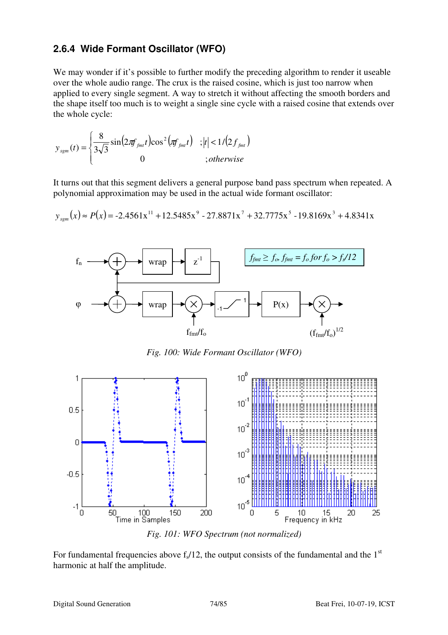#### **2.6.4 Wide Formant Oscillator (WFO)**

We may wonder if it's possible to further modify the preceding algorithm to render it useable over the whole audio range. The crux is the raised cosine, which is just too narrow when applied to every single segment. A way to stretch it without affecting the smooth borders and the shape itself too much is to weight a single sine cycle with a raised cosine that extends over the whole cycle:

$$
y_{\text{sgm}}(t) = \begin{cases} \frac{8}{3\sqrt{3}}\sin\left(2\pi f_{\text{fm}t}t\right)\cos^2\left(\pi f_{\text{fm}t}t\right) & ; |t| < 1/(2f_{\text{fm}t})\\ 0 & ; otherwise \end{cases}
$$

It turns out that this segment delivers a general purpose band pass spectrum when repeated. A polynomial approximation may be used in the actual wide formant oscillator:

$$
y_{\text{sgm}}(x) \approx P(x) = -2.4561x^{11} + 12.5485x^9 - 27.8871x^7 + 32.7775x^5 - 19.8169x^3 + 4.8341x
$$



*Fig. 100: Wide Formant Oscillator (WFO)* 



*Fig. 101: WFO Spectrum (not normalized)* 

For fundamental frequencies above  $f_s/12$ , the output consists of the fundamental and the 1<sup>st</sup> harmonic at half the amplitude.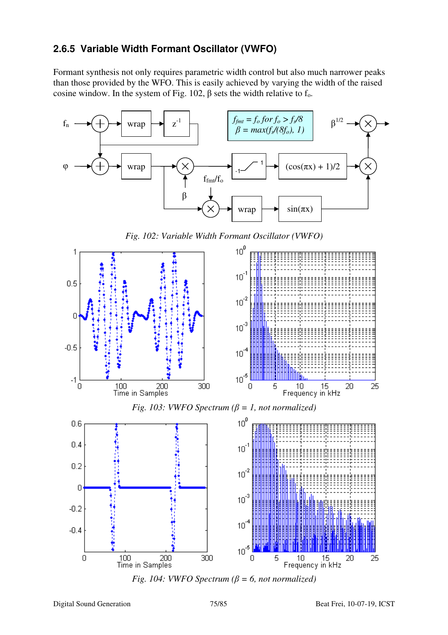### **2.6.5 Variable Width Formant Oscillator (VWFO)**

Formant synthesis not only requires parametric width control but also much narrower peaks than those provided by the WFO. This is easily achieved by varying the width of the raised cosine window. In the system of Fig. 102,  $\beta$  sets the width relative to f<sub>o</sub>.



*Fig. 102: Variable Width Formant Oscillator (VWFO)* 





5

10

Frequency in kHz

15

 $\Omega$ 

300

 $\mathbf 0$ 

100

Time in Samples

200

20

25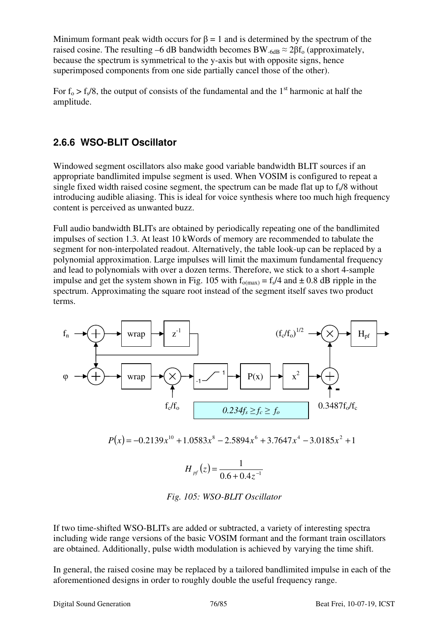Minimum formant peak width occurs for  $\beta = 1$  and is determined by the spectrum of the raised cosine. The resulting –6 dB bandwidth becomes BW<sub>-6dB</sub>  $\approx$  2 $\beta$ f<sub>0</sub> (approximately, because the spectrum is symmetrical to the y-axis but with opposite signs, hence superimposed components from one side partially cancel those of the other).

For  $f_0 > f_s/8$ , the output of consists of the fundamental and the 1<sup>st</sup> harmonic at half the amplitude.

#### **2.6.6 WSO-BLIT Oscillator**

Windowed segment oscillators also make good variable bandwidth BLIT sources if an appropriate bandlimited impulse segment is used. When VOSIM is configured to repeat a single fixed width raised cosine segment, the spectrum can be made flat up to  $f_s/8$  without introducing audible aliasing. This is ideal for voice synthesis where too much high frequency content is perceived as unwanted buzz.

Full audio bandwidth BLITs are obtained by periodically repeating one of the bandlimited impulses of section 1.3. At least 10 kWords of memory are recommended to tabulate the segment for non-interpolated readout. Alternatively, the table look-up can be replaced by a polynomial approximation. Large impulses will limit the maximum fundamental frequency and lead to polynomials with over a dozen terms. Therefore, we stick to a short 4-sample impulse and get the system shown in Fig. 105 with  $f_{o(max)} = f_s/4$  and  $\pm 0.8$  dB ripple in the spectrum. Approximating the square root instead of the segment itself saves two product terms.



*Fig. 105: WSO-BLIT Oscillator* 

If two time-shifted WSO-BLITs are added or subtracted, a variety of interesting spectra including wide range versions of the basic VOSIM formant and the formant train oscillators are obtained. Additionally, pulse width modulation is achieved by varying the time shift.

In general, the raised cosine may be replaced by a tailored bandlimited impulse in each of the aforementioned designs in order to roughly double the useful frequency range.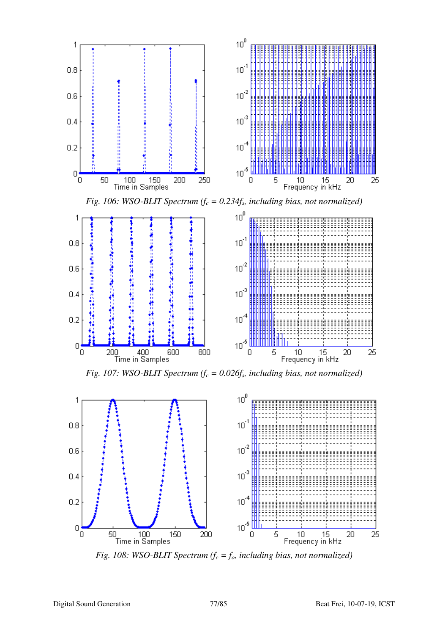



*Fig. 108: WSO-BLIT Spectrum (fc = fo, including bias, not normalized)*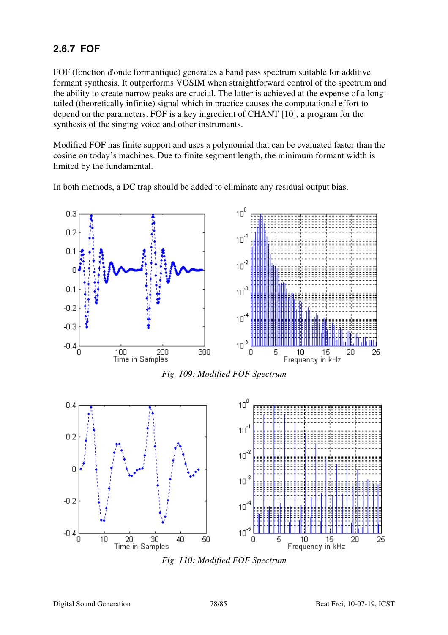## **2.6.7 FOF**

FOF (fonction d'onde formantique) generates a band pass spectrum suitable for additive formant synthesis. It outperforms VOSIM when straightforward control of the spectrum and the ability to create narrow peaks are crucial. The latter is achieved at the expense of a longtailed (theoretically infinite) signal which in practice causes the computational effort to depend on the parameters. FOF is a key ingredient of CHANT [10], a program for the synthesis of the singing voice and other instruments.

Modified FOF has finite support and uses a polynomial that can be evaluated faster than the cosine on today's machines. Due to finite segment length, the minimum formant width is limited by the fundamental.

In both methods, a DC trap should be added to eliminate any residual output bias.



*Fig. 109: Modified FOF Spectrum*



*Fig. 110: Modified FOF Spectrum*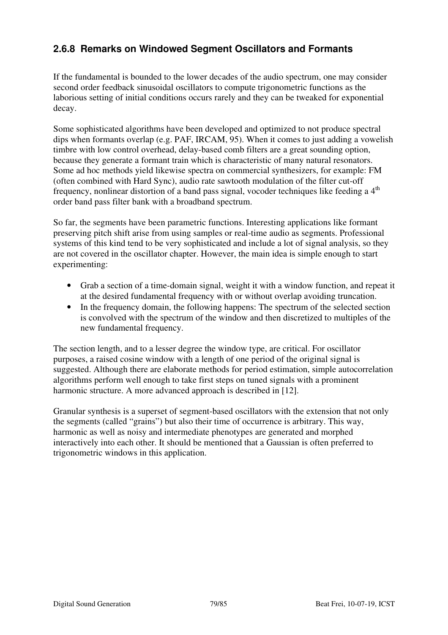### **2.6.8 Remarks on Windowed Segment Oscillators and Formants**

If the fundamental is bounded to the lower decades of the audio spectrum, one may consider second order feedback sinusoidal oscillators to compute trigonometric functions as the laborious setting of initial conditions occurs rarely and they can be tweaked for exponential decay.

Some sophisticated algorithms have been developed and optimized to not produce spectral dips when formants overlap (e.g. PAF, IRCAM, 95). When it comes to just adding a vowelish timbre with low control overhead, delay-based comb filters are a great sounding option, because they generate a formant train which is characteristic of many natural resonators. Some ad hoc methods yield likewise spectra on commercial synthesizers, for example: FM (often combined with Hard Sync), audio rate sawtooth modulation of the filter cut-off frequency, nonlinear distortion of a band pass signal, vocoder techniques like feeding a 4<sup>th</sup> order band pass filter bank with a broadband spectrum.

So far, the segments have been parametric functions. Interesting applications like formant preserving pitch shift arise from using samples or real-time audio as segments. Professional systems of this kind tend to be very sophisticated and include a lot of signal analysis, so they are not covered in the oscillator chapter. However, the main idea is simple enough to start experimenting:

- Grab a section of a time-domain signal, weight it with a window function, and repeat it at the desired fundamental frequency with or without overlap avoiding truncation.
- In the frequency domain, the following happens: The spectrum of the selected section is convolved with the spectrum of the window and then discretized to multiples of the new fundamental frequency.

The section length, and to a lesser degree the window type, are critical. For oscillator purposes, a raised cosine window with a length of one period of the original signal is suggested. Although there are elaborate methods for period estimation, simple autocorrelation algorithms perform well enough to take first steps on tuned signals with a prominent harmonic structure. A more advanced approach is described in [12].

Granular synthesis is a superset of segment-based oscillators with the extension that not only the segments (called "grains") but also their time of occurrence is arbitrary. This way, harmonic as well as noisy and intermediate phenotypes are generated and morphed interactively into each other. It should be mentioned that a Gaussian is often preferred to trigonometric windows in this application.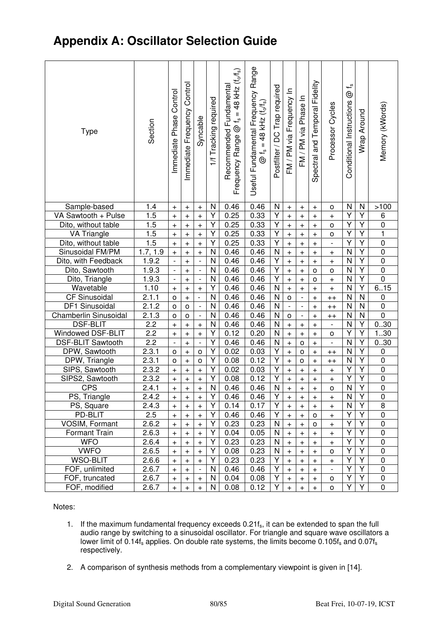# **Appendix A: Oscillator Selection Guide**

| <b>Type</b>                 | Section        | Control<br>Immediate Phase | Immediate Frequency Control      | Syncable                                                     | 1/f Tracking required | $= 48$ kHz $(f_0/f_s)$<br>Recommended Fundamental<br>ڀ<br>$^{\circledR}$<br>Range<br>Frequency | Useful Fundamental Frequency Range<br>48 kHz $(t_0/t_s)$<br>$\mathbf{u}$<br>ي<br>رچ | Postfilter / DC Trap required | FM / PM via Frequency In         | FM / PM via Phase In                                         | and Temporal Fidelity<br>Spectral | Processor Cycles                 | ڀ<br>$^{\circledR}$<br>Conditional Instructions | Wrap Around    | Memory (kWords)            |
|-----------------------------|----------------|----------------------------|----------------------------------|--------------------------------------------------------------|-----------------------|------------------------------------------------------------------------------------------------|-------------------------------------------------------------------------------------|-------------------------------|----------------------------------|--------------------------------------------------------------|-----------------------------------|----------------------------------|-------------------------------------------------|----------------|----------------------------|
| Sample-based                | 1.4            | $\pm$                      | $\begin{array}{c} + \end{array}$ | $\begin{array}{c} + \end{array}$                             | N                     | 0.46                                                                                           | 0.46                                                                                | N                             | $\qquad \qquad +$                | $\ddot{}$                                                    | $\ddot{}$                         | o                                | N                                               | N              | >100                       |
| VA Sawtooth + Pulse         | 1.5            | $\ddot{}$                  | $\! + \!$                        | $+$                                                          | Υ                     | 0.25                                                                                           | 0.33                                                                                | Υ                             | $\ddot{}$                        | $\ddot{}$                                                    | $\ddot{}$                         | $\ddot{}$                        | Υ                                               | Υ              | 6                          |
| Dito, without table         | 1.5            | $\ddot{}$                  | $\! + \!$                        | $\boldsymbol{+}$                                             | Υ                     | 0.25                                                                                           | 0.33                                                                                | Υ                             | $\qquad \qquad +$                | $\begin{array}{c} + \end{array}$                             | $\ddot{}$                         | o                                | Υ                                               | Υ              | $\pmb{0}$                  |
| <b>VA Triangle</b>          | 1.5            | $\ddot{}$                  | $\ddot{}$                        | $\boldsymbol{+}$                                             | Υ                     | 0.25                                                                                           | 0.33                                                                                | Y                             | $\ddot{}$                        | $\begin{array}{c} + \end{array}$                             | $\ddot{}$                         | o                                | Υ                                               | Y              | 1                          |
| Dito, without table         | 1.5            | $\ddot{}$                  | $\ddot{}$                        | $\boldsymbol{+}$                                             | Υ                     | 0.25                                                                                           | 0.33                                                                                | Υ                             | $\qquad \qquad +$                | $\begin{array}{c} + \end{array}$                             | $\ddot{}$                         | $\overline{\phantom{a}}$         | Υ                                               | Y              | $\mathbf 0$                |
| Sinusoidal FM/PM            | 1.7, 1.9       | $\ddot{}$                  | $\ddot{}$                        | $+$                                                          | N                     | 0.46                                                                                           | 0.46                                                                                | $\mathsf{N}$                  | $\ddot{}$                        | $\begin{array}{c} + \end{array}$                             | $\ddot{}$                         | $\begin{array}{c} + \end{array}$ | N                                               | Υ              | $\mathbf 0$                |
| Dito, with Feedback         | 1.9.2          | $\overline{\phantom{a}}$   | $\ddot{}$                        | $\overline{\phantom{a}}$                                     | N                     | 0.46                                                                                           | 0.46                                                                                | Υ<br>Υ                        | $\ddot{}$                        | $\begin{array}{c} + \end{array}$                             | $\ddot{}$                         | $\ddot{}$                        | N<br>N                                          | Υ<br>Y         | $\mathbf 0$                |
| Dito, Sawtooth              | 1.9.3<br>1.9.3 | $\overline{\phantom{a}}$   | $\ddot{}$                        | $\overline{\phantom{a}}$                                     | N<br>N                | 0.46<br>0.46                                                                                   | 0.46<br>0.46                                                                        | Υ                             | $\ddot{}$                        | $\begin{array}{c} + \end{array}$                             | o                                 | $\circ$                          | N                                               | Y              | $\mathbf 0$<br>$\mathbf 0$ |
| Dito, Triangle<br>Wavetable | 1.10           | $\overline{\phantom{a}}$   | $\! + \!$                        | $\overline{\phantom{a}}$                                     | Υ                     | 0.46                                                                                           | 0.46                                                                                | N                             | $\ddot{}$                        | $\begin{array}{c} + \end{array}$                             | о                                 | $\, +$                           | N                                               | Υ              | 6.15                       |
| <b>CF Sinusoidal</b>        | 2.1.1          | $\pm$<br>o                 | $\qquad \qquad +$<br>$\ddot{}$   | $\begin{array}{c} + \end{array}$<br>$\overline{\phantom{a}}$ | N                     | 0.46                                                                                           | 0.46                                                                                | N                             | $\qquad \qquad +$<br>$\circ$     | $\begin{array}{c} + \end{array}$<br>$\overline{\phantom{a}}$ | $\ddot{}$<br>$\ddot{}$            | $\, +$                           | N                                               | N              | 0                          |
| DF1 Sinusoidal              | 2.1.2          | 0                          | $\mathsf{O}\xspace$              | $\overline{\phantom{a}}$                                     | N                     | 0.46                                                                                           | 0.46                                                                                | N                             | $\qquad \qquad \blacksquare$     | $\overline{\phantom{a}}$                                     | $\ddot{}$                         | $++$<br>$++$                     | N                                               | N              | $\pmb{0}$                  |
| Chamberlin Sinusoidal       | 2.1.3          | o                          | $\mathsf{o}$                     | $\overline{\phantom{a}}$                                     | N                     | 0.46                                                                                           | 0.46                                                                                | N                             | o                                | $\overline{\phantom{a}}$                                     | $\ddot{}$                         | $++$                             | N                                               | N              | $\mathbf 0$                |
| <b>DSF-BLIT</b>             | 2.2            | $\ddot{}$                  | $\ddot{}$                        | $\ddot{}$                                                    | N                     | 0.46                                                                                           | 0.46                                                                                | N                             | $\pmb{+}$                        | $\begin{array}{c} + \end{array}$                             | $\ddot{}$                         | $\overline{\phantom{a}}$         | N                                               | Υ              | 030                        |
| Windowed DSF-BLIT           | 2.2            | $\ddot{}$                  | $\! + \!$                        | $\boldsymbol{+}$                                             | Υ                     | 0.12                                                                                           | 0.20                                                                                | N                             | $\ddot{}$                        | $\begin{array}{c} + \end{array}$                             | $+$                               | o                                | Υ                                               | Υ              | 130                        |
| DSF-BLIT Sawtooth           | 2.2            | $\overline{\phantom{a}}$   | $\! + \!$                        | $\overline{\phantom{a}}$                                     | Υ                     | 0.46                                                                                           | 0.46                                                                                | N                             | $\ddot{}$                        | o                                                            | $\ddot{}$                         | $\overline{\phantom{a}}$         | N                                               | Υ              | 030                        |
| DPW, Sawtooth               | 2.3.1          | 0                          | $\! + \!$                        | o                                                            | Υ                     | 0.02                                                                                           | 0.03                                                                                | Υ                             | $\qquad \qquad +$                | o                                                            | $\ddot{}$                         | $++$                             | N                                               | Υ              | 0                          |
| DPW, Triangle               | 2.3.1          | o                          | $\ddot{}$                        | $\circ$                                                      | Υ                     | 0.08                                                                                           | 0.12                                                                                | Υ                             | $\ddot{}$                        | о                                                            | $\ddot{}$                         | $++$                             | N                                               | Y              | $\pmb{0}$                  |
| SIPS, Sawtooth              | 2.3.2          | $\ddot{}$                  | $\! + \!$                        | $\begin{array}{c} + \end{array}$                             | Υ                     | 0.02                                                                                           | 0.03                                                                                | Υ                             | $\qquad \qquad +$                | $\begin{array}{c} + \end{array}$                             | $\ddot{}$                         | $+$                              | Υ                                               | Y              | $\pmb{0}$                  |
| SIPS2, Sawtooth             | 2.3.2          | $\ddot{}$                  | $\! + \!$                        | $\boldsymbol{+}$                                             | Υ                     | 0.08                                                                                           | 0.12                                                                                | Υ                             | $\ddot{}$                        | $\begin{array}{c} + \end{array}$                             | $\ddot{}$                         | $\, +$                           | Y                                               | Y              | $\mathbf 0$                |
| <b>CPS</b>                  | 2.4.1          | $\ddot{}$                  | $\qquad \qquad +$                | $\qquad \qquad +$                                            | N                     | 0.46                                                                                           | 0.46                                                                                | N                             | $\ddot{}$                        | $\ddot{}$                                                    | $\! + \!$                         | $\mathsf{o}$                     | N                                               | Υ              | $\pmb{0}$                  |
| PS, Triangle                | 2.4.2          | $+$                        | $\ddot{+}$                       | $+$                                                          | Y                     | 0.46                                                                                           | 0.46                                                                                | Y                             | $\ddot{+}$                       | $+$                                                          | $+$                               | $\ddot{+}$                       | $\overline{N}$                                  | $\overline{Y}$ | $\overline{0}$             |
| PS, Square                  | 2.4.3          | $\pm$                      | $\ddot{}$                        | $\ddot{}$                                                    | Y                     | 0.14                                                                                           | 0.17                                                                                | Υ                             | $\ddot{}$                        | $\ddot{}$                                                    | $\ddot{}$                         | $\ddot{}$                        | N                                               | Y              | 8                          |
| PD-BLIT                     | 2.5            | $\ddot{}$                  | $+$                              | $\ddot{}$                                                    | Y                     | 0.46                                                                                           | 0.46                                                                                | Υ                             | $\ddot{}$                        | $\ddot{}$                                                    | o                                 | $\ddot{}$                        | Υ                                               | Υ              | 0                          |
| VOSIM, Formant              | 2.6.2          | $\ddot{}$                  | $\ddot{}$                        | $+$                                                          | Y                     | 0.23                                                                                           | 0.23                                                                                | N                             | $\ddot{}$                        | $\ddot{}$                                                    | о                                 | $+$                              | Υ                                               | Υ              | 0                          |
| Formant Train               | 2.6.3          | $\ddot{}$                  | $\ddot{}$                        | $+$                                                          | Y                     | 0.04                                                                                           | 0.05                                                                                | N                             | $\ddot{}$                        | $\begin{array}{c} + \end{array}$                             | $\ddot{}$                         | $\ddot{}$                        | Υ                                               | Υ              | 0                          |
| <b>WFO</b>                  | 2.6.4          | $\ddot{}$                  | $\ddot{}$                        | $+$                                                          | Y                     | 0.23                                                                                           | 0.23                                                                                | N                             | $\ddot{}$                        | $\ddot{}$                                                    | $\ddot{}$                         | $\ddot{}$                        | Υ                                               | Υ              | 0                          |
| <b>VWFO</b>                 | 2.6.5          | $\ddot{}$                  | $\ddot{}$                        | $+$                                                          | Y                     | 0.08                                                                                           | 0.23                                                                                | N                             | $\ddot{}$                        | $\ddot{}$                                                    | $\ddot{}$                         | o                                | Υ                                               | Υ              | 0                          |
| <b>WSO-BLIT</b>             | 2.6.6          | $\ddot{}$                  | $\ddot{}$                        | $+$                                                          | Y                     | 0.23                                                                                           | 0.23                                                                                | Υ                             | $\ddot{}$                        | $\ddot{}$                                                    | $\ddot{}$                         | $\ddot{}$                        | Υ                                               | Υ              | 0                          |
| FOF, unlimited              | 2.6.7          | $\ddot{}$                  | $\ddot{}$                        |                                                              | N                     | 0.46                                                                                           | 0.46                                                                                | Υ                             | $\ddot{}$                        | $\ddot{}$                                                    | $\ddot{}$                         | $\overline{\phantom{a}}$         | Υ                                               | Υ              | 0                          |
| FOF, truncated              | 2.6.7          | $\ddot{}$                  | $\ddot{}$                        | $+$                                                          | N                     | 0.04                                                                                           | 0.08                                                                                | Y                             | $\begin{array}{c} + \end{array}$ | $\ddot{}$                                                    | $\ddot{}$                         | o                                | Υ                                               | Υ              | 0                          |
| FOF, modified               | 2.6.7          | $\ddot{}$                  | $\ddot{}$                        | $+$                                                          | N                     | 0.08                                                                                           | 0.12                                                                                | Y                             | $\ddot{}$                        | $\ddot{}$                                                    | $\ddot{}$                         | o                                | Υ                                               | Y              | 0                          |

Notes:

- 1. If the maximum fundamental frequency exceeds  $0.21f_s$ , it can be extended to span the full audio range by switching to a sinusoidal oscillator. For triangle and square wave oscillators a lower limit of  $0.14f_s$  applies. On double rate systems, the limits become  $0.105f_s$  and  $0.07f_s$ respectively.
- 2. A comparison of synthesis methods from a complementary viewpoint is given in [14].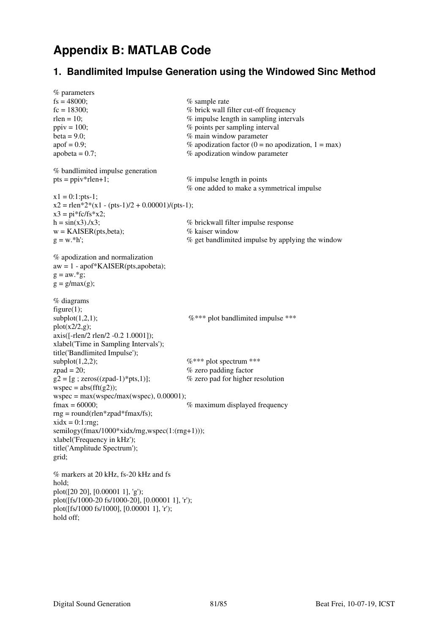## **Appendix B: MATLAB Code**

#### **1. Bandlimited Impulse Generation using the Windowed Sinc Method**

```
% parameters 
f_s = 48000; \% sample rate
f_c = 18300; \% brick wall filter cut-off frequency
rlen = 10; \% impulse length in sampling intervals
ppi = 100; \% points per sampling interval
beta = 9.0;<br>
\% main window parameter<br>
\% apodization factor (0 = n<br>
\% apodization factor (0 = n
                                    % apodization factor (0 = no apodization, 1 = max)
apobeta = 0.7; \% apodization window parameter
% bandlimited impulse generation 
pts = \text{ppiv*}rlen+1; % impulse length in points
                                      % one added to make a symmetrical impulse 
x1 = 0:1:pts-1:
x2 =rlen*2*(x1 - (pts-1)/2 + 0.00001)/(pts-1);
x3 = \pi \cdot \frac{f}{f}h = sin(x3) \cdot (x3); \% brickwall filter impulse response
w = KAISER(pts,beta); % kaiser window
g = w.*h'; \% get bandlimited impulse by applying the window
% apodization and normalization 
aw = 1 - apof*KAISER(pts,apobeta); 
g = aw.*g;
g = g / max(g);% diagrams 
figure(1);
subplot(1,2,1); \%*** plot bandlimited impulse ***
plot(x2/2,g);
axis([-rlen/2 rlen/2 -0.2 1.0001]); 
xlabel('Time in Sampling Intervals'); 
title('Bandlimited Impulse'); 
subplot(1,2,2); \%*** plot spectrum ***
zpad = 20; \% zero padding factor
g2 = [g; zeros((zpad-1)*pts,1)]; % zero pad for higher resolution
wspec = abs(fft(g2));
wspec = max(wspec/max(wspec), 0.00001);fmax = 60000; % maximum displayed frequency
rng = round(rlen *zpad *fmax/fs);xidx = 0:1:rng;
semilogy(fmax/1000*xidx/rng,wspec(1:(rng+1))); 
xlabel('Frequency in kHz'); 
title('Amplitude Spectrum'); 
grid; 
% markers at 20 kHz, fs-20 kHz and fs 
hold; 
plot([20 20], [0.00001 1], 'g'); 
plot([fs/1000-20 fs/1000-20], [0.00001 1], 'r'); 
plot([fs/1000 fs/1000], [0.00001 1], 'r'); 
hold off;
```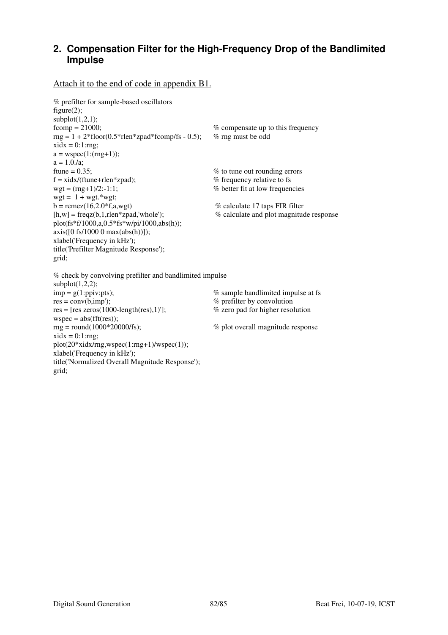#### **2. Compensation Filter for the High-Frequency Drop of the Bandlimited Impulse**

#### Attach it to the end of code in appendix B1.

```
% prefilter for sample-based oscillators 
figure(2);
\text{subplot}(1,2,1);<br>\text{fcomp} = 21000;% compensate up to this frequency
rng = 1 + 2*floor(0.5*rlen*zpad*fcomp/fs - 0.5); % rng must be odd
xidx = 0:1:rng;a = wspec(1:(rng+1));
a = 1.0 \,\text{Az};
ftune = 0.35; \% to tune out rounding errors
f = x \frac{dx}{f} frequency relative to fs
wgt = (rng+1)/2:-1:1; % better fit at low frequencies
wgt = 1 + wgt.*wgt;b = \text{remez}(16,2.0^{\text{*}}f,a,\text{wgt}) % calculate 17 taps FIR filter
[h,w] = freqz(b,1,rlen*zpad,'whole'); % calculate and plot magnitude response 
plot(fs*f/1000,a,0.5*fs*w/pi/1000,abs(h)); 
axis([0 \text{ fs}/1000 \text{ 0 max(abs(h))}]);xlabel('Frequency in kHz'); 
title('Prefilter Magnitude Response'); 
grid; 
% check by convolving prefilter and bandlimited impulse 
subplot(1,2,2);
```

```
\text{imp} = g(1:ppiv:pts);<br>
\% sample bandlimited impulse at fs<br>
\% prefilter by convolution<br>
\% prefilter by convolution
                                                           % prefilter by convolution<br>% zero pad for higher resolution
res = [res zeros(1000-length(res),1)'];
wspec = abs(fft(res));rng = round(1000*20000/fs); % plot overall magnitude response
xidx = 0:1:rng;plot(20*xidx/rng,wspec(1:rng+1)/wspec(1)); 
xlabel('Frequency in kHz'); 
title('Normalized Overall Magnitude Response'); 
grid;
```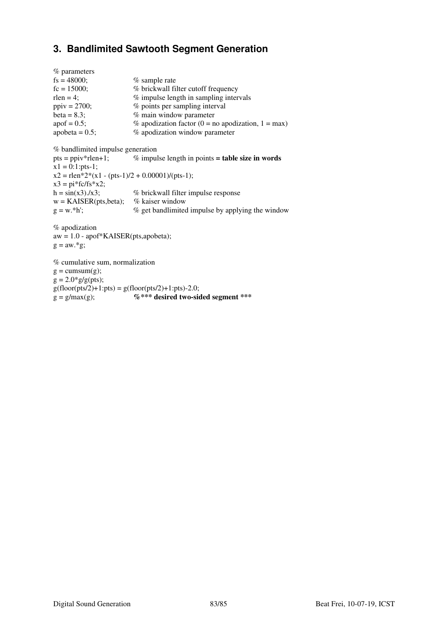#### **3. Bandlimited Sawtooth Segment Generation**

| % parameters      |                                                          |
|-------------------|----------------------------------------------------------|
| $fs = 48000;$     | $%$ sample rate                                          |
| $fc = 15000$ ;    | % brickwall filter cutoff frequency                      |
| $rlen = 4$ ;      | % impulse length in sampling intervals                   |
| $ppiv = 2700;$    | % points per sampling interval                           |
| beta = $8.3$ ;    | % main window parameter                                  |
| $apof = 0.5;$     | % apodization factor ( $0 = no$ apodization, $1 = max$ ) |
| apobeta = $0.5$ ; | % apodization window parameter                           |

```
% bandlimited impulse generation
```
pts = ppiv\*rlen+1; % impulse length in points **= table size in words**  $x1 = 0:1:pts-1;$  $x2 =$ rlen\*2\*(x1 - (pts-1)/2 + 0.00001)/(pts-1);  $x3 = \pi * f c / f s * x2;$  $h = sin(x3) \cdot (x3);$  % brickwall filter impulse response  $w = KAISER(pts,beta);$  % kaiser window  $g = w.*h';$  % get bandlimited impulse by applying the window

% apodization  $aw = 1.0 - 1.0 + KAISER(pts, apobeta);$  $g = aw.*g;$ 

% cumulative sum, normalization  $g = \text{cumsum}(g)$ ;  $g = 2.0*g/g(pts);$  $g(floor(fts/2)+1:pts) = g(floor(pts/2)+1:pts) - 2.0;$  $g = g / max(g);$  %\*\*\* desired two-sided segment \*\*\*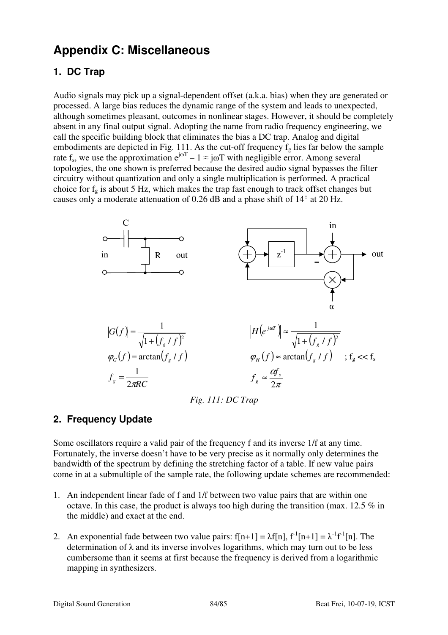# **Appendix C: Miscellaneous**

## **1. DC Trap**

Audio signals may pick up a signal-dependent offset (a.k.a. bias) when they are generated or processed. A large bias reduces the dynamic range of the system and leads to unexpected, although sometimes pleasant, outcomes in nonlinear stages. However, it should be completely absent in any final output signal. Adopting the name from radio frequency engineering, we call the specific building block that eliminates the bias a DC trap. Analog and digital embodiments are depicted in Fig. 111. As the cut-off frequency  $f<sub>g</sub>$  lies far below the sample rate f<sub>s</sub>, we use the approximation  $e^{j\omega T} - 1 \approx j\omega T$  with negligible error. Among several topologies, the one shown is preferred because the desired audio signal bypasses the filter circuitry without quantization and only a single multiplication is performed. A practical choice for  $f_g$  is about 5 Hz, which makes the trap fast enough to track offset changes but causes only a moderate attenuation of 0.26 dB and a phase shift of 14° at 20 Hz.



*Fig. 111: DC Trap* 

### **2. Frequency Update**

Some oscillators require a valid pair of the frequency f and its inverse 1/f at any time. Fortunately, the inverse doesn't have to be very precise as it normally only determines the bandwidth of the spectrum by defining the stretching factor of a table. If new value pairs come in at a submultiple of the sample rate, the following update schemes are recommended:

- 1. An independent linear fade of f and 1/f between two value pairs that are within one octave. In this case, the product is always too high during the transition (max. 12.5 % in the middle) and exact at the end.
- 2. An exponential fade between two value pairs:  $f[n+1] = \lambda f[n], f^{-1}[n+1] = \lambda^{-1} f^{-1}[n]$ . The determination of  $\lambda$  and its inverse involves logarithms, which may turn out to be less cumbersome than it seems at first because the frequency is derived from a logarithmic mapping in synthesizers.